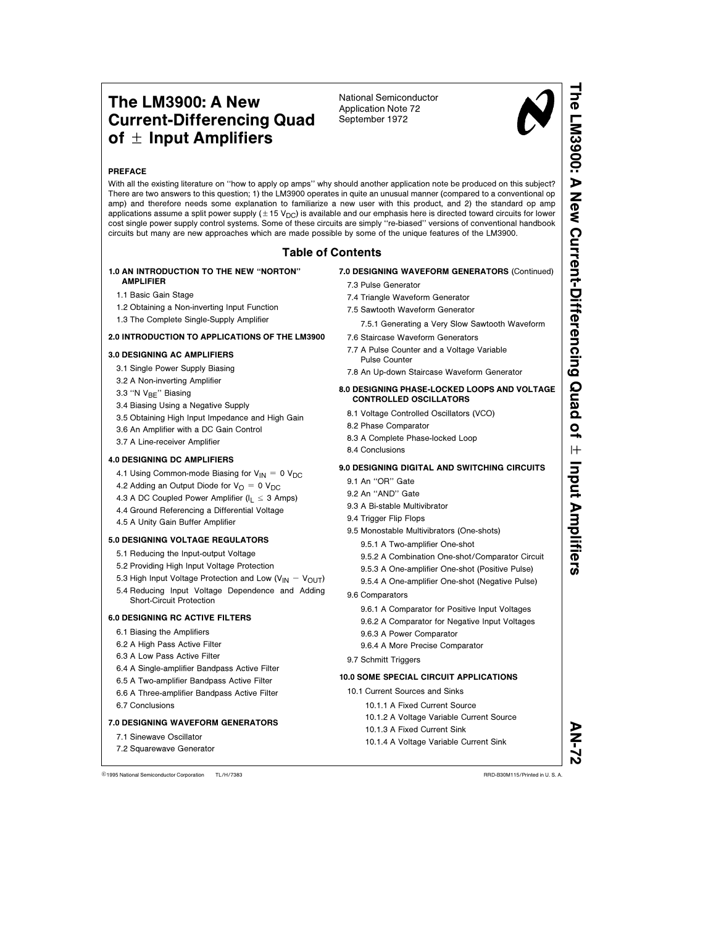# The LM3900: A New Current-Differencing Quad of  $\pm$  Input Amplifiers

National Semiconductor Application Note 72 September 1972



# PREFACE

With all the existing literature on ''how to apply op amps'' why should another application note be produced on this subject? There are two answers to this question; 1) the LM3900 operates in quite an unusual manner (compared to a conventional op amp) and therefore needs some explanation to familiarize a new user with this product, and 2) the standard op amp applications assume a split power supply ( $\pm$  15 V<sub>DC</sub>) is available and our emphasis here is directed toward circuits for lower cost single power supply control systems. Some of these circuits are simply ''re-biased'' versions of conventional handbook circuits but many are new approaches which are made possible by some of the unique features of the LM3900.

# Table of Contents

#### 1.0 AN INTRODUCTION TO THE NEW ''NORTON'' AMPLIFIER

- 1.1 Basic Gain Stage
- 1.2 Obtaining a Non-inverting Input Function
- 1.3 The Complete Single-Supply Amplifier

## 2.0 INTRODUCTION TO APPLICATIONS OF THE LM3900

# 3.0 DESIGNING AC AMPLIFIERS

- 3.1 Single Power Supply Biasing
- 3.2 A Non-inverting Amplifier
- 3.3 "N V<sub>BE</sub>" Biasing
- 3.4 Biasing Using a Negative Supply
- 3.5 Obtaining High Input Impedance and High Gain
- 3.6 An Amplifier with a DC Gain Control
- 3.7 A Line-receiver Amplifier

# 4.0 DESIGNING DC AMPLIFIERS

- 4.1 Using Common-mode Biasing for  $V_{\text{IN}} = 0$  V<sub>DC</sub>
- 4.2 Adding an Output Diode for  $V_{\Omega} = 0$  V<sub>DC</sub>
- 4.3 A DC Coupled Power Amplifier ( $I_L \leq 3$  Amps)
- 4.4 Ground Referencing a Differential Voltage
- 4.5 A Unity Gain Buffer Amplifier

# 5.0 DESIGNING VOLTAGE REGULATORS

- 5.1 Reducing the Input-output Voltage
- 5.2 Providing High Input Voltage Protection
- 5.3 High Input Voltage Protection and Low ( $V_{IN} V_{OUT}$ )
- 5.4 Reducing Input Voltage Dependence and Adding Short-Circuit Protection

# 6.0 DESIGNING RC ACTIVE FILTERS

- 6.1 Biasing the Amplifiers
- 6.2 A High Pass Active Filter
- 6.3 A Low Pass Active Filter
- 6.4 A Single-amplifier Bandpass Active Filter
- 6.5 A Two-amplifier Bandpass Active Filter
- 6.6 A Three-amplifier Bandpass Active Filter
- 6.7 Conclusions

# 7.0 DESIGNING WAVEFORM GENERATORS

- 7.1 Sinewave Oscillator
- 7.2 Squarewave Generator

7.0 DESIGNING WAVEFORM GENERATORS (Continued)

- 7.3 Pulse Generator 7.4 Triangle Waveform Generator
- 7.5 Sawtooth Waveform Generator
	- 7.5.1 Generating a Very Slow Sawtooth Waveform
- 7.6 Staircase Waveform Generators
- 7.7 A Pulse Counter and a Voltage Variable Pulse Counter
- 7.8 An Up-down Staircase Waveform Generator

#### 8.0 DESIGNING PHASE-LOCKED LOOPS AND VOLTAGE CONTROLLED OSCILLATORS

- 8.1 Voltage Controlled Oscillators (VCO)
- 8.2 Phase Comparator
- 8.3 A Complete Phase-locked Loop
- 8.4 Conclusions

# 9.0 DESIGNING DIGITAL AND SWITCHING CIRCUITS

- 9.1 An ''OR'' Gate
- 9.2 An ''AND'' Gate
- 9.3 A Bi-stable Multivibrator
- 9.4 Trigger Flip Flops
- 9.5 Monostable Multivibrators (One-shots)
	- 9.5.1 A Two-amplifier One-shot
	- 9.5.2 A Combination One-shot/Comparator Circuit
	- 9.5.3 A One-amplifier One-shot (Positive Pulse)
	- 9.5.4 A One-amplifier One-shot (Negative Pulse)
- 9.6 Comparators
	- 9.6.1 A Comparator for Positive Input Voltages
	- 9.6.2 A Comparator for Negative Input Voltages
	- 9.6.3 A Power Comparator
	- 9.6.4 A More Precise Comparator
- 9.7 Schmitt Triggers

# 10.0 SOME SPECIAL CIRCUIT APPLICATIONS

- 10.1 Current Sources and Sinks
	- 10.1.1 A Fixed Current Source
	- 10.1.3 A Fixed Current Sink
	- 10.1.4 A Voltage Variable Current Sink

C1995 National Semiconductor Corporation TL/H/7383 **Canadia Service 3 and 2016** RRD-B30M115/Printed in U. S. A.

- 
- 
- 10.1.2 A Voltage Variable Current Source
	-
- 
- 

AN-72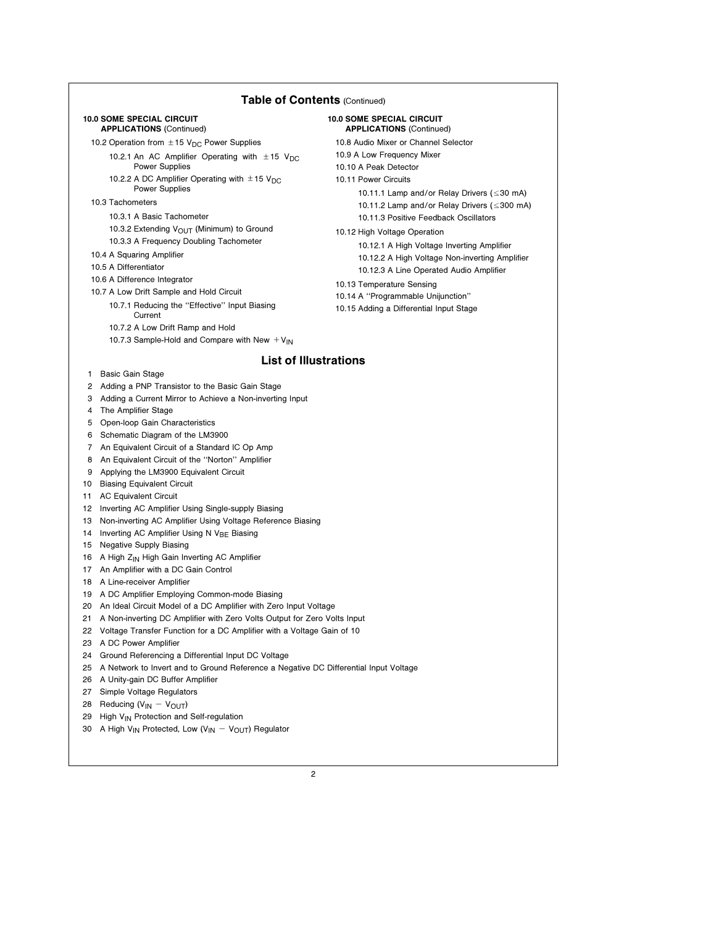# Table of Contents (Continued)

#### 10.0 SOME SPECIAL CIRCUIT APPLICATIONS (Continued)

10.2 Operation from  $\pm$  15 V<sub>DC</sub> Power Supplies

- 10.2.1 An AC Amplifier Operating with  $\pm$  15 V<sub>DC</sub> Power Supplies
- 10.2.2 A DC Amplifier Operating with  $\pm$  15 V<sub>DC</sub> Power Supplies

#### 10.3 Tachometers

- 10.3.1 A Basic Tachometer
- 10.3.2 Extending  $V_{\text{OUT}}$  (Minimum) to Ground
- 10.3.3 A Frequency Doubling Tachometer
- 10.4 A Squaring Amplifier
- 10.5 A Differentiator
- 10.6 A Difference Integrator
- 10.7 A Low Drift Sample and Hold Circuit
	- 10.7.1 Reducing the ''Effective'' Input Biasing
		- Current
	- 10.7.2 A Low Drift Ramp and Hold
	- 10.7.3 Sample-Hold and Compare with New  $V_{IN}$

# 10.0 SOME SPECIAL CIRCUIT APPLICATIONS (Continued) 10.8 Audio Mixer or Channel Selector

10.9 A Low Frequency Mixer

- 10.10 A Peak Detector
- 10.11 Power Circuits

10.11.1 Lamp and/or Relay Drivers  $(\leq 30 \text{ mA})$ 10.11.2 Lamp and/or Relay Drivers ( ≤ 300 mA) 10.11.3 Positive Feedback Oscillators

10.12 High Voltage Operation

10.12.1 A High Voltage Inverting Amplifier 10.12.2 A High Voltage Non-inverting Amplifier 10.12.3 A Line Operated Audio Amplifier

- 10.13 Temperature Sensing
- 10.14 A ''Programmable Unijunction''
- 10.15 Adding a Differential Input Stage

# List of Illustrations

- 1 Basic Gain Stage
- 2 Adding a PNP Transistor to the Basic Gain Stage
- 3 Adding a Current Mirror to Achieve a Non-inverting Input
- 4 The Amplifier Stage
- 5 Open-loop Gain Characteristics
- 6 Schematic Diagram of the LM3900
- 7 An Equivalent Circuit of a Standard IC Op Amp
- 8 An Equivalent Circuit of the ''Norton'' Amplifier
- 9 Applying the LM3900 Equivalent Circuit
- 10 Biasing Equivalent Circuit
- 11 AC Equivalent Circuit
- 12 Inverting AC Amplifier Using Single-supply Biasing
- 13 Non-inverting AC Amplifier Using Voltage Reference Biasing
- 14 Inverting AC Amplifier Using N  $V_{BE}$  Biasing
- 15 Negative Supply Biasing
- 16 A High  $Z_{IN}$  High Gain Inverting AC Amplifier
- 17 An Amplifier with a DC Gain Control
- 18 A Line-receiver Amplifier
- 19 A DC Amplifier Employing Common-mode Biasing
- 20 An Ideal Circuit Model of a DC Amplifier with Zero Input Voltage
- 21 A Non-inverting DC Amplifier with Zero Volts Output for Zero Volts Input
- 22 Voltage Transfer Function for a DC Amplifier with a Voltage Gain of 10
- 23 A DC Power Amplifier
- 24 Ground Referencing a Differential Input DC Voltage
- 25 A Network to Invert and to Ground Reference a Negative DC Differential Input Voltage
- 26 A Unity-gain DC Buffer Amplifier
- 27 Simple Voltage Regulators
- 28 Reducing ( $V_{IN} V_{OUT}$ )
- 29 High V<sub>IN</sub> Protection and Self-regulation
- 30 A High V<sub>IN</sub> Protected, Low (V<sub>IN</sub>  $-V_{\text{OUT}}$ ) Regulator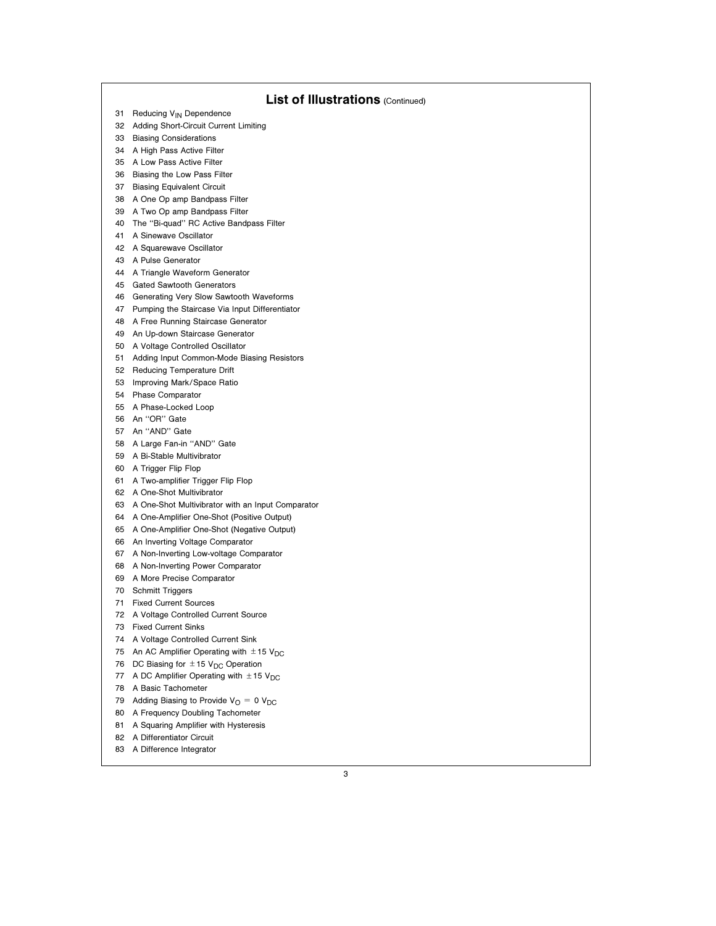| <b>List of Illustrations (Continued)</b> |                                                         |
|------------------------------------------|---------------------------------------------------------|
|                                          | 31 Reducing V <sub>IN</sub> Dependence                  |
| 32                                       | Adding Short-Circuit Current Limiting                   |
|                                          | 33 Biasing Considerations                               |
|                                          | 34 A High Pass Active Filter                            |
|                                          | 35 A Low Pass Active Filter                             |
|                                          | 36 Biasing the Low Pass Filter                          |
| 37                                       | <b>Biasing Equivalent Circuit</b>                       |
| 38                                       | A One Op amp Bandpass Filter                            |
|                                          | 39 A Two Op amp Bandpass Filter                         |
| 40                                       | The "Bi-quad" RC Active Bandpass Filter                 |
| 41                                       | A Sinewave Oscillator                                   |
|                                          | 42 A Squarewave Oscillator                              |
|                                          | 43 A Pulse Generator                                    |
| 44                                       | A Triangle Waveform Generator                           |
| 45                                       | <b>Gated Sawtooth Generators</b>                        |
|                                          | 46 Generating Very Slow Sawtooth Waveforms              |
|                                          | 47 Pumping the Staircase Via Input Differentiator       |
| 48                                       | A Free Running Staircase Generator                      |
| 49                                       | An Up-down Staircase Generator                          |
|                                          | 50 A Voltage Controlled Oscillator                      |
| 51                                       | Adding Input Common-Mode Biasing Resistors              |
|                                          | 52 Reducing Temperature Drift                           |
| 53                                       | Improving Mark/Space Ratio                              |
|                                          | 54 Phase Comparator                                     |
|                                          | 55 A Phase-Locked Loop                                  |
| 56                                       | An "OR" Gate                                            |
| 57                                       | An "AND" Gate                                           |
|                                          | 58 A Large Fan-in "AND" Gate                            |
|                                          | 59 A Bi-Stable Multivibrator                            |
| 60                                       | A Trigger Flip Flop                                     |
| 61                                       | A Two-amplifier Trigger Flip Flop                       |
|                                          | 62 A One-Shot Multivibrator                             |
|                                          | 63 A One-Shot Multivibrator with an Input Comparator    |
| 64                                       | A One-Amplifier One-Shot (Positive Output)              |
|                                          | 65 A One-Amplifier One-Shot (Negative Output)           |
|                                          | 66 An Inverting Voltage Comparator                      |
|                                          | 67 A Non-Inverting Low-voltage Comparator               |
| 68                                       | A Non-Inverting Power Comparator                        |
| 69                                       | A More Precise Comparator                               |
| 70                                       | <b>Schmitt Triggers</b>                                 |
| 71                                       | <b>Fixed Current Sources</b>                            |
| 72                                       | A Voltage Controlled Current Source                     |
| 73                                       | <b>Fixed Current Sinks</b>                              |
| 74                                       | A Voltage Controlled Current Sink                       |
| 75                                       | An AC Amplifier Operating with $\pm$ 15 V <sub>DC</sub> |
| 76                                       | DC Biasing for $\pm$ 15 V <sub>DC</sub> Operation       |
| 77                                       | A DC Amplifier Operating with $\pm$ 15 V <sub>DC</sub>  |
| 78                                       | A Basic Tachometer                                      |
| 79                                       | Adding Biasing to Provide $V_O = 0 V_{DC}$              |
| 80                                       | A Frequency Doubling Tachometer                         |
| 81                                       | A Squaring Amplifier with Hysteresis                    |
| 82                                       | A Differentiator Circuit                                |
| 83                                       | A Difference Integrator                                 |

 $\overline{\phantom{a}}$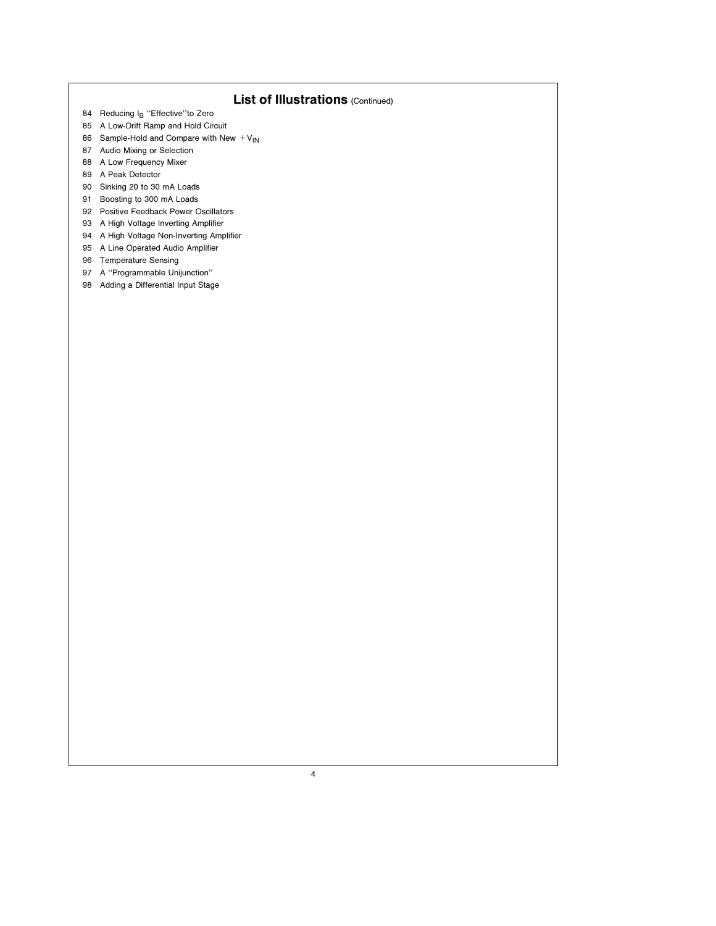# List of Illustrations (Continued)

- 84 Reducing I<sub>B</sub> "Effective" to Zero
- 85 A Low-Drift Ramp and Hold Circuit
- 86 Sample-Hold and Compare with New  $V_{IN}$
- 87 Audio Mixing or Selection
- 88 A Low Frequency Mixer
- 89 A Peak Detector
- 90 Sinking 20 to 30 mA Loads
- 91 Boosting to 300 mA Loads
- 92 Positive Feedback Power Oscillators
- 93 A High Voltage Inverting Amplifier
- 94 A High Voltage Non-Inverting Amplifier 95 A Line Operated Audio Amplifier
- 96 Temperature Sensing
- 97 A ''Programmable Unijunction''
- 98 Adding a Differential Input Stage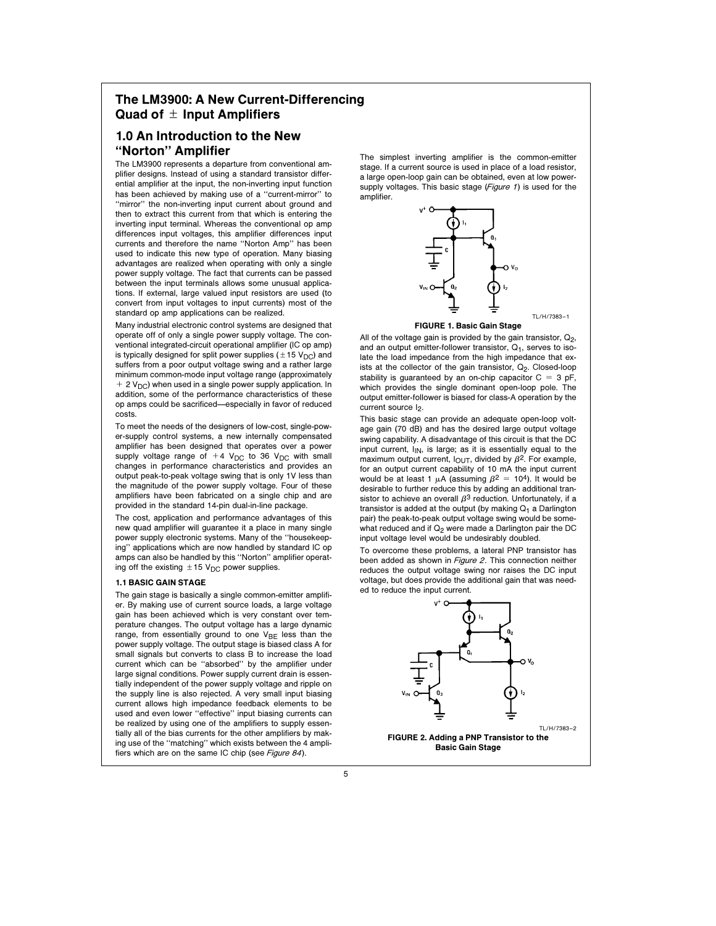# The LM3900: A New Current-Differencing Quad of  $\pm$  Input Amplifiers

# 1.0 An Introduction to the New ''Norton'' Amplifier

The LM3900 represents a departure from conventional amplifier designs. Instead of using a standard transistor differential amplifier at the input, the non-inverting input function has been achieved by making use of a ''current-mirror'' to ''mirror'' the non-inverting input current about ground and then to extract this current from that which is entering the inverting input terminal. Whereas the conventional op amp differences input voltages, this amplifier differences input currents and therefore the name ''Norton Amp'' has been used to indicate this new type of operation. Many biasing advantages are realized when operating with only a single power supply voltage. The fact that currents can be passed between the input terminals allows some unusual applications. If external, large valued input resistors are used (to convert from input voltages to input currents) most of the standard op amp applications can be realized.

Many industrial electronic control systems are designed that operate off of only a single power supply voltage. The conventional integrated-circuit operational amplifier (IC op amp) is typically designed for split power supplies ( $\pm$ 15 V<sub>DC</sub>) and suffers from a poor output voltage swing and a rather large minimum common-mode input voltage range (approximately

 $+ 2 V_{DC}$ ) when used in a single power supply application. In addition, some of the performance characteristics of these op amps could be sacrificed—especially in favor of reduced costs.

To meet the needs of the designers of low-cost, single-power-supply control systems, a new internally compensated amplifier has been designed that operates over a power supply voltage range of  $+4$  V<sub>DC</sub> to 36 V<sub>DC</sub> with small changes in performance characteristics and provides an output peak-to-peak voltage swing that is only 1V less than the magnitude of the power supply voltage. Four of these amplifiers have been fabricated on a single chip and are provided in the standard 14-pin dual-in-line package.

The cost, application and performance advantages of this new quad amplifier will guarantee it a place in many single power supply electronic systems. Many of the ''housekeeping'' applications which are now handled by standard IC op amps can also be handled by this ''Norton'' amplifier operating off the existing  $\pm$  15 V<sub>DC</sub> power supplies.

## 1.1 BASIC GAIN STAGE

The gain stage is basically a single common-emitter amplifier. By making use of current source loads, a large voltage gain has been achieved which is very constant over temperature changes. The output voltage has a large dynamic range, from essentially ground to one  $V_{BE}$  less than the power supply voltage. The output stage is biased class A for small signals but converts to class B to increase the load current which can be ''absorbed'' by the amplifier under large signal conditions. Power supply current drain is essentially independent of the power supply voltage and ripple on the supply line is also rejected. A very small input biasing current allows high impedance feedback elements to be used and even lower ''effective'' input biasing currents can be realized by using one of the amplifiers to supply essentially all of the bias currents for the other amplifiers by making use of the ''matching'' which exists between the 4 amplifiers which are on the same IC chip (see Figure 84).

The simplest inverting amplifier is the common-emitter stage. If a current source is used in place of a load resistor, a large open-loop gain can be obtained, even at low powersupply voltages. This basic stage (Figure 1) is used for the amplifier.



#### FIGURE 1. Basic Gain Stage

All of the voltage gain is provided by the gain transistor,  $Q_2$ , and an output emitter-follower transistor,  $Q_1$ , serves to isolate the load impedance from the high impedance that exists at the collector of the gain transistor,  $Q_2$ . Closed-loop stability is guaranteed by an on-chip capacitor  $C = 3$  pF, which provides the single dominant open-loop pole. The output emitter-follower is biased for class-A operation by the current source I<sub>2</sub>.

This basic stage can provide an adequate open-loop voltage gain (70 dB) and has the desired large output voltage swing capability. A disadvantage of this circuit is that the DC input current,  $I_{IN}$ , is large; as it is essentially equal to the maximum output current,  $I_{\text{OUT}}$ , divided by  $\beta^2$ . For example, for an output current capability of 10 mA the input current would be at least 1  $\mu$ A (assuming  $\beta^2 = 10^4$ ). It would be desirable to further reduce this by adding an additional transistor to achieve an overall  $\beta^3$  reduction. Unfortunately, if a transistor is added at the output (by making  $Q_1$  a Darlington pair) the peak-to-peak output voltage swing would be somewhat reduced and if  $Q_2$  were made a Darlington pair the DC input voltage level would be undesirably doubled.

To overcome these problems, a lateral PNP transistor has been added as shown in Figure 2. This connection neither reduces the output voltage swing nor raises the DC input voltage, but does provide the additional gain that was needed to reduce the input current.

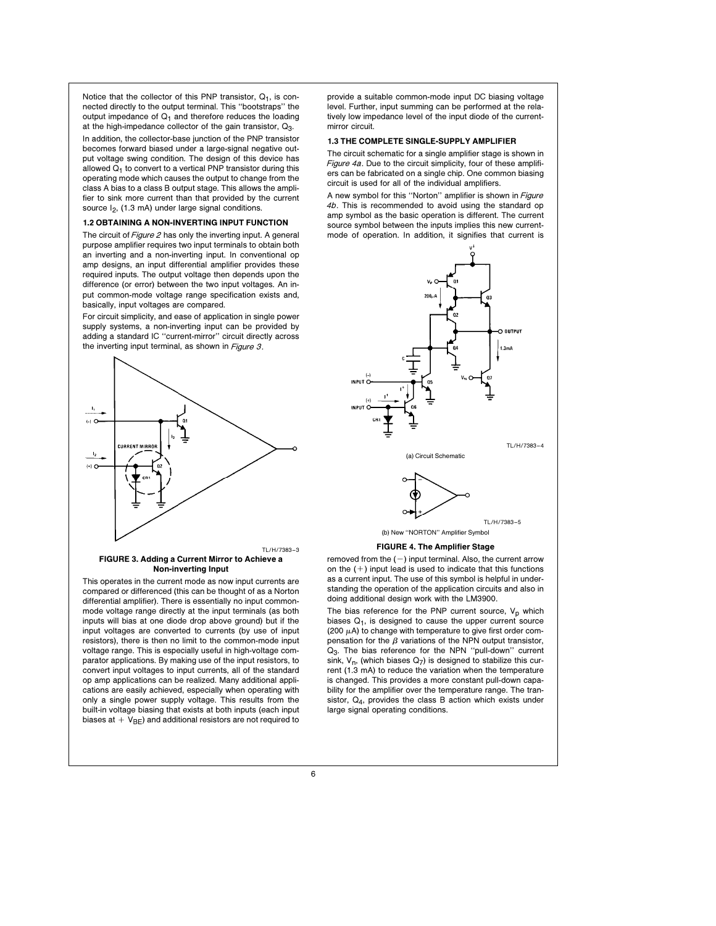Notice that the collector of this PNP transistor,  $Q_1$ , is connected directly to the output terminal. This ''bootstraps'' the output impedance of  $Q_1$  and therefore reduces the loading at the high-impedance collector of the gain transistor,  $Q_3$ .

In addition, the collector-base junction of the PNP transistor becomes forward biased under a large-signal negative output voltage swing condition. The design of this device has allowed  $Q_1$  to convert to a vertical PNP transistor during this operating mode which causes the output to change from the class A bias to a class B output stage. This allows the amplifier to sink more current than that provided by the current source  $I_2$ , (1.3 mA) under large signal conditions.

#### 1.2 OBTAINING A NON-INVERTING INPUT FUNCTION

The circuit of Figure 2 has only the inverting input. A general purpose amplifier requires two input terminals to obtain both an inverting and a non-inverting input. In conventional op amp designs, an input differential amplifier provides these required inputs. The output voltage then depends upon the difference (or error) between the two input voltages. An input common-mode voltage range specification exists and, basically, input voltages are compared.

For circuit simplicity, and ease of application in single power supply systems, a non-inverting input can be provided by adding a standard IC ''current-mirror'' circuit directly across the inverting input terminal, as shown in *Figure 3*.



#### FIGURE 3. Adding a Current Mirror to Achieve a Non-inverting Input

This operates in the current mode as now input currents are compared or differenced (this can be thought of as a Norton differential amplifier). There is essentially no input commonmode voltage range directly at the input terminals (as both inputs will bias at one diode drop above ground) but if the input voltages are converted to currents (by use of input resistors), there is then no limit to the common-mode input voltage range. This is especially useful in high-voltage comparator applications. By making use of the input resistors, to convert input voltages to input currents, all of the standard op amp applications can be realized. Many additional applications are easily achieved, especially when operating with only a single power supply voltage. This results from the built-in voltage biasing that exists at both inputs (each input biases at  $+$  V<sub>BE</sub>) and additional resistors are not required to provide a suitable common-mode input DC biasing voltage level. Further, input summing can be performed at the relatively low impedance level of the input diode of the currentmirror circuit.

#### 1.3 THE COMPLETE SINGLE-SUPPLY AMPLIFIER

The circuit schematic for a single amplifier stage is shown in Figure 4a. Due to the circuit simplicity, four of these amplifiers can be fabricated on a single chip. One common biasing circuit is used for all of the individual amplifiers.

A new symbol for this ''Norton'' amplifier is shown in Figure 4b. This is recommended to avoid using the standard op amp symbol as the basic operation is different. The current source symbol between the inputs implies this new currentmode of operation. In addition, it signifies that current is





(b) New "NORTON" Amplifier Symbol

TL/H/7383 –5

#### FIGURE 4. The Amplifier Stage

removed from the  $(-)$  input terminal. Also, the current arrow on the  $(+)$  input lead is used to indicate that this functions as a current input. The use of this symbol is helpful in understanding the operation of the application circuits and also in doing additional design work with the LM3900.

The bias reference for the PNP current source,  $V_p$  which biases  $Q_1$ , is designed to cause the upper current source (200  $\mu$ A) to change with temperature to give first order compensation for the  $\beta$  variations of the NPN output transistor, Q<sub>3</sub>. The bias reference for the NPN "pull-down" current sink,  $V_n$ , (which biases  $Q_7$ ) is designed to stabilize this current (1.3 mA) to reduce the variation when the temperature is changed. This provides a more constant pull-down capability for the amplifier over the temperature range. The transistor, Q4, provides the class B action which exists under large signal operating conditions.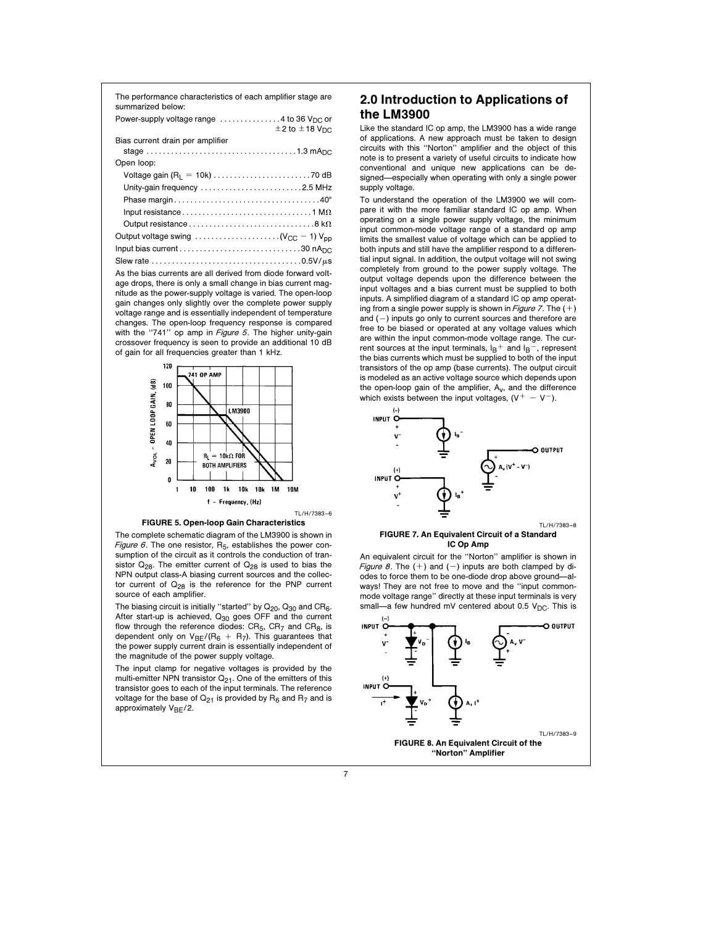| The performance characteristics of each amplifier stage are<br>summarized below:                                   |  |
|--------------------------------------------------------------------------------------------------------------------|--|
| Power-supply voltage range $\dots\dots\dots\dots4$ to 36 V <sub>DC</sub> or<br>$\pm 2$ to $\pm 18$ V <sub>DC</sub> |  |
| Bias current drain per amplifier                                                                                   |  |
|                                                                                                                    |  |
| Open loop:                                                                                                         |  |
|                                                                                                                    |  |
| Unity-gain frequency 2.5 MHz                                                                                       |  |
|                                                                                                                    |  |
|                                                                                                                    |  |
| Output resistance $\ldots \ldots \ldots \ldots \ldots \ldots \ldots \ldots \ldots \ldots \ldots$ 8 k $\Omega$      |  |
| Output voltage swing $\ldots \ldots \ldots \ldots \ldots \ldots (V_{CC} - 1) V_{pp}$                               |  |
|                                                                                                                    |  |
|                                                                                                                    |  |

As the bias currents are all derived from diode forward voltage drops, there is only a small change in bias current magnitude as the power-supply voltage is varied. The open-loop gain changes only slightly over the complete power supply voltage range and is essentially independent of temperature changes. The open-loop frequency response is compared with the "741" op amp in Figure 5. The higher unity-gain crossover frequency is seen to provide an additional 10 dB of gain for all frequencies greater than 1 kHz.





The complete schematic diagram of the LM3900 is shown in Figure 6. The one resistor,  $R_5$ , establishes the power consumption of the circuit as it controls the conduction of transistor  $Q_{28}$ . The emitter current of  $Q_{28}$  is used to bias the NPN output class-A biasing current sources and the collector current of  $Q_{28}$  is the reference for the PNP current source of each amplifier.

The biasing circuit is initially "started" by  $Q_{20}$ ,  $Q_{30}$  and  $CR_6$ . After start-up is achieved,  $Q_{30}$  goes OFF and the current flow through the reference diodes:  $CR_5$ ,  $CR_7$  and  $CR_8$ , is dependent only on  $V_{BE}/(R_6 + R_7)$ . This guarantees that the power supply current drain is essentially independent of the magnitude of the power supply voltage.

The input clamp for negative voltages is provided by the multi-emitter NPN transistor  $Q_{21}$ . One of the emitters of this transistor goes to each of the input terminals. The reference voltage for the base of  $Q_{21}$  is provided by  $R_6$  and  $R_7$  and is approximately  $V_{BF}/2$ .

# 2.0 Introduction to Applications of the LM3900

Like the standard IC op amp, the LM3900 has a wide range of applications. A new approach must be taken to design circuits with this ''Norton'' amplifier and the object of this note is to present a variety of useful circuits to indicate how conventional and unique new applications can be designed—especially when operating with only a single power supply voltage.

To understand the operation of the LM3900 we will compare it with the more familiar standard IC op amp. When operating on a single power supply voltage, the minimum input common-mode voltage range of a standard op amp limits the smallest value of voltage which can be applied to both inputs and still have the amplifier respond to a differential input signal. In addition, the output voltage will not swing completely from ground to the power supply voltage. The output voltage depends upon the difference between the input voltages and a bias current must be supplied to both inputs. A simplified diagram of a standard IC op amp operating from a single power supply is shown in Figure 7. The  $(+)$ and  $(-)$  inputs go only to current sources and therefore are free to be biased or operated at any voltage values which are within the input common-mode voltage range. The current sources at the input terminals,  $I_B^+$  and  $I_B^-$ , represent the bias currents which must be supplied to both of the input transistors of the op amp (base currents). The output circuit is modeled as an active voltage source which depends upon the open-loop gain of the amplifier,  $A_v$ , and the difference which exists between the input voltages,  $(V^+ - V^-)$ .



#### FIGURE 7. An Equivalent Circuit of a Standard IC Op Amp

An equivalent circuit for the ''Norton'' amplifier is shown in Figure 8. The  $(+)$  and  $(-)$  inputs are both clamped by diodes to force them to be one-diode drop above ground-always! They are not free to move and the ''input commonmode voltage range'' directly at these input terminals is very small-a few hundred mV centered about 0.5 V<sub>DC</sub>. This is

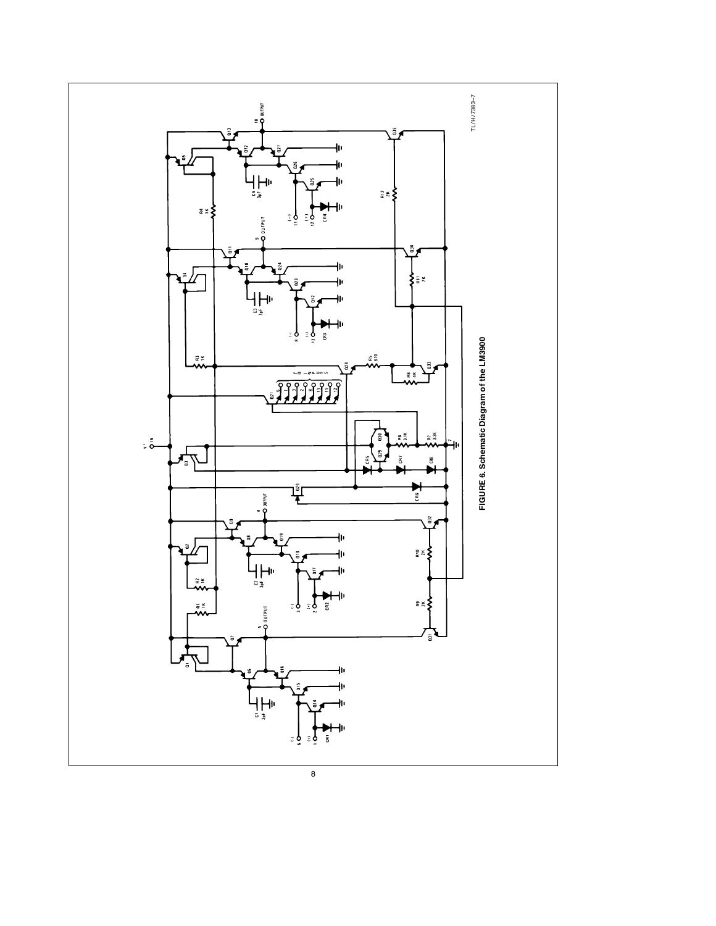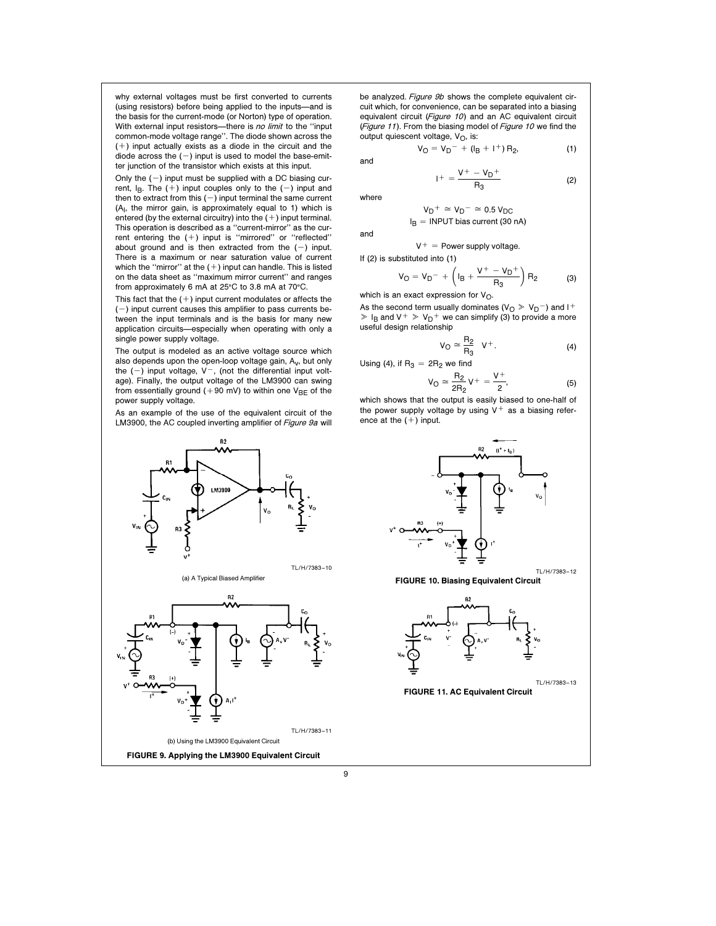why external voltages must be first converted to currents (using resistors) before being applied to the inputs-and is the basis for the current-mode (or Norton) type of operation. With external input resistors-there is no limit to the "input common-mode voltage range''. The diode shown across the  $(+)$  input actually exists as a diode in the circuit and the diode across the  $(-)$  input is used to model the base-emitter junction of the transistor which exists at this input.

Only the  $(-)$  input must be supplied with a DC biasing current,  $I_B$ . The  $(+)$  input couples only to the  $(-)$  input and then to extract from this  $(-)$  input terminal the same current  $(A<sub>1</sub>,$  the mirror gain, is approximately equal to 1) which is entered (by the external circuitry) into the  $(+)$  input terminal. This operation is described as a ''current-mirror'' as the current entering the  $(+)$  input is "mirrored" or "reflected" about ground and is then extracted from the  $(-)$  input. There is a maximum or near saturation value of current which the "mirror" at the  $(+)$  input can handle. This is listed on the data sheet as ''maximum mirror current'' and ranges from approximately 6 mA at  $25^{\circ}$ C to 3.8 mA at 70 $^{\circ}$ C.

This fact that the  $(+)$  input current modulates or affects the  $(-)$  input current causes this amplifier to pass currents between the input terminals and is the basis for many new application circuits-especially when operating with only a single power supply voltage.

The output is modeled as an active voltage source which also depends upon the open-loop voltage gain,  $A_v$ , but only the  $(-)$  input voltage,  $V^-$ , (not the differential input voltage). Finally, the output voltage of the LM3900 can swing from essentially ground ( $+90$  mV) to within one V<sub>BE</sub> of the power supply voltage.

As an example of the use of the equivalent circuit of the LM3900, the AC coupled inverting amplifier of Figure 9a will



be analyzed. Figure 9b shows the complete equivalent circuit which, for convenience, can be separated into a biasing equivalent circuit (Figure 10) and an AC equivalent circuit (Figure 11). From the biasing model of Figure 10 we find the output quiescent voltage,  $V_O$ , is:

 $V_O = V_D^- + (I_B + I^+) R_2,$  (1)

and

$$
+ = \frac{V^+ - V_D^+}{R_3} \tag{2}
$$

where

and

$$
V_D^+ \cong V_D^- \cong 0.5 V_{DC}
$$
  

$$
I_B = \text{INPUT bias current (30 nA)}
$$

$$
V^+ = \text{Power supply voltage.}
$$

If (2) is substituted into (1)

$$
V_{O} = V_{D}^{-} + \left(I_{B} + \frac{V^{+} - V_{D}^{+}}{R_{3}}\right) R_{2}
$$
 (3)

which is an exact expression for  $V_O$ .

 $1+$ 

As the second term usually dominates ( $V<sub>O</sub> \gg V<sub>D</sub>$ ) and I<sup>+</sup>  $\ge$  I<sub>B</sub> and V<sup>+</sup>  $\ge$  V<sub>D</sub><sup>+</sup> we can simplify (3) to provide a more useful design relationship

$$
V_{\mathcal{O}} \cong \frac{R_2}{R_3} \quad V^+ \tag{4}
$$

Using (4), if R<sub>3</sub> = 2R<sub>2</sub> we find  
\n
$$
V_O \simeq \frac{R_2}{2R_2} V^+ = \frac{V^+}{2},
$$
\n(5)

which shows that the output is easily biased to one-half of the power supply voltage by using  $V^+$  as a biasing reference at the  $(+)$  input.

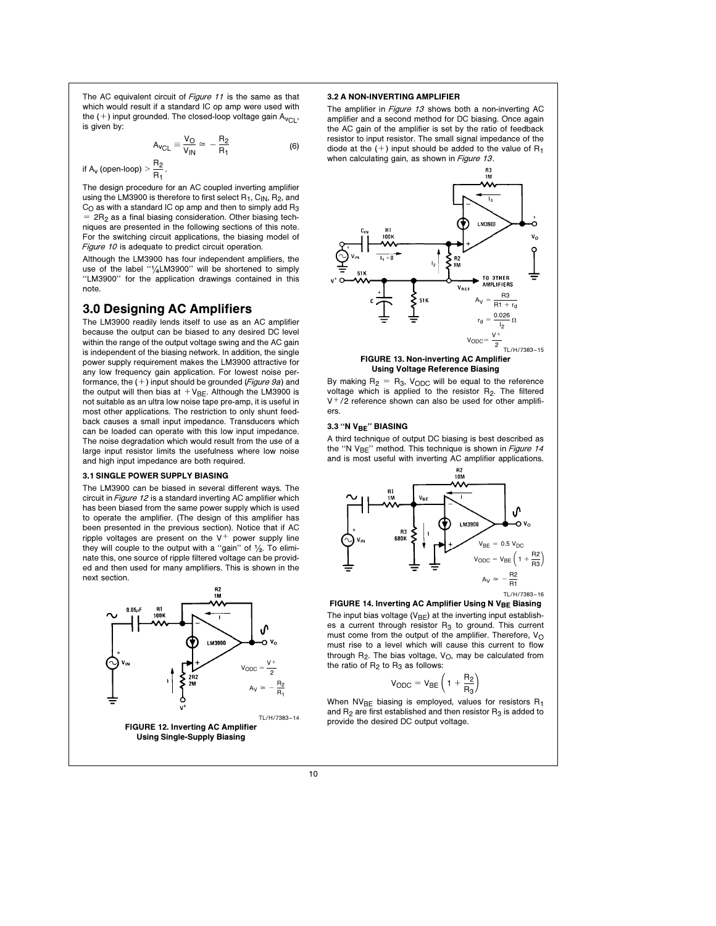The AC equivalent circuit of Figure 11 is the same as that which would result if a standard IC op amp were used with the  $(+)$  input grounded. The closed-loop voltage gain A<sub>VCL</sub>, is given by:

$$
A_{VCL} \equiv \frac{V_O}{V_{IN}} \simeq -\frac{R_2}{R_1}
$$
 (6)

if A<sub>v</sub> (open-loop) 
$$
> \frac{R_2}{R_1}
$$

The design procedure for an AC coupled inverting amplifier using the LM3900 is therefore to first select  $R_1$ ,  $C_{IN}$ ,  $R_2$ , and  $C<sub>O</sub>$  as with a standard IC op amp and then to simply add  $R<sub>3</sub>$  $=$  2R<sub>2</sub> as a final biasing consideration. Other biasing techniques are presented in the following sections of this note. For the switching circuit applications, the biasing model of Figure 10 is adequate to predict circuit operation.

Although the LM3900 has four independent amplifiers, the use of the label "1/4LM3900" will be shortened to simply ''LM3900'' for the application drawings contained in this note.

# 3.0 Designing AC Amplifiers

.

The LM3900 readily lends itself to use as an AC amplifier because the output can be biased to any desired DC level within the range of the output voltage swing and the AC gain is independent of the biasing network. In addition, the single power supply requirement makes the LM3900 attractive for any low frequency gain application. For lowest noise performance, the  $(+)$  input should be grounded (Figure 9a) and the output will then bias at  $V_{BE}$ . Although the LM3900 is not suitable as an ultra low noise tape pre-amp, it is useful in most other applications. The restriction to only shunt feedback causes a small input impedance. Transducers which can be loaded can operate with this low input impedance. The noise degradation which would result from the use of a large input resistor limits the usefulness where low noise and high input impedance are both required.

### 3.1 SINGLE POWER SUPPLY BIASING

The LM3900 can be biased in several different ways. The circuit in *Figure 12* is a standard inverting AC amplifier which has been biased from the same power supply which is used to operate the amplifier. (The design of this amplifier has been presented in the previous section). Notice that if AC ripple voltages are present on the  $V^+$  power supply line they will couple to the output with a "gain" of  $1/2$ . To eliminate this, one source of ripple filtered voltage can be provided and then used for many amplifiers. This is shown in the next section.



# 3.2 A NON-INVERTING AMPLIFIER

The amplifier in *Figure 13* shows both a non-inverting AC amplifier and a second method for DC biasing. Once again the AC gain of the amplifier is set by the ratio of feedback resistor to input resistor. The small signal impedance of the diode at the  $(+)$  input should be added to the value of  $R_1$ when calculating gain, as shown in Figure 13.



#### FIGURE 13. Non-inverting AC Amplifier Using Voltage Reference Biasing

By making  $R_2 = R_3$ , V<sub>ODC</sub> will be equal to the reference voltage which is applied to the resistor R<sub>2</sub>. The filtered  $V<sup>+</sup>$ /2 reference shown can also be used for other amplifiers.

#### 3.3 "N V<sub>BE</sub>" BIASING

A third technique of output DC biasing is best described as the "N  $V_{BE}$ " method. This technique is shown in Figure 14 and is most useful with inverting AC amplifier applications.



FIGURE 14. Inverting AC Amplifier Using N V<sub>BE</sub> Biasing The input bias voltage  $(V_{BE})$  at the inverting input establishes a current through resistor  $R_3$  to ground. This current must come from the output of the amplifier. Therefore,  $V_O$ must rise to a level which will cause this current to flow through  $R_2$ . The bias voltage,  $V_O$ , may be calculated from the ratio of  $R_2$  to  $R_3$  as follows:

$$
V_{\text{ODC}} = V_{\text{BE}} \left( 1 + \frac{R_2}{R_3} \right)
$$

When  $NV_{BE}$  biasing is employed, values for resistors  $R_1$ and  $R_2$  are first established and then resistor  $R_3$  is added to provide the desired DC output voltage.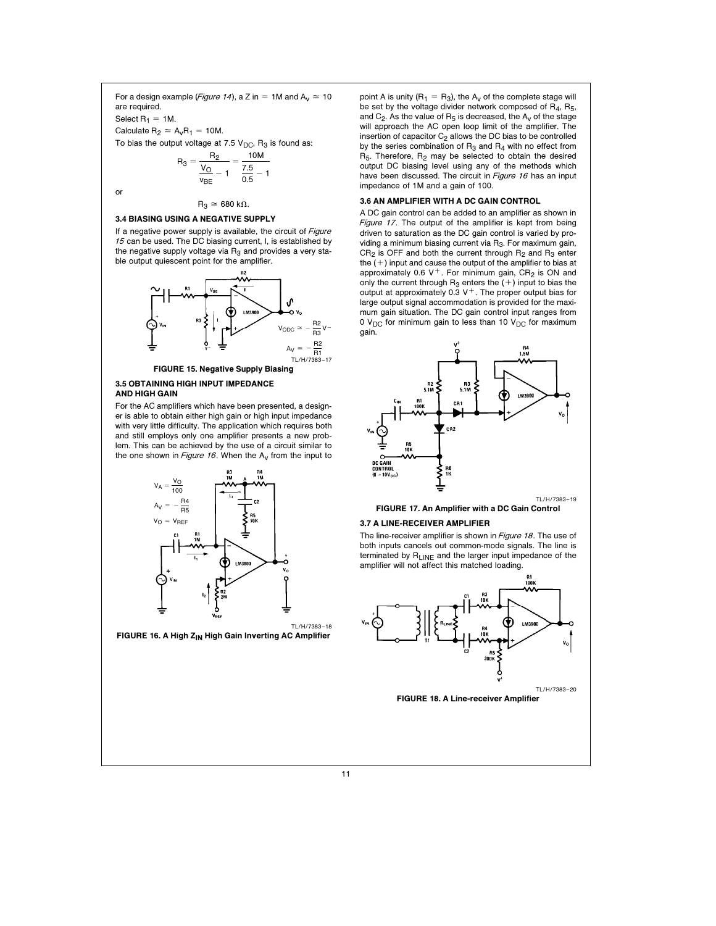For a design example (Figure 14), a Z in = 1M and  $A_v \cong 10$ are required.

Select  $R_1 = 1M$ .

Calculate  $R_2 \cong A_vR_1 = 10M$ .

To bias the output voltage at 7.5  $V_{DC}$ , R<sub>3</sub> is found as:

$$
R_3 = \frac{R_2}{\frac{V_O}{V_{BE}} - 1} = \frac{10M}{\frac{7.5}{0.5} - 1}
$$

or

# 3.4 BIASING USING A NEGATIVE SUPPLY

If a negative power supply is available, the circuit of Figure <sup>15</sup> can be used. The DC biasing current, I, is established by the negative supply voltage via  $R_3$  and provides a very stable output quiescent point for the amplifier.

 $R_3 \approx 680 \text{ k}\Omega$ .



#### FIGURE 15. Negative Supply Biasing

# 3.5 OBTAINING HIGH INPUT IMPEDANCE AND HIGH GAIN

For the AC amplifiers which have been presented, a designer is able to obtain either high gain or high input impedance with very little difficulty. The application which requires both and still employs only one amplifier presents a new problem. This can be achieved by the use of a circuit similar to the one shown in Figure 16. When the  $A_V$  from the input to



FIGURE 16. A High Z<sub>IN</sub> High Gain Inverting AC Amplifier

point A is unity ( $R_1 = R_3$ ), the  $A_V$  of the complete stage will be set by the voltage divider network composed of  $R_4$ ,  $R_5$ , and  $C_2$ . As the value of  $R_5$  is decreased, the  $A_V$  of the stage will approach the AC open loop limit of the amplifier. The insertion of capacitor  $C_2$  allows the DC bias to be controlled by the series combination of  $R_3$  and  $R_4$  with no effect from  $R_5$ . Therefore,  $R_2$  may be selected to obtain the desired output DC biasing level using any of the methods which have been discussed. The circuit in Figure 16 has an input impedance of 1M and a gain of 100.

# 3.6 AN AMPLIFIER WITH A DC GAIN CONTROL

A DC gain control can be added to an amplifier as shown in Figure 17. The output of the amplifier is kept from being driven to saturation as the DC gain control is varied by providing a minimum biasing current via R<sub>3</sub>. For maximum gain,  $CR<sub>2</sub>$  is OFF and both the current through  $R<sub>2</sub>$  and  $R<sub>3</sub>$  enter the  $(+)$  input and cause the output of the amplifier to bias at approximately 0.6 V<sup>+</sup>. For minimum gain,  $CR<sub>2</sub>$  is ON and only the current through  $R_3$  enters the  $(+)$  input to bias the output at approximately 0.3  $V^+$ . The proper output bias for large output signal accommodation is provided for the maximum gain situation. The DC gain control input ranges from 0  $V_{DC}$  for minimum gain to less than 10  $V_{DC}$  for maximum gain.





#### 3.7 A LINE-RECEIVER AMPLIFIER

The line-receiver amplifier is shown in Figure 18. The use of both inputs cancels out common-mode signals. The line is terminated by  $R_{L1NF}$  and the larger input impedance of the amplifier will not affect this matched loading.

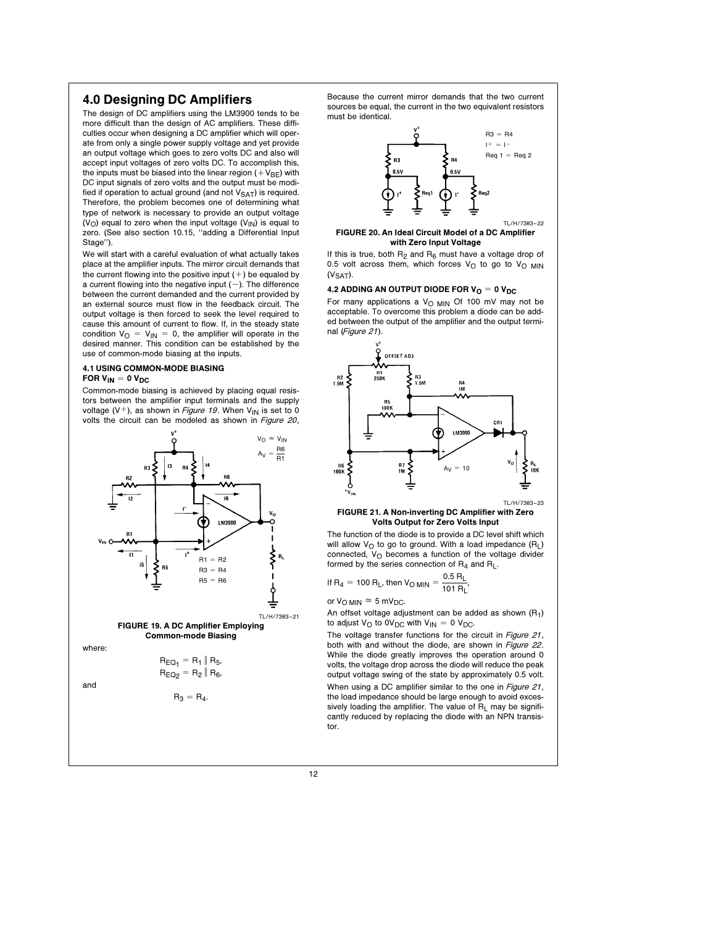# 4.0 Designing DC Amplifiers

The design of DC amplifiers using the LM3900 tends to be more difficult than the design of AC amplifiers. These difficulties occur when designing a DC amplifier which will operate from only a single power supply voltage and yet provide an output voltage which goes to zero volts DC and also will accept input voltages of zero volts DC. To accomplish this, the inputs must be biased into the linear region  $(+V_{BE})$  with DC input signals of zero volts and the output must be modified if operation to actual ground (and not  $V_{\text{SAT}}$ ) is required. Therefore, the problem becomes one of determining what type of network is necessary to provide an output voltage  $(V<sub>O</sub>)$  equal to zero when the input voltage  $(V<sub>IN</sub>)$  is equal to zero. (See also section 10.15, "adding a Differential Input Stage'').

We will start with a careful evaluation of what actually takes place at the amplifier inputs. The mirror circuit demands that the current flowing into the positive input  $(+)$  be equaled by a current flowing into the negative input  $(-)$ . The difference between the current demanded and the current provided by an external source must flow in the feedback circuit. The output voltage is then forced to seek the level required to cause this amount of current to flow. If, in the steady state condition  $V_{\text{O}} = V_{\text{IN}} = 0$ , the amplifier will operate in the desired manner. This condition can be established by the use of common-mode biasing at the inputs.

#### 4.1 USING COMMON-MODE BIASING FOR  $V_{IN} = 0 V_{DC}$

Common-mode biasing is achieved by placing equal resistors between the amplifier input terminals and the supply voltage (V<sup>+</sup>), as shown in *Figure 19*. When V<sub>IN</sub> is set to 0 volts the circuit can be modeled as shown in Figure 20,



$$
R_3 = R_4.
$$

Because the current mirror demands that the two current sources be equal, the current in the two equivalent resistors must be identical.



FIGURE 20. An Ideal Circuit Model of a DC Amplifier with Zero Input Voltage

If this is true, both  $R_2$  and  $R_6$  must have a voltage drop of 0.5 volt across them, which forces  $V_O$  to go to  $V_O$  MIN  $(V<sub>SAT</sub>)$ .

# 4.2 ADDING AN OUTPUT DIODE FOR  $V_{\text{O}} = 0$   $V_{\text{DC}}$

For many applications a  $V<sub>O MIN</sub>$  Of 100 mV may not be acceptable. To overcome this problem a diode can be added between the output of the amplifier and the output terminal (Figure 21).



#### FIGURE 21. A Non-inverting DC Amplifier with Zero Volts Output for Zero Volts Input

The function of the diode is to provide a DC level shift which will allow  $V_O$  to go to ground. With a load impedance  $(R_L)$ connected,  $V_O$  becomes a function of the voltage divider formed by the series connection of  $R_4$  and  $R_L$ .

If R<sub>4</sub> = 100 R<sub>L</sub>, then V<sub>O MIN</sub> = 
$$
\frac{0.5 R_L}{101 R_L}
$$
,

or  $V_{\text{O MIN}} \cong 5 \text{ mV}_{\text{DC}}$ .

An offset voltage adjustment can be added as shown  $(R_1)$ to adjust  $V_O$  to  $0V_{DC}$  with  $V_{IN} = 0 V_{DC}$ .

The voltage transfer functions for the circuit in Figure 21, both with and without the diode, are shown in Figure 22. While the diode greatly improves the operation around 0 volts, the voltage drop across the diode will reduce the peak output voltage swing of the state by approximately 0.5 volt. When using a DC amplifier similar to the one in Figure 21, the load impedance should be large enough to avoid excessively loading the amplifier. The value of  $R_L$  may be significantly reduced by replacing the diode with an NPN transistor.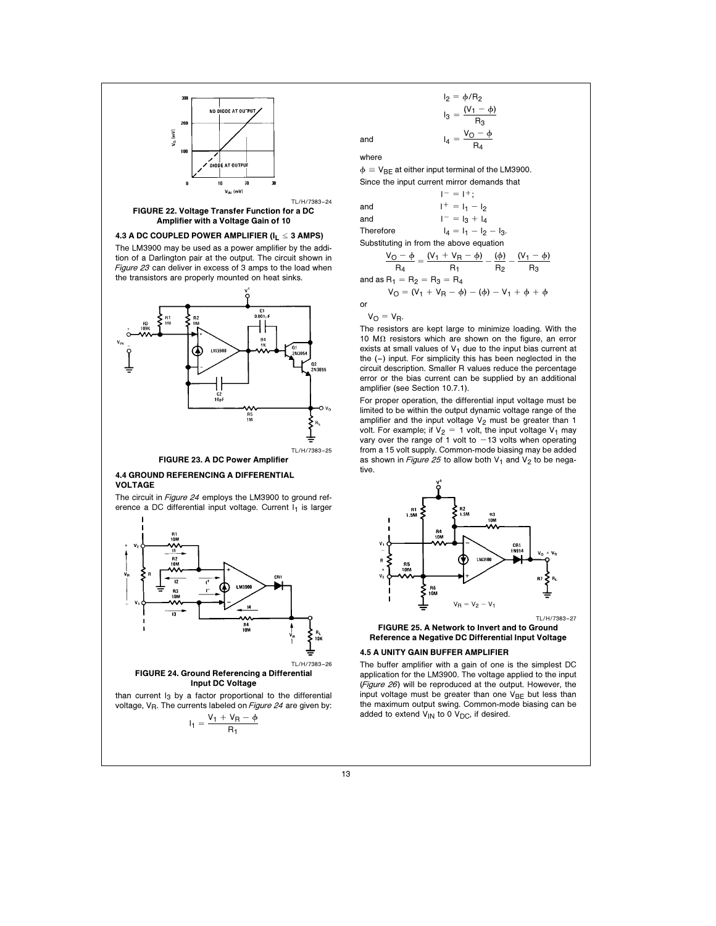



FIGURE 24. Ground Referencing a Differential Input DC Voltage

than current  $I_3$  by a factor proportional to the differential voltage,  $V_R$ . The currents labeled on Figure 24 are given by:

$$
I_1 = \frac{V_1 + V_R - \varphi}{R_1}
$$

$$
I_2 = \phi/R_2
$$
  

$$
I_3 = \frac{(V_1 - \phi)}{R_3}
$$
  
and  

$$
I_4 = \frac{V_O - \phi}{R_3}
$$

 $R_4$ 

 $R_{2}$ 

 $R_3$ 

where

 $\phi = V_{BF}$  at either input terminal of the LM3900. Since the input current mirror demands that

 $I^- = I^+;$ and  $I^+ = I_1 - I_2$ and  $I^- = I_3 + I_4$ Therefore  $I_4 = I_1 - I_2 - I_3$ .

Substituting in from the above equation  
\n
$$
\frac{V_O - \phi}{V_1} = \frac{(V_1 + V_R - \phi)}{V_2} - \frac{(\phi)}{(\phi)} = \frac{(V_1 - \phi)}{(\phi)}
$$

 $R_4$ R1 and as  $R_1 = R_2 = R_3 = R_4$  $V_{\text{O}} = (V_1 + V_{\text{R}} - \phi) - (\phi) - V_1 + \phi + \phi$ or

 $V_O = V_R$ .

The resistors are kept large to minimize loading. With the 10  $M\Omega$  resistors which are shown on the figure, an error exists at small values of  $V_1$  due to the input bias current at the  $(-)$  input. For simplicity this has been neglected in the circuit description. Smaller R values reduce the percentage error or the bias current can be supplied by an additional amplifier (see Section 10.7.1).

For proper operation, the differential input voltage must be limited to be within the output dynamic voltage range of the amplifier and the input voltage  $V_2$  must be greater than 1 volt. For example; if  $V_2 = 1$  volt, the input voltage V<sub>1</sub> may vary over the range of 1 volt to  $-13$  volts when operating from a 15 volt supply. Common-mode biasing may be added as shown in Figure 25 to allow both  $V_1$  and  $V_2$  to be negative.



FIGURE 25. A Network to Invert and to Ground Reference a Negative DC Differential Input Voltage

# 4.5 A UNITY GAIN BUFFER AMPLIFIER

The buffer amplifier with a gain of one is the simplest DC application for the LM3900. The voltage applied to the input (Figure 26) will be reproduced at the output. However, the input voltage must be greater than one  $V_{BE}$  but less than the maximum output swing. Common-mode biasing can be added to extend  $\mathsf{V}_{\mathsf{IN}}$  to 0  $\mathsf{V}_{\mathsf{DC}}$ , if desired.

13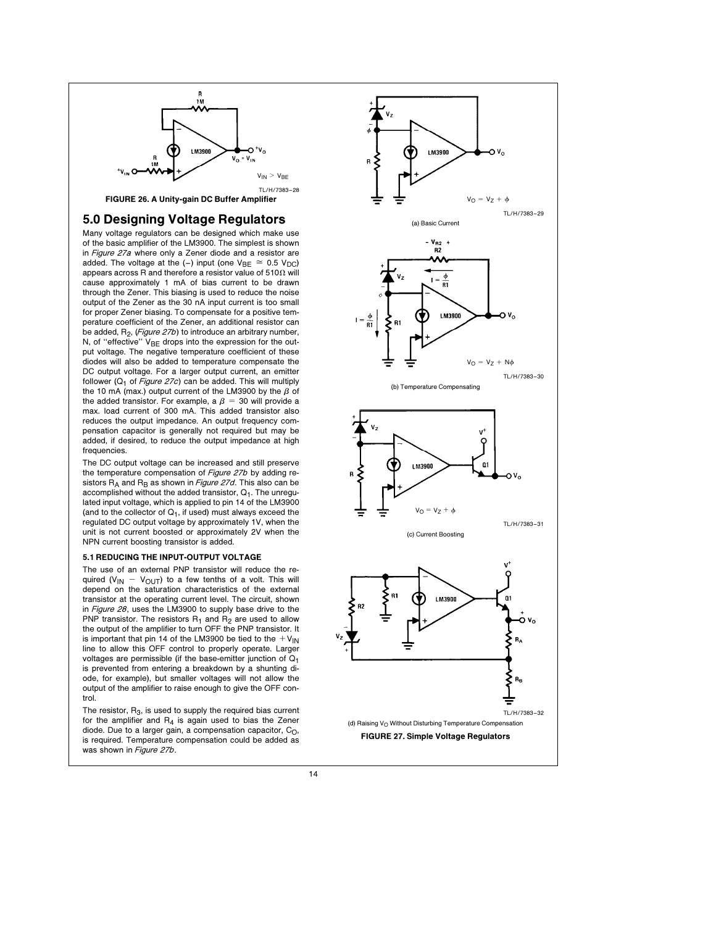

# 5.0 Designing Voltage Regulators

Many voltage regulators can be designed which make use of the basic amplifier of the LM3900. The simplest is shown in Figure 27a where only a Zener diode and a resistor are added. The voltage at the (-) input (one  $V_{BE} \cong 0.5$  V<sub>DC</sub>) appears across R and therefore a resistor value of 510 $\Omega$  will cause approximately 1 mA of bias current to be drawn through the Zener. This biasing is used to reduce the noise output of the Zener as the 30 nA input current is too small for proper Zener biasing. To compensate for a positive temperature coefficient of the Zener, an additional resistor can be added,  $R_2$ , (Figure 27b) to introduce an arbitrary number, N, of "effective"  $V_{BE}$  drops into the expression for the output voltage. The negative temperature coefficient of these diodes will also be added to temperature compensate the DC output voltage. For a larger output current, an emitter follower ( $Q_1$  of Figure 27c) can be added. This will multiply the 10 mA (max.) output current of the LM3900 by the  $\beta$  of the added transistor. For example, a  $\beta$  = 30 will provide a max. load current of 300 mA. This added transistor also reduces the output impedance. An output frequency compensation capacitor is generally not required but may be added, if desired, to reduce the output impedance at high frequencies.

The DC output voltage can be increased and still preserve the temperature compensation of Figure 27b by adding resistors  $R_A$  and  $R_B$  as shown in *Figure 27d*. This also can be accomplished without the added transistor,  $Q_1$ . The unregulated input voltage, which is applied to pin 14 of the LM3900 (and to the collector of  $Q_1$ , if used) must always exceed the regulated DC output voltage by approximately 1V, when the unit is not current boosted or approximately 2V when the NPN current boosting transistor is added.

#### 5.1 REDUCING THE INPUT-OUTPUT VOLTAGE

The use of an external PNP transistor will reduce the required (V<sub>IN</sub> - V<sub>OUT</sub>) to a few tenths of a volt. This will depend on the saturation characteristics of the external transistor at the operating current level. The circuit, shown in Figure 28, uses the LM3900 to supply base drive to the PNP transistor. The resistors  $R_1$  and  $R_2$  are used to allow the output of the amplifier to turn OFF the PNP transistor. It is important that pin 14 of the LM3900 be tied to the  $V_{\text{IN}}$ line to allow this OFF control to properly operate. Larger voltages are permissible (if the base-emitter junction of  $Q_1$ ) is prevented from entering a breakdown by a shunting diode, for example), but smaller voltages will not allow the output of the amplifier to raise enough to give the OFF control.

The resistor,  $R_3$ , is used to supply the required bias current for the amplifier and  $R_4$  is again used to bias the Zener diode. Due to a larger gain, a compensation capacitor,  $C_O$ , is required. Temperature compensation could be added as was shown in Figure 27b.

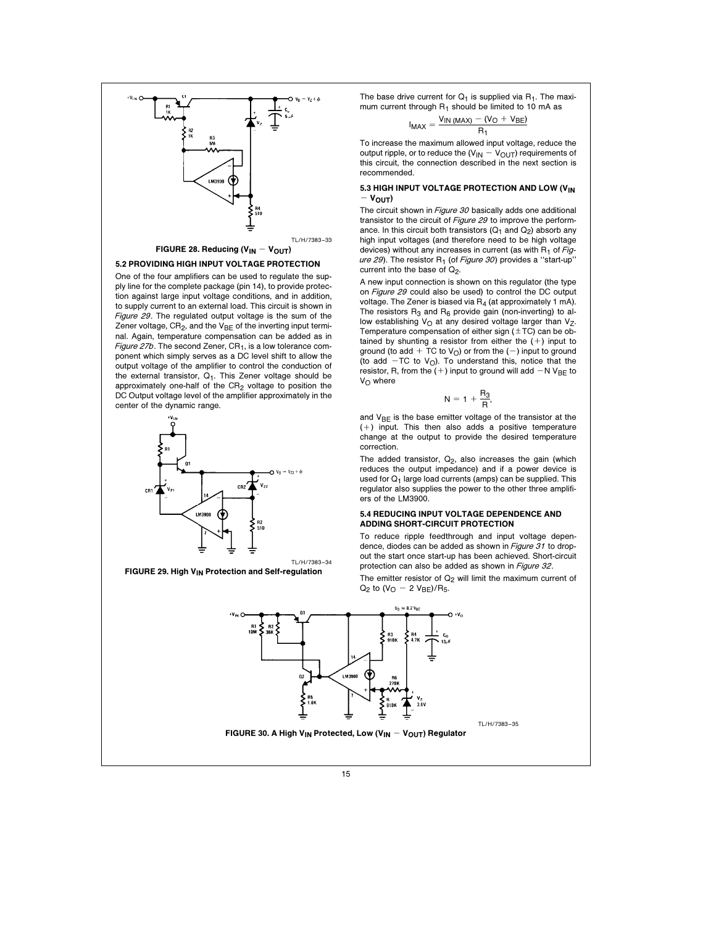

#### 5.2 PROVIDING HIGH INPUT VOLTAGE PROTECTION

One of the four amplifiers can be used to regulate the supply line for the complete package (pin 14), to provide protection against large input voltage conditions, and in addition, to supply current to an external load. This circuit is shown in Figure 29. The regulated output voltage is the sum of the Zener voltage,  $CR_2$ , and the  $V_{BE}$  of the inverting input terminal. Again, temperature compensation can be added as in Figure 27b. The second Zener,  $CR<sub>1</sub>$ , is a low tolerance component which simply serves as a DC level shift to allow the output voltage of the amplifier to control the conduction of the external transistor,  $Q_1$ . This Zener voltage should be approximately one-half of the  $CR<sub>2</sub>$  voltage to position the DC Output voltage level of the amplifier approximately in the center of the dynamic range.





The base drive current for  $Q_1$  is supplied via  $R_1$ . The maximum current through R<sub>1</sub> should be limited to 10 mA as<br>  $V_{13,44332} = (V_0 + V_{15})$ 

$$
I_{MAX} = \frac{V_{IN \, (MAX)} - (V_O + V_{BE})}{R_1}
$$

To increase the maximum allowed input voltage, reduce the output ripple, or to reduce the  $(V_{IN} - V_{OUT})$  requirements of this circuit, the connection described in the next section is recommended.

#### 5.3 HIGH INPUT VOLTAGE PROTECTION AND LOW (VIN  $-V_{\text{OUT}}$

The circuit shown in *Figure 30* basically adds one additional transistor to the circuit of Figure 29 to improve the performance. In this circuit both transistors  $(Q_1$  and  $Q_2)$  absorb any high input voltages (and therefore need to be high voltage devices) without any increases in current (as with  $R_1$  of  $Fig$ ure 29). The resistor  $R_1$  (of Figure 30) provides a "start-up" current into the base of  $Q_2$ .

A new input connection is shown on this regulator (the type on Figure 29 could also be used) to control the DC output voltage. The Zener is biased via  $R_4$  (at approximately 1 mA). The resistors  $R_3$  and  $R_6$  provide gain (non-inverting) to allow establishing  $V<sub>O</sub>$  at any desired voltage larger than  $V<sub>Z</sub>$ . Temperature compensation of either sign  $(\pm TC)$  can be obtained by shunting a resistor from either the  $(+)$  input to ground (to add + TC to  $V_O$ ) or from the (-) input to ground (to add  $-TC$  to V<sub>O</sub>). To understand this, notice that the resistor, R, from the  $(+)$  input to ground will add  $-N V_{BE}$  to  $V_{\Omega}$  where

$$
N=1+\frac{R_3}{R},\quad
$$

and  $V_{BE}$  is the base emitter voltage of the transistor at the  $(+)$  input. This then also adds a positive temperature change at the output to provide the desired temperature correction.

The added transistor,  $Q_2$ , also increases the gain (which reduces the output impedance) and if a power device is used for  $Q_1$  large load currents (amps) can be supplied. This regulator also supplies the power to the other three amplifiers of the LM3900.

## 5.4 REDUCING INPUT VOLTAGE DEPENDENCE AND ADDING SHORT-CIRCUIT PROTECTION

To reduce ripple feedthrough and input voltage dependence, diodes can be added as shown in Figure 31 to dropout the start once start-up has been achieved. Short-circuit protection can also be added as shown in Figure 32.

The emitter resistor of  $Q_2$  will limit the maximum current of  $Q_2$  to (V<sub>O</sub> - 2 V<sub>BE</sub>)/R<sub>5</sub>.

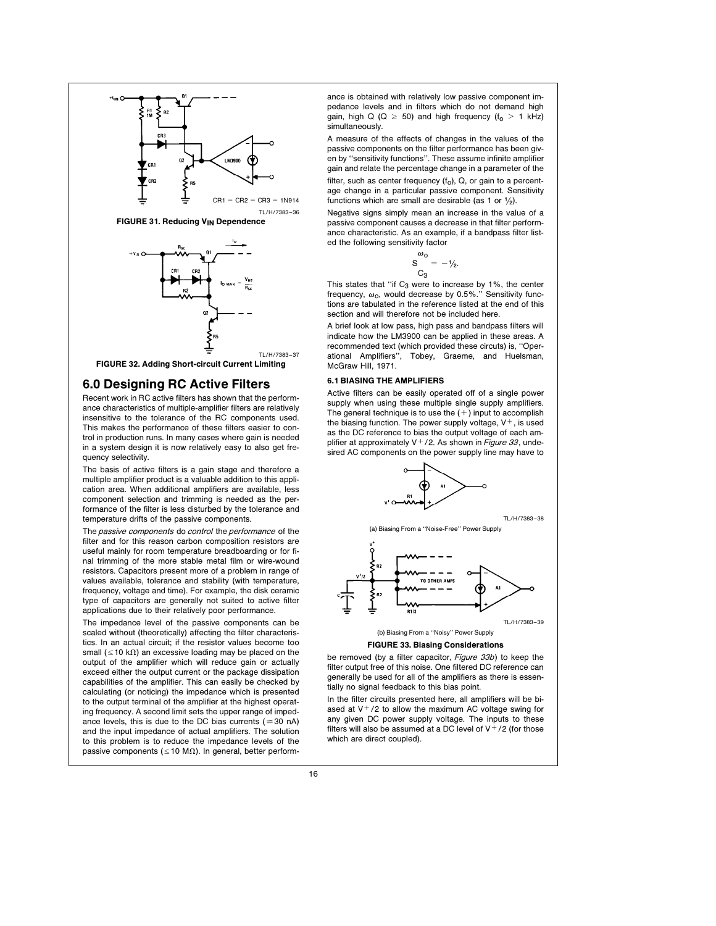







# 6.0 Designing RC Active Filters

Recent work in RC active filters has shown that the performance characteristics of multiple-amplifier filters are relatively insensitive to the tolerance of the RC components used. This makes the performance of these filters easier to control in production runs. In many cases where gain is needed in a system design it is now relatively easy to also get frequency selectivity.

The basis of active filters is a gain stage and therefore a multiple amplifier product is a valuable addition to this application area. When additional amplifiers are available, less component selection and trimming is needed as the performance of the filter is less disturbed by the tolerance and temperature drifts of the passive components.

The passive components do control the performance of the filter and for this reason carbon composition resistors are useful mainly for room temperature breadboarding or for final trimming of the more stable metal film or wire-wound resistors. Capacitors present more of a problem in range of values available, tolerance and stability (with temperature, frequency, voltage and time). For example, the disk ceramic type of capacitors are generally not suited to active filter applications due to their relatively poor performance.

The impedance level of the passive components can be scaled without (theoretically) affecting the filter characteristics. In an actual circuit; if the resistor values become too small ( $\leq$ 10 k $\Omega$ ) an excessive loading may be placed on the output of the amplifier which will reduce gain or actually exceed either the output current or the package dissipation capabilities of the amplifier. This can easily be checked by calculating (or noticing) the impedance which is presented to the output terminal of the amplifier at the highest operating frequency. A second limit sets the upper range of impedance levels, this is due to the DC bias currents ( $\approx$  30 nA) and the input impedance of actual amplifiers. The solution to this problem is to reduce the impedance levels of the passive components ( $\leq$ 10 M $\Omega$ ). In general, better performance is obtained with relatively low passive component impedance levels and in filters which do not demand high gain, high Q (Q  $\ge$  50) and high frequency (f<sub>o</sub>  $>$  1 kHz) simultaneously.

A measure of the effects of changes in the values of the passive components on the filter performance has been given by ''sensitivity functions''. These assume infinite amplifier gain and relate the percentage change in a parameter of the filter, such as center frequency  $(f_0)$ ,  $Q$ , or gain to a percentage change in a particular passive component. Sensitivity functions which are small are desirable (as 1 or  $\frac{1}{2}$ ).

Negative signs simply mean an increase in the value of a passive component causes a decrease in that filter performance characteristic. As an example, if a bandpass filter listed the following sensitivity factor

$$
S\frac{\omega_0}{C_3}=-1\rlap/_{2}.
$$

This states that "if  $C_3$  were to increase by 1%, the center frequency,  $\omega_0$ , would decrease by 0.5%." Sensitivity functions are tabulated in the reference listed at the end of this section and will therefore not be included here.

A brief look at low pass, high pass and bandpass filters will indicate how the LM3900 can be applied in these areas. A recommended text (which provided these circuts) is, ''Operational Amplifiers'', Tobey, Graeme, and Huelsman, McGraw Hill, 1971.

# 6.1 BIASING THE AMPLIFIERS

Active filters can be easily operated off of a single power supply when using these multiple single supply amplifiers. The general technique is to use the  $(+)$  input to accomplish the biasing function. The power supply voltage,  $V^+$ , is used as the DC reference to bias the output voltage of each amplifier at approximately  $V^+/2$ . As shown in Figure 33, undesired AC components on the power supply line may have to



(a) Biasing From a ''Noise-Free'' Power Supply

TL/H/7383 –38





#### FIGURE 33. Biasing Considerations

be removed (by a filter capacitor, Figure 33b) to keep the filter output free of this noise. One filtered DC reference can generally be used for all of the amplifiers as there is essentially no signal feedback to this bias point.

In the filter circuits presented here, all amplifiers will be biased at  $V^+/2$  to allow the maximum AC voltage swing for any given DC power supply voltage. The inputs to these filters will also be assumed at a DC level of  $V^+/2$  (for those which are direct coupled).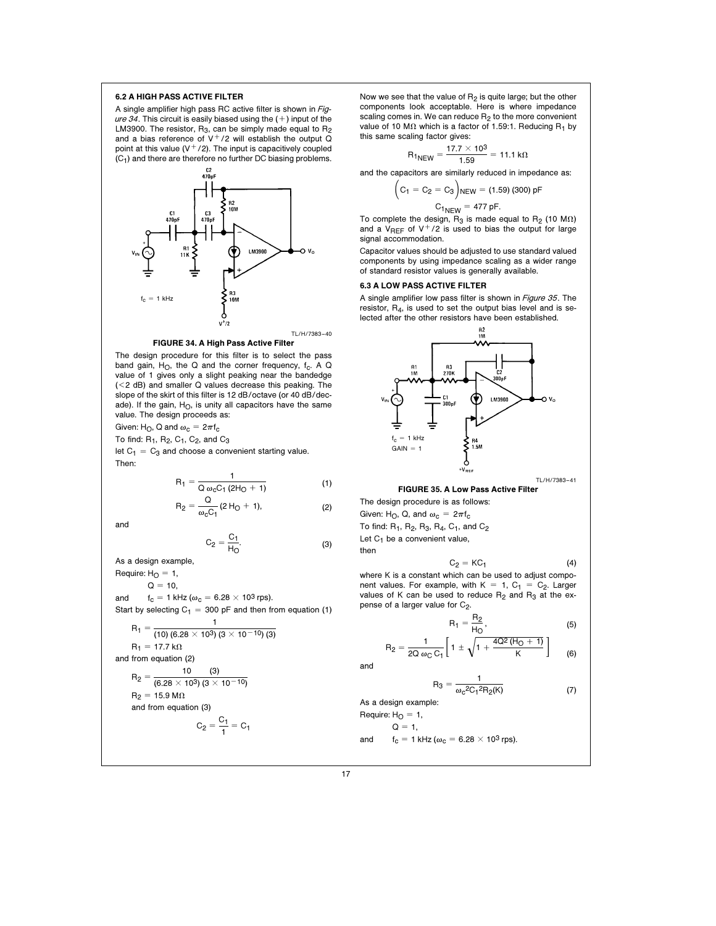## 6.2 A HIGH PASS ACTIVE FILTER

A single amplifier high pass RC active filter is shown in Figure 34. This circuit is easily biased using the  $(+)$  input of the LM3900. The resistor,  $R_3$ , can be simply made equal to  $R_2$ and a bias reference of  $V^+/2$  will establish the output Q point at this value  $(V<sup>+</sup>/2)$ . The input is capacitively coupled  $(C_1)$  and there are therefore no further DC biasing problems.





The design procedure for this filter is to select the pass band gain,  $H_O$ , the Q and the corner frequency,  $f_C$ . A Q value of 1 gives only a slight peaking near the bandedge (<2 dB) and smaller Q values decrease this peaking. The slope of the skirt of this filter is 12 dB/octave (or 40 dB/decade). If the gain,  $H<sub>O</sub>$ , is unity all capacitors have the same value. The design proceeds as:

Given: H<sub>O</sub>, Q and  $\omega_c = 2\pi f_c$ 

To find:  $R_1$ ,  $R_2$ ,  $C_1$ ,  $C_2$ , and  $C_3$ 

let  $C_1 = C_3$  and choose a convenient starting value. Then:

$$
R_1 = \frac{1}{Q \omega_c C_1 (2H_0 + 1)}
$$
 (1)

$$
R_2 = \frac{Q}{\omega_c C_1} (2 H_0 + 1),
$$
 (2)

and

$$
C_2 = \frac{C_1}{H_O}.\tag{3}
$$

As a design example,

Require:  $H<sub>O</sub> = 1$ ,  $Q = 10$ , and  $f_c = 1$  kHz ( $\omega_c = 6.28 \times 10^3$  rps). Start by selecting  $C_1 = 300$  pF and then from equation (1)  $R_1 = \frac{1}{(10) (6.28 \times 10^3) (3 \times 10^{-10}) (3)}$  $R_1 = 17.7$  k $\Omega$ and from equation (2)  $R_2 = \frac{10}{(6.28 \times 10^3)(3 \times 10^{-10})}$  $R_2$  = 15.9 M $\Omega$ and from equation (3)  $C_2 = \frac{C_1}{1} = C_1$ 

Now we see that the value of  $R_2$  is quite large; but the other components look acceptable. Here is where impedance scaling comes in. We can reduce  $R_2$  to the more convenient value of 10 M $\Omega$  which is a factor of 1.59:1. Reducing R<sub>1</sub> by this same scaling factor gives:

$$
R_{1NEW} = \frac{17.7 \times 10^3}{1.59} = 11.1 \text{ k}\Omega
$$

and the capacitors are similarly reduced in impedance as:

$$
C_2 = C_3
$$
  

$$
C_{1NEW} = (1.59) (300) pF
$$
  

$$
C_{1NEW} = 477 pF.
$$

To complete the design,  $R_3$  is made equal to  $R_2$  (10 M $\Omega$ ) and a V<sub>RFF</sub> of V<sup>+</sup>/2 is used to bias the output for large signal accommodation.

Capacitor values should be adjusted to use standard valued components by using impedance scaling as a wider range of standard resistor values is generally available.

# 6.3 A LOW PASS ACTIVE FILTER

(  $C_1 =$ 

A single amplifier low pass filter is shown in *Figure 35*. The resistor, R4, is used to set the output bias level and is selected after the other resistors have been established.



#### FIGURE 35. A Low Pass Active Filter

The design procedure is as follows: Given: H<sub>O</sub>, Q, and  $\omega_c = 2\pi f_c$ To find:  $R_1$ ,  $R_2$ ,  $R_3$ ,  $R_4$ ,  $C_1$ , and  $C_2$ Let  $C_1$  be a convenient value,

then

$$
C_2 = KC_1 \tag{4}
$$

where K is a constant which can be used to adjust component values. For example, with  $K = 1$ ,  $C_1 = C_2$ . Larger values of K can be used to reduce  $R_2$  and  $R_3$  at the expense of a larger value for C<sub>2</sub>.

$$
R_1 = \frac{R_2}{H_O},\tag{5}
$$

$$
R_2 = \frac{1}{2Q \omega_C C_1} \left[ 1 \pm \sqrt{1 + \frac{4Q^2 (H_0 + 1)}{K}} \right] \tag{6}
$$

and

$$
R_3 = \frac{1}{\omega_c^2 C_1^2 R_2(K)}\tag{7}
$$

As a design example:

$$
Required: H_O = 1,
$$

 $Q = 1$ ,

and  $f_c = 1$  kHz ( $\omega_c = 6.28 \times 10^3$  rps).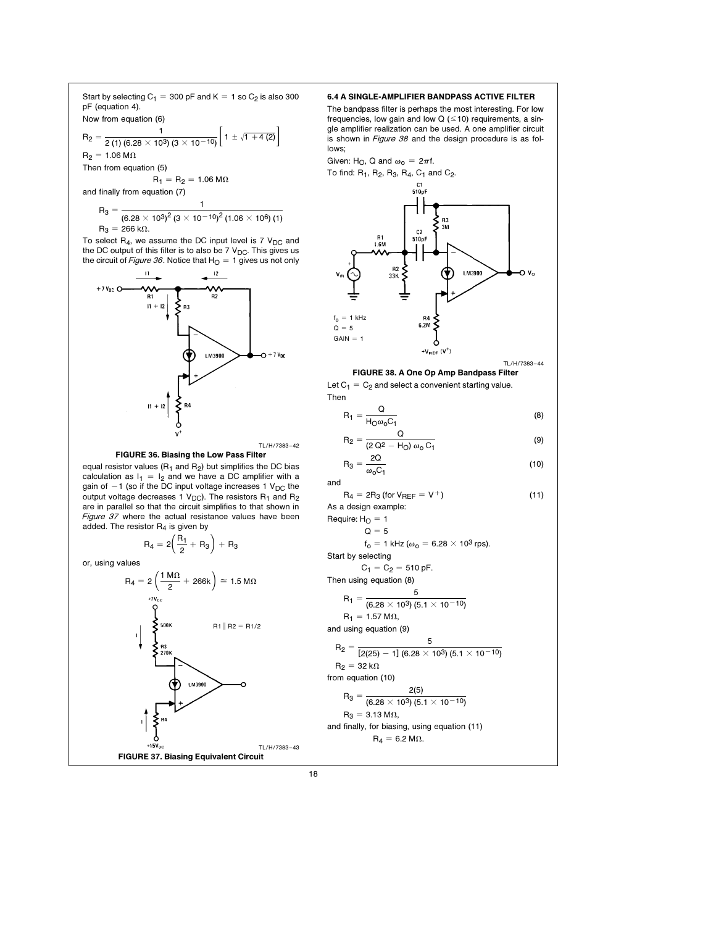Start by selecting  $C_1 = 300$  pF and K = 1 so  $C_2$  is also 300 pF (equation 4). Now from equation (6)

R<sub>2</sub> = 
$$
\frac{1}{2(1)(6.28 \times 10^3)(3 \times 10^{-10})} \left[1 \pm \sqrt{1+4(2)}\right]
$$
  
R<sub>2</sub> = 1.06 MΩ  
Then from equation (5)  
R<sub>1</sub> = R<sub>2</sub> = 1.06 MΩ

and finally from equation (7)

$$
\begin{aligned} R_3 &= \frac{1}{(6.28 \times 10^3)^2 (3 \times 10^{-10})^2 (1.06 \times 10^6) (1)} \\ R_3 &= 266 \, k\Omega. \end{aligned}
$$

To select  $R_4$ , we assume the DC input level is 7  $V_{DC}$  and the DC output of this filter is to also be 7  $V_{DC}$ . This gives us the circuit of Figure 36. Notice that  $H<sub>O</sub> = 1$  gives us not only



TL/H/7383 –42 FIGURE 36. Biasing the Low Pass Filter

equal resistor values ( $R_1$  and  $R_2$ ) but simplifies the DC bias calculation as  $I_1 = I_2$  and we have a DC amplifier with a gain of  $-1$  (so if the DC input voltage increases 1 V<sub>DC</sub> the output voltage decreases 1  $V_{DC}$ ). The resistors  $R_1$  and  $R_2$ are in parallel so that the circuit simplifies to that shown in Figure 37 where the actual resistance values have been added. The resistor  $R_4$  is given by

$$
R_4 = 2\left(\frac{R_1}{2} + R_3\right) + R_3
$$

or, using values



# 6.4 A SINGLE-AMPLIFIER BANDPASS ACTIVE FILTER

The bandpass filter is perhaps the most interesting. For low frequencies, low gain and low  $Q$  ( $\leq$ 10) requirements, a single amplifier realization can be used. A one amplifier circuit is shown in Figure 38 and the design procedure is as follows;

Given: H<sub>O</sub>, Q and  $\omega_0 = 2\pi f$ .



TL/H/7383 –44 FIGURE 38. A One Op Amp Bandpass Filter

Let  $C_1 = C_2$  and select a convenient starting value.

Then  
\n
$$
R_1 = \frac{Q}{H_0 \omega_0 C_1}
$$
\n(8)

$$
R_2 = \frac{Q}{(2 \Omega^2 - H_0) \omega_0 C_1}
$$
 (9)

$$
R_3 = \frac{2Q}{\omega_0 C_1}
$$
 (10)

 $R_4 = 2R_3$  (for  $V_{REF} = V^+$ ) (11) As a design example:

Require:  $H<sub>O</sub> = 1$ 

Q = 5  

$$
f_0 = 1
$$
 kHz ( $\omega_0 = 6.28 \times 10^3$  rps).

Start by selecting  $C_1 = C_2 = 510$  pF.

Then using equation (8)

$$
R_1 = \frac{5}{(6.28 \times 10^3)(5.1 \times 10^{-10})}
$$

 $R_1 = 1.57 M\Omega,$ 

and using equation (9)

$$
\mathsf{R}_2 = \frac{5}{[2(25)-1]~(6.28\times 10^3)~(5.1\times 10^{-10})}
$$

$$
R_2 = 32 k\Omega
$$
  
from equation (10)

$$
100 \text{ m} \cdot \text{equation}
$$

$$
R_3 = \frac{2(5)}{(6.28 \times 10^3)(5.1 \times 10^{-10})}
$$
  
 
$$
R_3 = 3.13 \text{ M}\Omega,
$$

and finally, for biasing, using equation (11)  

$$
R_4 = 6.2 M\Omega.
$$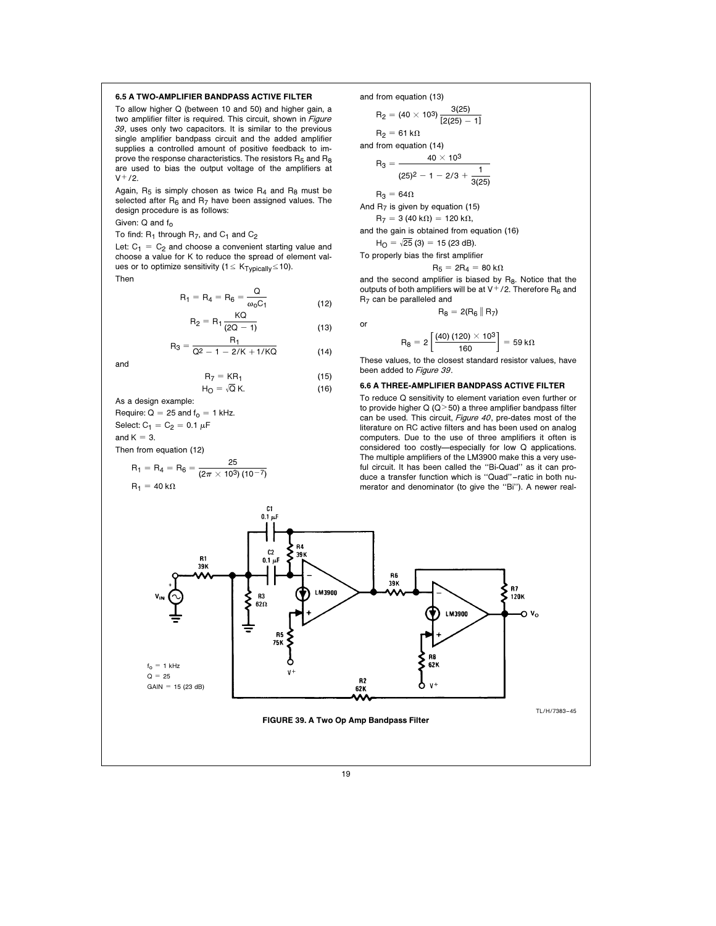#### 6.5 A TWO-AMPLIFIER BANDPASS ACTIVE FILTER

To allow higher Q (between 10 and 50) and higher gain, a two amplifier filter is required. This circuit, shown in Figure 39, uses only two capacitors. It is similar to the previous single amplifier bandpass circuit and the added amplifier supplies a controlled amount of positive feedback to improve the response characteristics. The resistors  $R_5$  and  $R_8$ are used to bias the output voltage of the amplifiers at  $V^{+}/2.$ 

Again,  $R_5$  is simply chosen as twice  $R_4$  and  $R_8$  must be selected after  $R_6$  and  $R_7$  have been assigned values. The design procedure is as follows:

Given:  $Q$  and  $f_0$ 

To find:  $R_1$  through  $R_7$ , and  $C_1$  and  $C_2$ 

Let:  $C_1 = C_2$  and choose a convenient starting value and choose a value for K to reduce the spread of element values or to optimize sensitivity ( $1 \leq K_{\text{Typically}} \leq 10$ ).

Then

$$
R_1 = R_4 = R_6 = \frac{Q}{\omega_0 C_1}
$$
 (12)

$$
R_2 = R_1 \frac{KQ}{(2Q - 1)}
$$
 (13)

$$
R_3 = \frac{R_1}{Q^2 - 1 - 2/K + 1/KQ} \tag{14}
$$

and

$$
R_7 = KR_1
$$
 (15)  

$$
H_O = \sqrt{Q} K.
$$
 (16)

As a design example: Require:  $Q = 25$  and  $f<sub>0</sub> = 1$  kHz. Select:  $C_1 = C_2 = 0.1 \mu F$ and  $K = 3$ .

Then from equation (12)

$$
R_1 = R_4 = R_6 = \frac{25}{(2\pi \times 10^3) (10^{-7})}
$$
  
 
$$
R_1 = 40 \text{ k}\Omega
$$

and from equation (13)

$$
R_2 = (40 \times 10^3) \frac{3(25)}{[2(25) - 1]}
$$

 $R_2 = 61 k\Omega$ and from equation (14)

$$
R_3 = \frac{40 \times 10^3}{}
$$

$$
(25)^2-1-2/3+\frac{1}{3(25)}
$$

 $R_3 = 64\Omega$ 

or

And  $R_7$  is given by equation (15)

 $R_7 = 3 (40 k\Omega) = 120 k\Omega,$ and the gain is obtained from equation (16)

 $H<sub>O</sub> = \sqrt{25}$  (3) = 15 (23 dB). To properly bia

$$
R_5=2R_4=80\,\text{k}\Omega
$$

and the second amplifier is biased by  $R_8$ . Notice that the outputs of both amplifiers will be at  $V^+/2$ . Therefore R<sub>6</sub> and R7 can be paralleled and

 $R_8 = 2(R_6 || R_7)$ 

$$
\mathsf{R}_8 = 2 \left[ \frac{(40) (120) \times 10^3}{160} \right] = 59 \,\mathrm{k}\Omega
$$

These values, to the closest standard resistor values, have been added to Figure 39.

## 6.6 A THREE-AMPLIFIER BANDPASS ACTIVE FILTER

To reduce Q sensitivity to element variation even further or to provide higher Q ( $Q > 50$ ) a three amplifier bandpass filter can be used. This circuit, Figure 40, pre-dates most of the literature on RC active filters and has been used on analog computers. Due to the use of three amplifiers it often is considered too costly—especially for low Q applications. The multiple amplifiers of the LM3900 make this a very useful circuit. It has been called the ''Bi-Quad'' as it can produce a transfer function which is ''Quad'' – ratic in both numerator and denominator (to give the ''Bi''). A newer real-

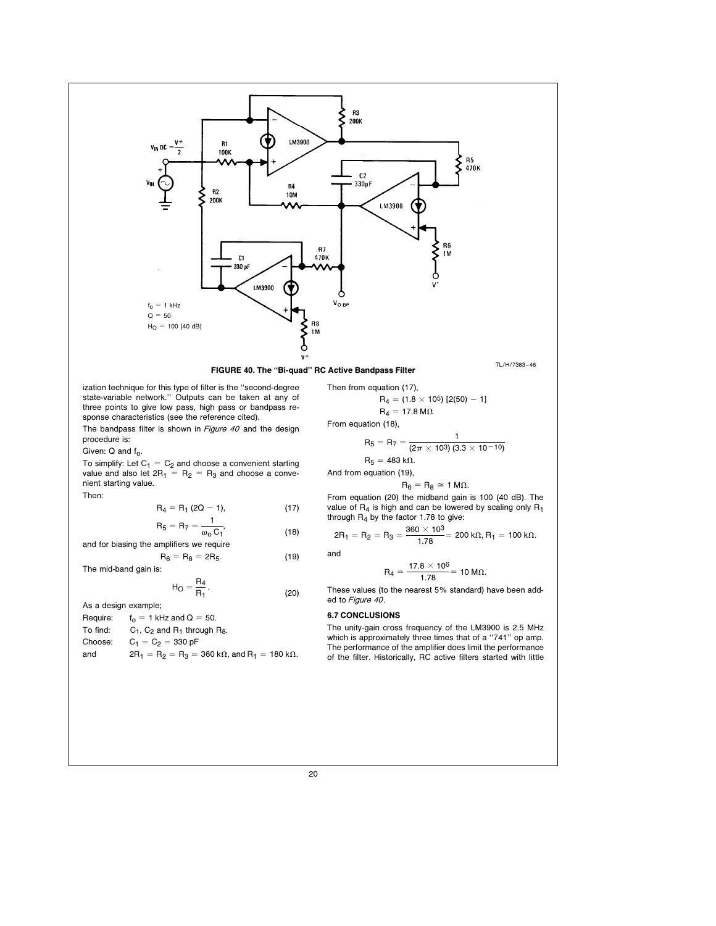

ization technique for this type of filter is the ''second-degree state-variable network.'' Outputs can be taken at any of three points to give low pass, high pass or bandpass response characteristics (see the reference cited).

The bandpass filter is shown in Figure 40 and the design procedure is:

Given:  $Q$  and  $f_Q$ .

To simplify: Let  $C_1 = C_2$  and choose a convenient starting value and also let  $2R_1 = R_2 = R_3$  and choose a convenient starting value.

Then:

$$
R_4 = R_1 (2Q - 1),
$$
 (17)

$$
R_5 = R_7 = \frac{1}{\omega_0 C_1},
$$
 (18)

and for biasing the amplifiers we require  $R_6 = R_8 = 2R_5.$  (19)

The mid-band gain is:

$$
H_O = \frac{R_4}{R_1}.
$$
 (20)

As a design example;

Require:  $f_0 = 1$  kHz and  $Q = 50$ .<br>To find:  $C_1$ ,  $C_2$  and  $R_1$  through F

To find:  $C_1$ ,  $C_2$  and  $R_1$  through  $R_8$ .<br>Choose:  $C_1 = C_2 = 330 \text{ pF}$ 

 $C_1 = C_2 = 330 \text{ pF}$ 

and 
$$
2R_1 = R_2 = R_3 = 360 \text{ k}\Omega
$$
, and  $R_1 = 180 \text{ k}\Omega$ .

$$
R_4 = (1.8 \times 10^5) [2(50) - 1]
$$
  
 
$$
R_4 = 17.8 M\Omega
$$

From equation (18),

$$
R_5 = R_7 = \frac{1}{(2\pi \times 10^3)(3.3 \times 10^{-10})}
$$
  

$$
R_5 = 483 \text{ k}\Omega.
$$

And from equation (19),

$$
R_6 = R_8 \cong 1 \text{ M}\Omega.
$$

From equation (20) the midband gain is 100 (40 dB). The value of 
$$
R_4
$$
 is high and can be lowered by scaling only  $R_1$  through  $R_4$  by the factor 1.78 to give:

trough H<sub>4</sub> by the factor 1.78 to give:  
\n
$$
2R_1 = R_2 = R_3 = \frac{360 \times 10^3}{1.78} = 200 \text{ k}\Omega, R_1 = 100 \text{ k}\Omega.
$$

and

$$
R_4 = \frac{17.8 \times 10^6}{1.78} = 10 \text{ M}\Omega.
$$

These values (to the nearest 5% standard) have been added to Figure 40.

# 6.7 CONCLUSIONS

The unity-gain cross frequency of the LM3900 is 2.5 MHz which is approximately three times that of a "741" op amp. The performance of the amplifier does limit the performance of the filter. Historically, RC active filters started with little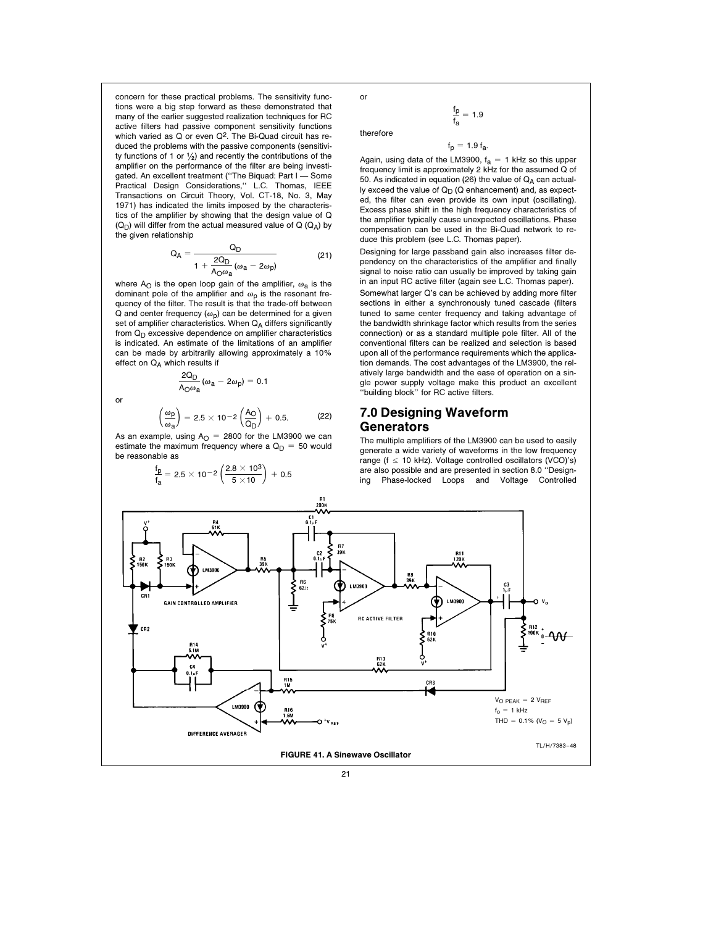concern for these practical problems. The sensitivity functions were a big step forward as these demonstrated that many of the earlier suggested realization techniques for RC active filters had passive component sensitivity functions which varied as Q or even Q2. The Bi-Quad circuit has reduced the problems with the passive components (sensitivity functions of 1 or  $\frac{1}{2}$  and recently the contributions of the amplifier on the performance of the filter are being investigated. An excellent treatment ("The Biquad: Part I - Some Practical Design Considerations,'' L.C. Thomas, IEEE Transactions on Circuit Theory, Vol. CT-18, No. 3, May 1971) has indicated the limits imposed by the characteristics of the amplifier by showing that the design value of Q  $(Q_D)$  will differ from the actual measured value of Q  $(Q_A)$  by the given relationship

$$
Q_A = \frac{Q_D}{1 + \frac{2Q_D}{A_O\omega_a}(\omega_a - 2\omega_p)}
$$
(21)

where A<sub>O</sub> is the open loop gain of the amplifier,  $\omega_a$  is the dominant pole of the amplifier and  $\omega_{\rm p}$  is the resonant frequency of the filter. The result is that the trade-off between Q and center frequency  $(\omega_{p})$  can be determined for a given set of amplifier characteristics. When  $Q_A$  differs significantly from  $Q_D$  excessive dependence on amplifier characteristics is indicated. An estimate of the limitations of an amplifier can be made by arbitrarily allowing approximately a 10% effect on  $Q_A$  which results if

2Q<sub>D</sub>

or

$$
\left(\frac{\omega_{p}}{\omega_{a}}\right)=2.5\times10^{-2}\left(\frac{A_{O}}{Q_{D}}\right)+0.5.\hspace{1cm} (22)
$$

As an example, using  $A<sub>O</sub> = 2800$  for the LM3900 we can estimate the maximum frequency where a  $Q_D = 50$  would be reasonable as

 $\frac{2Q_D}{A_O\omega_a}(\omega_a - 2\omega_p) = 0.1$ 

$$
\frac{f_{\text{D}}}{f_{\text{a}}} = 2.5 \times 10^{-2} \left( \frac{2.8 \times 10^3}{5 \times 10} \right) + 0.5
$$

or

therefore

fp <u>'¤</u> = 1.9<br>f<sub>a</sub>

 $f_p = 1.9 f_a$ .

Again, using data of the LM3900,  $f_a = 1$  kHz so this upper frequency limit is approximately 2 kHz for the assumed Q of 50. As indicated in equation (26) the value of  $Q_A$  can actually exceed the value of  $Q_D$  ( $Q$  enhancement) and, as expected, the filter can even provide its own input (oscillating). Excess phase shift in the high frequency characteristics of the amplifier typically cause unexpected oscillations. Phase compensation can be used in the Bi-Quad network to reduce this problem (see L.C. Thomas paper).

Designing for large passband gain also increases filter dependency on the characteristics of the amplifier and finally signal to noise ratio can usually be improved by taking gain in an input RC active filter (again see L.C. Thomas paper).

Somewhat larger Q's can be achieved by adding more filter sections in either a synchronously tuned cascade (filters tuned to same center frequency and taking advantage of the bandwidth shrinkage factor which results from the series connection) or as a standard multiple pole filter. All of the conventional filters can be realized and selection is based upon all of the performance requirements which the application demands. The cost advantages of the LM3900, the relatively large bandwidth and the ease of operation on a single power supply voltage make this product an excellent ''building block'' for RC active filters.

# 7.0 Designing Waveform Generators

The multiple amplifiers of the LM3900 can be used to easily generate a wide variety of waveforms in the low frequency range ( $f \le 10$  kHz). Voltage controlled oscillators (VCO)'s) are also possible and are presented in section 8.0 ''Designing Phase-locked Loops and Voltage Controlled

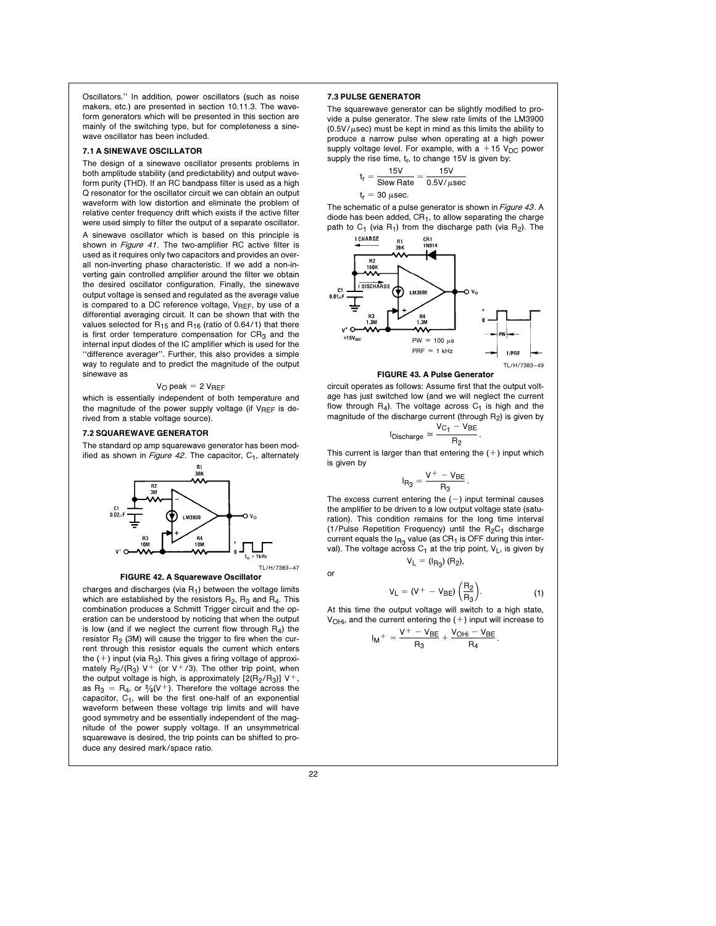Oscillators.'' In addition, power oscillators (such as noise makers, etc.) are presented in section 10.11.3. The waveform generators which will be presented in this section are mainly of the switching type, but for completeness a sinewave oscillator has been included.

#### 7.1 A SINEWAVE OSCILLATOR

The design of a sinewave oscillator presents problems in both amplitude stability (and predictability) and output waveform purity (THD). If an RC bandpass filter is used as a high Q resonator for the oscillator circuit we can obtain an output waveform with low distortion and eliminate the problem of relative center frequency drift which exists if the active filter were used simply to filter the output of a separate oscillator.

A sinewave oscillator which is based on this principle is shown in Figure 41. The two-amplifier RC active filter is used as it requires only two capacitors and provides an overall non-inverting phase characteristic. If we add a non-inverting gain controlled amplifier around the filter we obtain the desired oscillator configuration. Finally, the sinewave output voltage is sensed and regulated as the average value is compared to a DC reference voltage,  $V_{REF}$ , by use of a differential averaging circuit. It can be shown that with the values selected for  $R_{15}$  and  $R_{16}$  (ratio of 0.64/1) that there is first order temperature compensation for  $CR<sub>3</sub>$  and the internal input diodes of the IC amplifier which is used for the ''difference averager''. Further, this also provides a simple way to regulate and to predict the magnitude of the output sinewave as

# $V_O$  peak = 2  $V_{REF}$

which is essentially independent of both temperature and the magnitude of the power supply voltage (if  $V_{REF}$  is derived from a stable voltage source).

## 7.2 SQUAREWAVE GENERATOR

The standard op amp squarewave generator has been modified as shown in Figure 42. The capacitor,  $C_1$ , alternately



FIGURE 42. A Squarewave Oscillator

charges and discharges (via  $R_1$ ) between the voltage limits which are established by the resistors  $R_2$ ,  $R_3$  and  $R_4$ . This combination produces a Schmitt Trigger circuit and the operation can be understood by noticing that when the output is low (and if we neglect the current flow through  $R_4$ ) the resistor  $R<sub>2</sub>$  (3M) will cause the trigger to fire when the current through this resistor equals the current which enters the  $(+)$  input (via R<sub>3</sub>). This gives a firing voltage of approximately  $R_2/(R_3)$  V<sup>+</sup> (or V<sup>+</sup>/3). The other trip point, when the output voltage is high, is approximately  $[2(R<sub>2</sub>/R<sub>3</sub>)] V<sup>+</sup>$ as  $R_3 = R_4$ , or  $\frac{2}{3}(V^+)$ . Therefore the voltage across the capacitor,  $C_1$ , will be the first one-half of an exponential waveform between these voltage trip limits and will have good symmetry and be essentially independent of the magnitude of the power supply voltage. If an unsymmetrical squarewave is desired, the trip points can be shifted to produce any desired mark/space ratio.

## 7.3 PULSE GENERATOR

The squarewave generator can be slightly modified to provide a pulse generator. The slew rate limits of the LM3900  $(0.5V/\mu \text{sec})$  must be kept in mind as this limits the ability to produce a narrow pulse when operating at a high power supply voltage level. For example, with  $a + 15$  V<sub>DC</sub> power supply the rise time,  $t_r$ , to change 15V is given by:

$$
t_r = \frac{15V}{Slew Rate} = \frac{15V}{0.5V/\mu sec}
$$
  

$$
t_r = 30 \mu sec.
$$

The schematic of a pulse generator is shown in Figure 43. A diode has been added,  $CR<sub>1</sub>$ , to allow separating the charge



#### FIGURE 43. A Pulse Generator

circuit operates as follows: Assume first that the output voltage has just switched low (and we will neglect the current flow through  $R_4$ ). The voltage across  $C_1$  is high and the magnitude of the discharge current (through  $R_2$ ) is given by

$$
I_{Discharge} \cong \frac{V_{C_1} - V_{BE}}{R_2}.
$$

This current is larger than that entering the  $(+)$  input which is given by

$$
I_{R_3}=\frac{V^+-V_{BE}}{R_3}.
$$

The excess current entering the  $(-)$  input terminal causes the amplifier to be driven to a low output voltage state (saturation). This condition remains for the long time interval (1/Pulse Repetition Frequency) until the  $R_2C_1$  discharge current equals the  $I_{\text{R}_3}$  value (as CR<sub>1</sub> is OFF during this interval). The voltage across  $C_1$  at the trip point,  $V_L$ , is given by  $V_L = (I_{R_3}) (R_2),$ 

$$
\mathbf{v}_{\mathsf{L}}
$$

$$
V_{L} = (V^{+} - V_{BE}) \left(\frac{R_{2}}{R_{3}}\right).
$$
 (1)

At this time the output voltage will switch to a high state,  $V_{\text{OH}}$ , and the current entering the (+) input will increase to

$$
I_M{}^+=\frac{V^+-V_{BE}}{R_3}+\frac{V_{OHi}-V_{BE}}{R_4}.
$$

or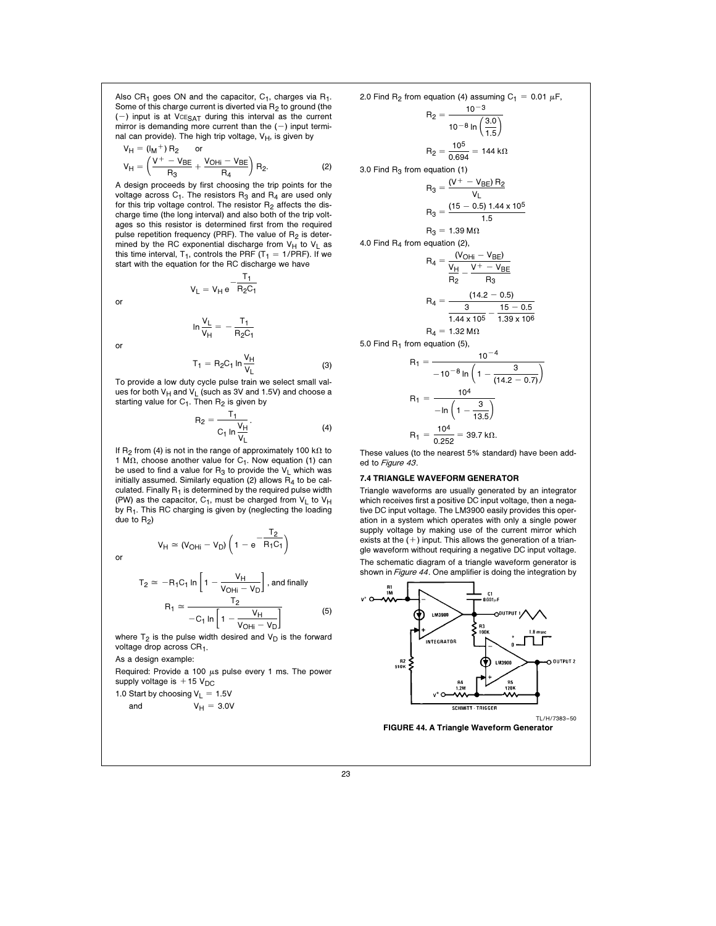Also  $CR_1$  goes ON and the capacitor,  $C_1$ , charges via  $R_1$ . Some of this charge current is diverted via  $R_2$  to ground (the (-) input is at  $VCE<sub>SAT</sub>$  during this interval as the current mirror is demanding more current than the  $(-)$  input terminal can provide). The high trip voltage,  $V_H$ , is given by  $U \rightarrow +V$  D

$$
V_{H} = (M_{H}^{T}) H_{2}^{T} \text{ or}
$$
  

$$
V_{H} = \left(\frac{V^{+} - V_{BE}}{R_{3}} + \frac{V_{OHi} - V_{BE}}{R_{4}}\right) R_{2}.
$$
 (2)

A design proceeds by first choosing the trip points for the voltage across  $C_1$ . The resistors  $R_3$  and  $R_4$  are used only for this trip voltage control. The resistor  $R_2$  affects the discharge time (the long interval) and also both of the trip voltages so this resistor is determined first from the required pulse repetition frequency (PRF). The value of  $R<sub>2</sub>$  is determined by the RC exponential discharge from  $V_H$  to  $V_L$  as this time interval,  $T_1$ , controls the PRF  $(T_1 = 1/PRF)$ . If we start with the equation for the RC discharge we have

> $V_L = V_H e$  $\frac{1}{2}$  $R_2C_1$

or

or

$$
\ln\frac{V_L}{V_H}=-\frac{T_1}{R_2C_1}
$$

$$
T_1 = R_2 C_1 \ln \frac{V_H}{V_L}
$$
 (3)

To provide a low duty cycle pulse train we select small values for both  $V_H$  and  $V_L$  (such as 3V and 1.5V) and choose a starting value for  $C_1$ . Then  $R_2$  is given by

$$
R_2 = \frac{T_1}{C_1 \ln \frac{V_H}{V_L}}.
$$
 (4)

 $\overline{C}$ 

If R<sub>2</sub> from (4) is not in the range of approximately 100 k $\Omega$  to 1 M $\Omega$ , choose another value for C<sub>1</sub>. Now equation (1) can be used to find a value for  $R_3$  to provide the  $V_L$  which was initially assumed. Similarly equation (2) allows  $R_4$  to be calculated. Finally  $R_1$  is determined by the required pulse width (PW) as the capacitor,  $C_1$ , must be charged from  $V_L$  to  $V_H$ by R1. This RC charging is given by (neglecting the loading due to  $R_2$ )

 $\bm{\mathsf{V}}_{\bm{\mathsf{H}}} \cong (\bm{\mathsf{V}}_{\bm{\mathsf{O}}\bm{\mathsf{H}}\bm{\mathsf{i}}} - \bm{\mathsf{V}}_{\bm{\mathsf{D}}})\ \bm{\mathsf{I}}\ \bm{\mathsf{1}} - \bm{\mathsf{e}}$ 

or  $V_H \cong (V_{\text{OHi}} - V_{\text{D}}) \left(1 - e^{-\frac{Z}{R_1 C_1}}\right)$ 

$$
T_2 \cong -R_1 C_1 \ln \left[ 1 - \frac{V_H}{V_{OHi} - V_D} \right], \text{ and finally}
$$

$$
R_1 \cong \frac{T_2}{-C_1 \ln \left[ 1 - \frac{V_H}{V_{OHi} - V_D} \right]}
$$
(5)

(

where  $T_2$  is the pulse width desired and  $V_D$  is the forward voltage drop across CR<sub>1</sub>.

As a design example:

Required: Provide a 100  $\mu$ s pulse every 1 ms. The power supply voltage is  $+15$  V<sub>DC</sub>

1.0 Start by choosing 
$$
V_L = 1.5V
$$
  
and  $V_H = 3.0V$ 

2.0 Find R<sub>2</sub> from equation (4) assuming C<sub>1</sub> = 0.01 
$$
\mu
$$
F,  
\n
$$
R_2 = \frac{10^{-3}}{10^{-8} \ln \left(\frac{3.0}{1.5}\right)}
$$
\n
$$
R_2 = \frac{10^5}{0.694} = 144 \text{ k}\Omega
$$
\n3.0 Find R<sub>3</sub> from equation (1)  
\n
$$
R_3 = \frac{(V^+ - V_{BE}) R_2}{V_L}
$$
\n
$$
R_3 = \frac{(15 - 0.5) 1.44 \times 10^5}{1.5}
$$
\n
$$
R_3 = 1.39 \text{ M}\Omega
$$
\n4.0 Find R<sub>4</sub> from equation (2),  
\n
$$
R_4 = \frac{(V_{OHi} - V_{BE})}{\frac{V_H}{R_2} - \frac{V^+ - V_{BE}}{R_3}}
$$
\n
$$
R_4 = \frac{(14.2 - 0.5)}{3.39 \times 10^6}
$$

 $R_4 = 1.32 M\Omega$ 

5.0 Find R<sub>1</sub> from equation (5),  
\n
$$
R_1 = \frac{10^{-4}}{-10^{-8} \ln \left(1 - \frac{3}{114.2}\right)}
$$

$$
-10^{-8} \ln \left( 1 - \frac{3}{(14.2 - 0.7)} \right)
$$
  
\n
$$
R_1 = \frac{10^4}{-\ln \left( 1 - \frac{3}{13.5} \right)}
$$
  
\n
$$
R_1 = \frac{10^4}{0.252} = 39.7 \text{ k}\Omega.
$$

These values (to the nearest 5% standard) have been added to Figure 43.

#### 7.4 TRIANGLE WAVEFORM GENERATOR

Triangle waveforms are usually generated by an integrator which receives first a positive DC input voltage, then a negative DC input voltage. The LM3900 easily provides this operation in a system which operates with only a single power supply voltage by making use of the current mirror which exists at the  $(+)$  input. This allows the generation of a triangle waveform without requiring a negative DC input voltage. The schematic diagram of a triangle waveform generator is shown in Figure 44. One amplifier is doing the integration by

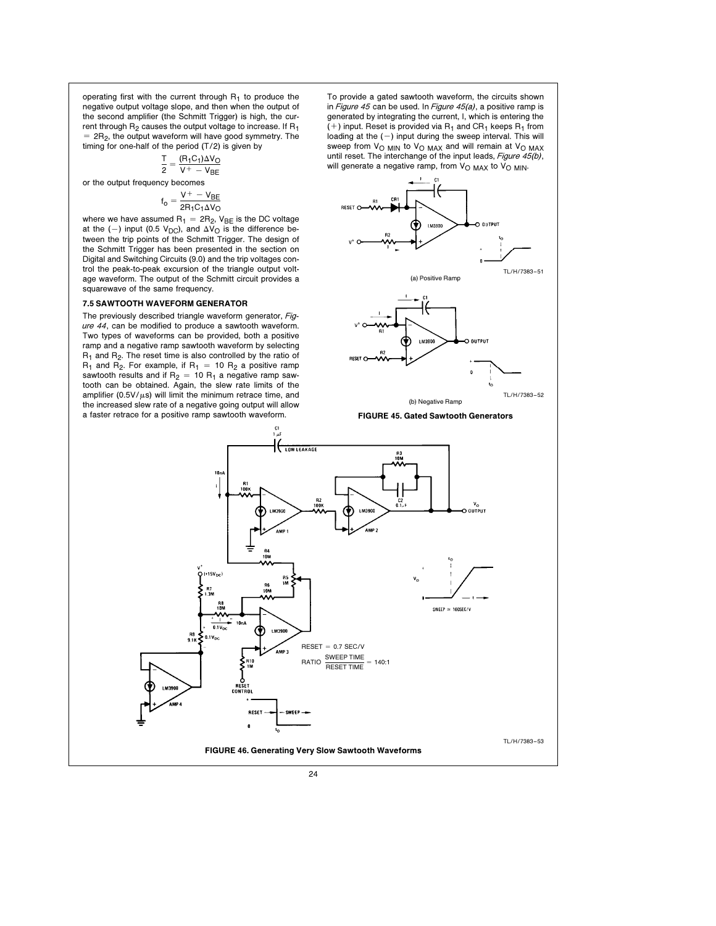operating first with the current through  $R_1$  to produce the negative output voltage slope, and then when the output of the second amplifier (the Schmitt Trigger) is high, the current through  $R_2$  causes the output voltage to increase. If  $R_1$  $= 2R<sub>2</sub>$ , the output waveform will have good symmetry. The timing for one-half of the period (T/2) is given by

$$
\frac{T}{2}=\frac{(R_1C_1)\Delta V_O}{V^+-V_{BE}}
$$

or the output frequency becomes

$$
f_o = \frac{V^+ - V_{BE}}{2R_1C_1\Delta V_O}
$$

where we have assumed  $R_1 = 2R_2$ ,  $V_{BE}$  is the DC voltage at the (-) input (0.5 V<sub>DC</sub>), and  $\Delta V_O$  is the difference between the trip points of the Schmitt Trigger. The design of the Schmitt Trigger has been presented in the section on Digital and Switching Circuits (9.0) and the trip voltages control the peak-to-peak excursion of the triangle output voltage waveform. The output of the Schmitt circuit provides a squarewave of the same frequency.

## 7.5 SAWTOOTH WAVEFORM GENERATOR

The previously described triangle waveform generator, Figure 44, can be modified to produce a sawtooth waveform. Two types of waveforms can be provided, both a positive ramp and a negative ramp sawtooth waveform by selecting R<sub>1</sub> and R<sub>2</sub>. The reset time is also controlled by the ratio of  $R_1$  and  $R_2$ . For example, if  $R_1 = 10 R_2$  a positive ramp sawtooth results and if  $R_2 = 10 R_1$  a negative ramp sawtooth can be obtained. Again, the slew rate limits of the amplifier (0.5V/ $\mu$ s) will limit the minimum retrace time, and the increased slew rate of a negative going output will allow a faster retrace for a positive ramp sawtooth waveform.

To provide a gated sawtooth waveform, the circuits shown in Figure 45 can be used. In Figure  $45(a)$ , a positive ramp is generated by integrating the current, I, which is entering the  $(+)$  input. Reset is provided via R<sub>1</sub> and CR<sub>1</sub> keeps R<sub>1</sub> from loading at the  $(-)$  input during the sweep interval. This will sweep from  $V_{\text{O}$  MIN to  $V_{\text{O}$  MAX and will remain at  $V_{\text{O}$  MAX until reset. The interchange of the input leads, Figure 45(b), will generate a negative ramp, from  $V_{\text{O MAX}}$  to  $V_{\text{O MIN}}$ .



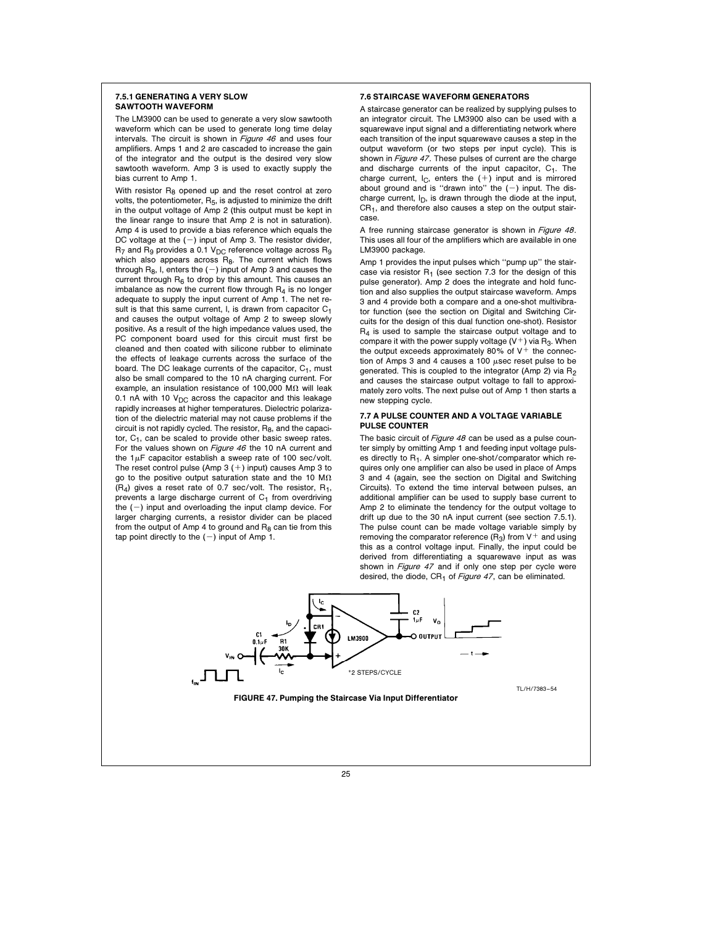#### 7.5.1 GENERATING A VERY SLOW SAWTOOTH WAVEFORM

The LM3900 can be used to generate a very slow sawtooth waveform which can be used to generate long time delay intervals. The circuit is shown in *Figure 46* and uses four amplifiers. Amps 1 and 2 are cascaded to increase the gain of the integrator and the output is the desired very slow sawtooth waveform. Amp 3 is used to exactly supply the bias current to Amp 1.

With resistor  $R_8$  opened up and the reset control at zero volts, the potentiometer, R<sub>5</sub>, is adjusted to minimize the drift in the output voltage of Amp 2 (this output must be kept in the linear range to insure that Amp 2 is not in saturation). Amp 4 is used to provide a bias reference which equals the DC voltage at the  $(-)$  input of Amp 3. The resistor divider,  $R_7$  and  $R_9$  provides a 0.1  $V_{DC}$  reference voltage across  $R_9$ which also appears across R<sub>8</sub>. The current which flows through  $R_8$ , I, enters the  $(-)$  input of Amp 3 and causes the current through  $R_6$  to drop by this amount. This causes an imbalance as now the current flow through  $R_4$  is no longer adequate to supply the input current of Amp 1. The net result is that this same current. I, is drawn from capacitor  $C_1$ and causes the output voltage of Amp 2 to sweep slowly positive. As a result of the high impedance values used, the PC component board used for this circuit must first be cleaned and then coated with silicone rubber to eliminate the effects of leakage currents across the surface of the board. The DC leakage currents of the capacitor,  $C_1$ , must also be small compared to the 10 nA charging current. For example, an insulation resistance of 100,000 M $\Omega$  will leak 0.1 nA with 10  $V_{\text{DC}}$  across the capacitor and this leakage rapidly increases at higher temperatures. Dielectric polarization of the dielectric material may not cause problems if the circuit is not rapidly cycled. The resistor,  $R_8$ , and the capacitor,  $C_1$ , can be scaled to provide other basic sweep rates. For the values shown on Figure 46 the 10 nA current and the  $1\mu$ F capacitor establish a sweep rate of 100 sec/volt. The reset control pulse (Amp  $3 (+)$  input) causes Amp  $3$  to go to the positive output saturation state and the 10  $\text{M}\Omega$  $(R_4)$  gives a reset rate of 0.7 sec/volt. The resistor,  $R_1$ , prevents a large discharge current of  $C_1$  from overdriving the  $(-)$  input and overloading the input clamp device. For larger charging currents, a resistor divider can be placed from the output of Amp 4 to ground and  $R_8$  can tie from this tap point directly to the  $(-)$  input of Amp 1.

## 7.6 STAIRCASE WAVEFORM GENERATORS

A staircase generator can be realized by supplying pulses to an integrator circuit. The LM3900 also can be used with a squarewave input signal and a differentiating network where each transition of the input squarewave causes a step in the output waveform (or two steps per input cycle). This is shown in *Figure 47*. These pulses of current are the charge and discharge currents of the input capacitor, C<sub>1</sub>. The charge current,  $I_C$ , enters the  $(+)$  input and is mirrored about ground and is "drawn into" the  $(-)$  input. The discharge current,  $I_D$ , is drawn through the diode at the input, CR1, and therefore also causes a step on the output staircase.

A free running staircase generator is shown in Figure 48. This uses all four of the amplifiers which are available in one LM3900 package.

Amp 1 provides the input pulses which ''pump up'' the staircase via resistor  $R_1$  (see section 7.3 for the design of this pulse generator). Amp 2 does the integrate and hold function and also supplies the output staircase waveform. Amps 3 and 4 provide both a compare and a one-shot multivibrator function (see the section on Digital and Switching Circuits for the design of this dual function one-shot). Resistor  $R<sub>4</sub>$  is used to sample the staircase output voltage and to compare it with the power supply voltage  $(V^+)$  via R<sub>3</sub>. When the output exceeds approximately 80% of  $V^+$  the connection of Amps 3 and 4 causes a 100  $\mu$ sec reset pulse to be generated. This is coupled to the integrator (Amp 2) via R2 and causes the staircase output voltage to fall to approximately zero volts. The next pulse out of Amp 1 then starts a new stepping cycle.

# 7.7 A PULSE COUNTER AND A VOLTAGE VARIABLE PULSE COUNTER

The basic circuit of Figure 48 can be used as a pulse counter simply by omitting Amp 1 and feeding input voltage pulses directly to  $R_1$ . A simpler one-shot/comparator which requires only one amplifier can also be used in place of Amps 3 and 4 (again, see the section on Digital and Switching Circuits). To extend the time interval between pulses, an additional amplifier can be used to supply base current to Amp 2 to eliminate the tendency for the output voltage to drift up due to the 30 nA input current (see section 7.5.1). The pulse count can be made voltage variable simply by removing the comparator reference  $(R_3)$  from  $V^+$  and using this as a control voltage input. Finally, the input could be derived from differentiating a squarewave input as was shown in Figure 47 and if only one step per cycle were desired, the diode,  $CR<sub>1</sub>$  of Figure 47, can be eliminated.

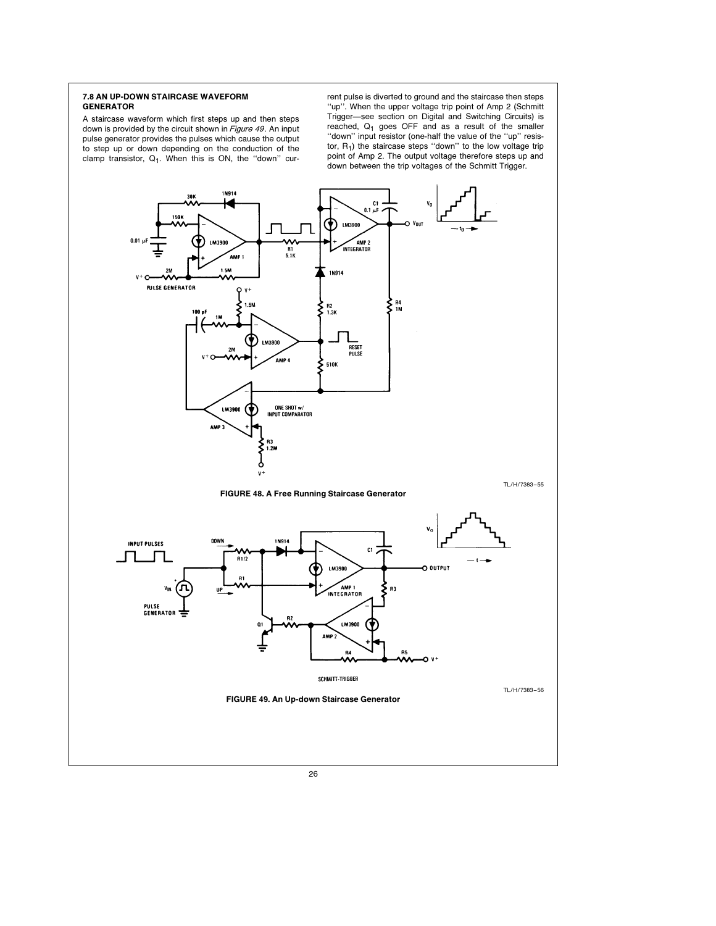# 7.8 AN UP-DOWN STAIRCASE WAVEFORM GENERATOR

A staircase waveform which first steps up and then steps down is provided by the circuit shown in Figure 49. An input pulse generator provides the pulses which cause the output to step up or down depending on the conduction of the clamp transistor,  $Q_1$ . When this is ON, the "down" current pulse is diverted to ground and the staircase then steps ''up''. When the upper voltage trip point of Amp 2 (Schmitt Trigger-see section on Digital and Switching Circuits) is reached,  $Q_1$  goes OFF and as a result of the smaller "down" input resistor (one-half the value of the "up" resistor,  $R_1$ ) the staircase steps "down" to the low voltage trip point of Amp 2. The output voltage therefore steps up and down between the trip voltages of the Schmitt Trigger.

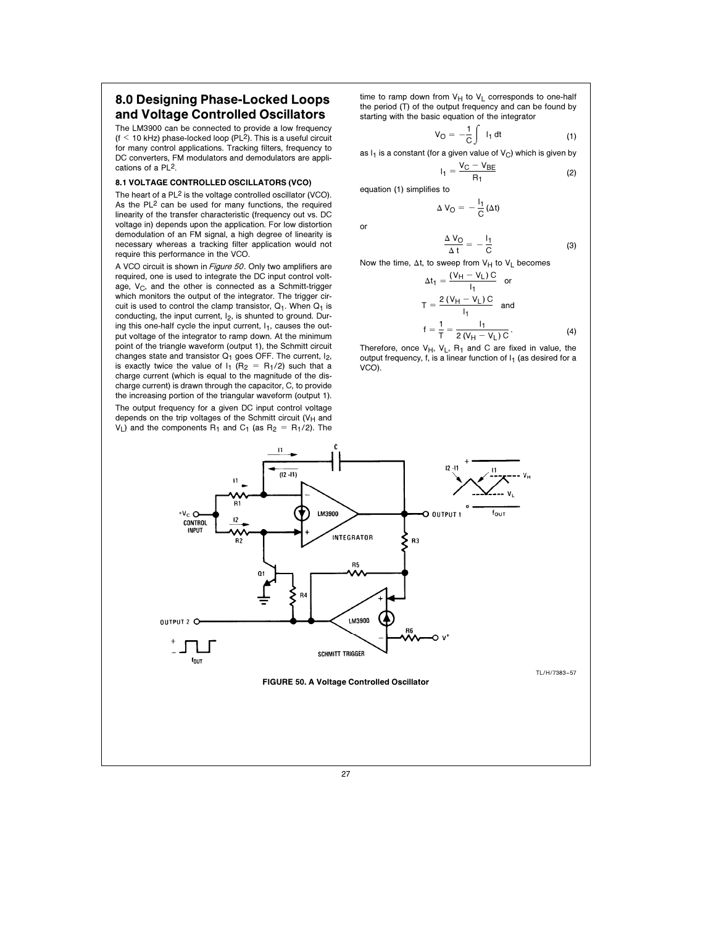# 8.0 Designing Phase-Locked Loops and Voltage Controlled Oscillators

The LM3900 can be connected to provide a low frequency  $(f < 10$  kHz) phase-locked loop (PL<sup>2</sup>). This is a useful circuit for many control applications. Tracking filters, frequency to DC converters, FM modulators and demodulators are applications of a PL2.

# 8.1 VOLTAGE CONTROLLED OSCILLATORS (VCO)

The heart of a PL<sup>2</sup> is the voltage controlled oscillator (VCO). As the PL<sup>2</sup> can be used for many functions, the required linearity of the transfer characteristic (frequency out vs. DC voltage in) depends upon the application. For low distortion demodulation of an FM signal, a high degree of linearity is necessary whereas a tracking filter application would not require this performance in the VCO.

A VCO circuit is shown in Figure 50. Only two amplifiers are required, one is used to integrate the DC input control voltage,  $V_C$ , and the other is connected as a Schmitt-trigger which monitors the output of the integrator. The trigger circuit is used to control the clamp transistor,  $Q_1$ . When  $Q_1$  is conducting, the input current, I<sub>2</sub>, is shunted to ground. During this one-half cycle the input current,  $I_1$ , causes the output voltage of the integrator to ramp down. At the minimum point of the triangle waveform (output 1), the Schmitt circuit changes state and transistor  $Q_1$  goes OFF. The current,  $I_2$ , is exactly twice the value of  $I_1$  (R<sub>2</sub> = R<sub>1</sub>/2) such that a charge current (which is equal to the magnitude of the discharge current) is drawn through the capacitor, C, to provide the increasing portion of the triangular waveform (output 1). The output frequency for a given DC input control voltage depends on the trip voltages of the Schmitt circuit ( $V_H$  and  $V_L$ ) and the components R<sub>1</sub> and C<sub>1</sub> (as R<sub>2</sub> = R<sub>1</sub>/2). The

time to ramp down from  $V_H$  to  $V_L$  corresponds to one-half the period (T) of the output frequency and can be found by starting with the basic equation of the integrator

$$
V_O = -\frac{1}{C} \int I_1 dt
$$
 (1)

as  $I_1$  is a constant (for a given value of  $V_C$ ) which is given by

$$
I_1 = \frac{V_C - V_{BE}}{R_1}
$$

equation (1) simplifies to

$$
\Delta\,V_O=-\,\frac{I_1}{C}\,(\Delta t)
$$

or

$$
\frac{\Delta V_{\rm O}}{\Delta t} = -\frac{I_1}{C} \tag{3}
$$

 $R_1$  (2)

Now the time,  $\Delta t$ , to sweep from  $V_H$  to  $V_L$  becomes

$$
\Delta t_1 = \frac{(V_H - V_L)C}{I_1} \quad \text{or}
$$
\n
$$
T = \frac{2(V_H - V_L)C}{I_1} \quad \text{and}
$$
\n
$$
f = \frac{1}{T} = \frac{I_1}{2(V_H - V_L)C}.
$$
\n(4)

Therefore, once  $V_H$ ,  $V_L$ ,  $R_1$  and C are fixed in value, the output frequency, f, is a linear function of  $I_1$  (as desired for a VCO).

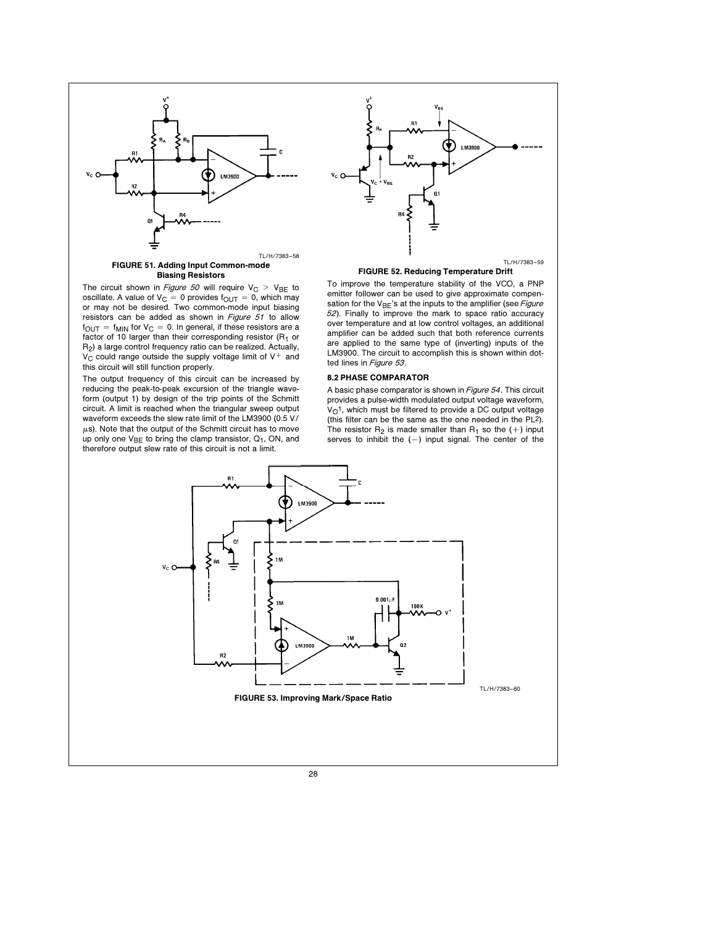

Biasing Resistors

The circuit shown in Figure 50 will require  $V_C > V_{BE}$  to oscillate. A value of  $V_C = 0$  provides  $f_{OUT} = 0$ , which may not be desired. Two common-mode input biasing resistors can be added as shown in Figure 51 to allow  $f_{\text{OUT}} = f_{\text{MIN}}$  for  $V_{\text{C}} = 0$ . In general, if these resistors are a factor of 10 larger than their corresponding resistor  $(R_1$  or R2) a large control frequency ratio can be realized. Actually,  $V_C$  could range outside the supply voltage limit of  $V^+$  and this circuit will still function properly.

The output frequency of this circuit can be increased by reducing the peak-to-peak excursion of the triangle waveform (output 1) by design of the trip points of the Schmitt circuit. A limit is reached when the triangular sweep output waveform exceeds the slew rate limit of the LM3900 (0.5 V/  $\mu$ s). Note that the output of the Schmitt circuit has to move up only one  $V_{BE}$  to bring the clamp transistor,  $Q_1$ , ON, and therefore output slew rate of this circuit is not a limit.



#### FIGURE 52. Reducing Temperature Drift

To improve the temperature stability of the VCO, a PNP emitter follower can be used to give approximate compensation for the  $V_{BE}$ 's at the inputs to the amplifier (see Figure <sup>52</sup>). Finally to improve the mark to space ratio accuracy over temperature and at low control voltages, an additional amplifier can be added such that both reference currents are applied to the same type of (inverting) inputs of the LM3900. The circuit to accomplish this is shown within dotted lines in Figure 53.

#### 8.2 PHASE COMPARATOR

A basic phase comparator is shown in Figure 54. This circuit provides a pulse-width modulated output voltage waveform,  $V<sub>O</sub>$ <sup>1</sup>, which must be filtered to provide a DC output voltage (this filter can be the same as the one needed in the  $PL^2$ ). The resistor  $R_2$  is made smaller than  $R_1$  so the  $(+)$  input serves to inhibit the  $(-)$  input signal. The center of the

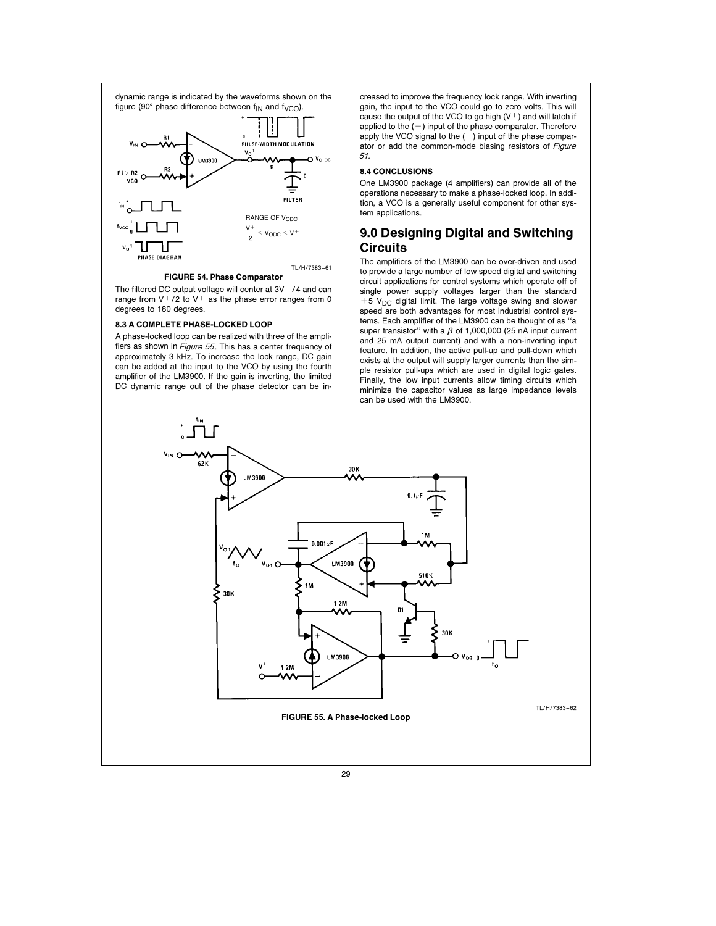

#### FIGURE 54. Phase Comparator

The filtered DC output voltage will center at  $3V<sup>+</sup>/4$  and can range from  $V^+/2$  to  $V^+$  as the phase error ranges from 0 degrees to 180 degrees.

#### 8.3 A COMPLETE PHASE-LOCKED LOOP

A phase-locked loop can be realized with three of the amplifiers as shown in Figure <sup>55</sup>. This has a center frequency of approximately 3 kHz. To increase the lock range, DC gain can be added at the input to the VCO by using the fourth amplifier of the LM3900. If the gain is inverting, the limited DC dynamic range out of the phase detector can be in-

creased to improve the frequency lock range. With inverting gain, the input to the VCO could go to zero volts. This will cause the output of the VCO to go high  $(V<sup>+</sup>)$  and will latch if applied to the  $(+)$  input of the phase comparator. Therefore apply the VCO signal to the  $(-)$  input of the phase comparator or add the common-mode biasing resistors of Figure 51.

# 8.4 CONCLUSIONS

One LM3900 package (4 amplifiers) can provide all of the operations necessary to make a phase-locked loop. In addition, a VCO is a generally useful component for other system applications.

# 9.0 Designing Digital and Switching Circuits

The amplifiers of the LM3900 can be over-driven and used to provide a large number of low speed digital and switching circuit applications for control systems which operate off of single power supply voltages larger than the standard  $+5$  V<sub>DC</sub> digital limit. The large voltage swing and slower speed are both advantages for most industrial control systems. Each amplifier of the LM3900 can be thought of as ''a super transistor" with a  $\beta$  of 1,000,000 (25 nA input current and 25 mA output current) and with a non-inverting input feature. In addition, the active pull-up and pull-down which exists at the output will supply larger currents than the simple resistor pull-ups which are used in digital logic gates. Finally, the low input currents allow timing circuits which minimize the capacitor values as large impedance levels can be used with the LM3900.

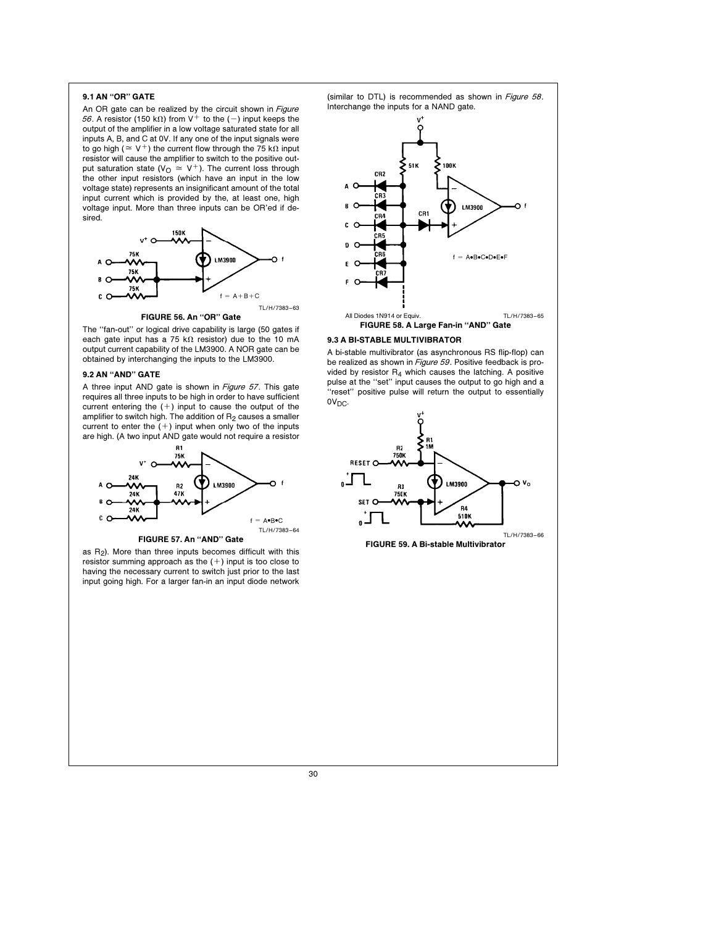# 9.1 AN ''OR'' GATE

An OR gate can be realized by the circuit shown in Figure 56. A resistor (150 k $\Omega$ ) from V<sup>+</sup> to the (-) input keeps the output of the amplifier in a low voltage saturated state for all inputs A, B, and C at 0V. If any one of the input signals were to go high ( $\approx$  V<sup>+</sup>) the current flow through the 75 k $\Omega$  input resistor will cause the amplifier to switch to the positive output saturation state ( $V_{\text{O}} \cong V^{+}$ ). The current loss through the other input resistors (which have an input in the low voltage state) represents an insignificant amount of the total input current which is provided by the, at least one, high voltage input. More than three inputs can be OR'ed if desired.



FIGURE 56. An "OR" Gate

The ''fan-out'' or logical drive capability is large (50 gates if each gate input has a 75 k $\Omega$  resistor) due to the 10 mA output current capability of the LM3900. A NOR gate can be obtained by interchanging the inputs to the LM3900.

# 9.2 AN ''AND'' GATE

A three input AND gate is shown in Figure 57. This gate requires all three inputs to be high in order to have sufficient current entering the  $(+)$  input to cause the output of the amplifier to switch high. The addition of  $R_2$  causes a smaller current to enter the  $(+)$  input when only two of the inputs are high. (A two input AND gate would not require a resistor



FIGURE 57. An "AND" Gate

as  $R_2$ ). More than three inputs becomes difficult with this resistor summing approach as the  $(+)$  input is too close to having the necessary current to switch just prior to the last input going high. For a larger fan-in an input diode network

(similar to DTL) is recommended as shown in Figure 58. Interchange the inputs for a NAND gate.





## 9.3 A BI-STABLE MULTIVIBRATOR

A bi-stable multivibrator (as asynchronous RS flip-flop) can be realized as shown in Figure 59. Positive feedback is provided by resistor  $R_4$  which causes the latching. A positive pulse at the ''set'' input causes the output to go high and a ''reset'' positive pulse will return the output to essentially 0V<sub>DC</sub>.



FIGURE 59. A Bi-stable Multivibrator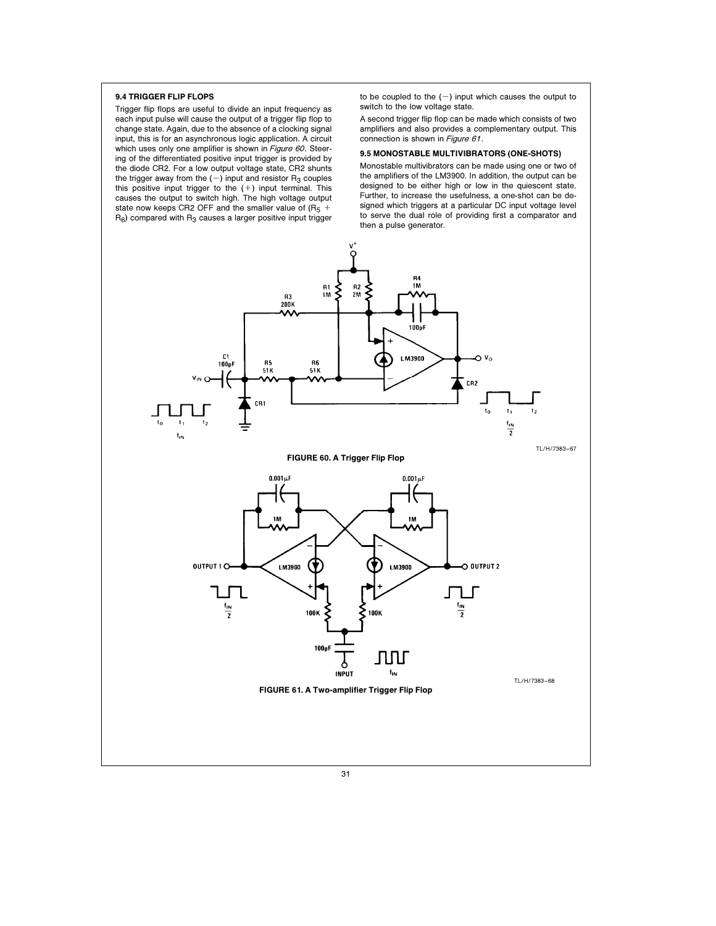# 9.4 TRIGGER FLIP FLOPS

Trigger flip flops are useful to divide an input frequency as each input pulse will cause the output of a trigger flip flop to change state. Again, due to the absence of a clocking signal input, this is for an asynchronous logic application. A circuit which uses only one amplifier is shown in Figure 60. Steering of the differentiated positive input trigger is provided by the diode CR2. For a low output voltage state, CR2 shunts the trigger away from the  $(-)$  input and resistor  $R_3$  couples this positive input trigger to the  $(+)$  input terminal. This causes the output to switch high. The high voltage output state now keeps CR2 OFF and the smaller value of  $(R_5 +$  $R_6$ ) compared with  $R_3$  causes a larger positive input trigger

to be coupled to the  $(-)$  input which causes the output to switch to the low voltage state.

A second trigger flip flop can be made which consists of two amplifiers and also provides a complementary output. This connection is shown in Figure 61.

#### 9.5 MONOSTABLE MULTIVIBRATORS (ONE-SHOTS)

Monostable multivibrators can be made using one or two of the amplifiers of the LM3900. In addition, the output can be designed to be either high or low in the quiescent state. Further, to increase the usefulness, a one-shot can be designed which triggers at a particular DC input voltage level to serve the dual role of providing first a comparator and then a pulse generator.

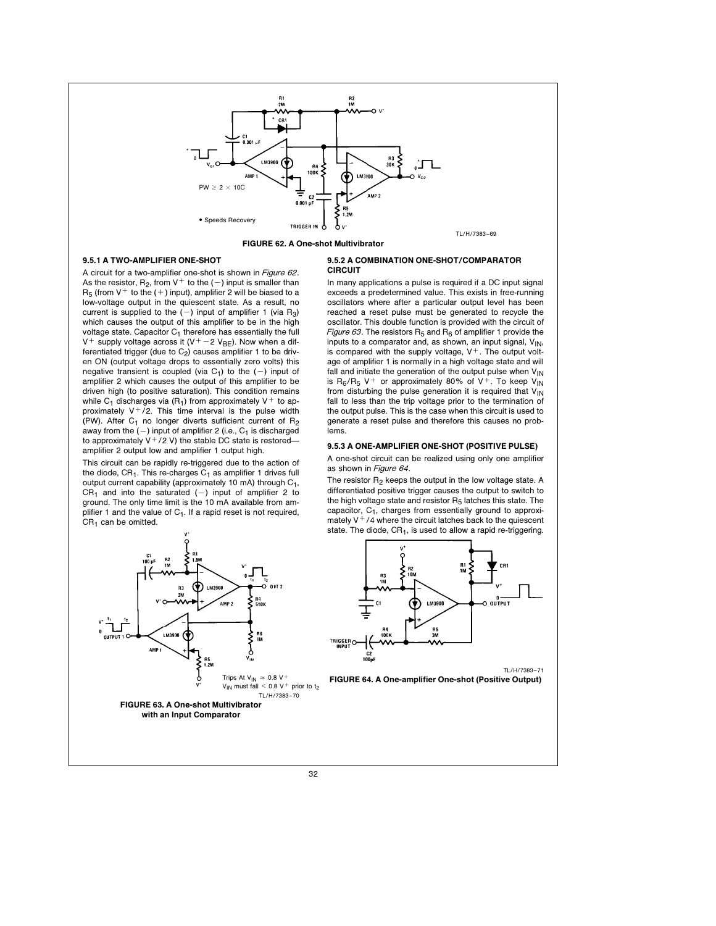

FIGURE 62. A One-shot Multivibrator

# 9.5.1 A TWO-AMPLIFIER ONE-SHOT

A circuit for a two-amplifier one-shot is shown in Figure 62. As the resistor,  $R_2$ , from  $V^+$  to the  $(-)$  input is smaller than  $R_5$  (from V<sup>+</sup> to the (+) input), amplifier 2 will be biased to a low-voltage output in the quiescent state. As a result, no current is supplied to the  $(-)$  input of amplifier 1 (via R<sub>3</sub>) which causes the output of this amplifier to be in the high voltage state. Capacitor  $C_1$  therefore has essentially the full V<sup>+</sup> supply voltage across it (V<sup>+</sup> -2 V<sub>BE</sub>). Now when a differentiated trigger (due to  $C_2$ ) causes amplifier 1 to be driven ON (output voltage drops to essentially zero volts) this negative transient is coupled (via  $C_1$ ) to the (-) input of amplifier 2 which causes the output of this amplifier to be driven high (to positive saturation). This condition remains while C<sub>1</sub> discharges via  $(R_1)$  from approximately V<sup>+</sup> to approximately  $V^+/2$ . This time interval is the pulse width (PW). After  $C_1$  no longer diverts sufficient current of  $R_2$ away from the  $(-)$  input of amplifier 2 (i.e.,  $C_1$  is discharged to approximately  $V^+/2$  V) the stable DC state is restoredamplifier 2 output low and amplifier 1 output high.

This circuit can be rapidly re-triggered due to the action of the diode,  $CR<sub>1</sub>$ . This re-charges  $C<sub>1</sub>$  as amplifier 1 drives full output current capability (approximately 10 mA) through  $C_1$ , CR<sub>1</sub> and into the saturated  $(-)$  input of amplifier 2 to ground. The only time limit is the 10 mA available from amplifier 1 and the value of  $C_1$ . If a rapid reset is not required,  $CR<sub>1</sub>$  can be omitted.



#### 9.5.2 A COMBINATION ONE-SHOT/COMPARATOR **CIRCUIT**

In many applications a pulse is required if a DC input signal exceeds a predetermined value. This exists in free-running oscillators where after a particular output level has been reached a reset pulse must be generated to recycle the oscillator. This double function is provided with the circuit of Figure 63. The resistors  $R_5$  and  $R_6$  of amplifier 1 provide the inputs to a comparator and, as shown, an input signal,  $V_{\text{IN}}$ , is compared with the supply voltage,  $V^+$ . The output voltage of amplifier 1 is normally in a high voltage state and will fall and initiate the generation of the output pulse when  $V_{IN}$ is  $R_6/R_5$  V<sup>+</sup> or approximately 80% of V<sup>+</sup>. To keep V<sub>IN</sub> from disturbing the pulse generation it is required that  $V_{IN}$ fall to less than the trip voltage prior to the termination of the output pulse. This is the case when this circuit is used to generate a reset pulse and therefore this causes no problems.

# 9.5.3 A ONE-AMPLIFIER ONE-SHOT (POSITIVE PULSE)

A one-shot circuit can be realized using only one amplifier as shown in Figure 64.

The resistor  $R_2$  keeps the output in the low voltage state. A differentiated positive trigger causes the output to switch to the high voltage state and resistor  $R_5$  latches this state. The capacitor, C1, charges from essentially ground to approximately  $V^+/4$  where the circuit latches back to the quiescent state. The diode,  $CR<sub>1</sub>$ , is used to allow a rapid re-triggering.



FIGURE 64. A One-amplifier One-shot (Positive Output)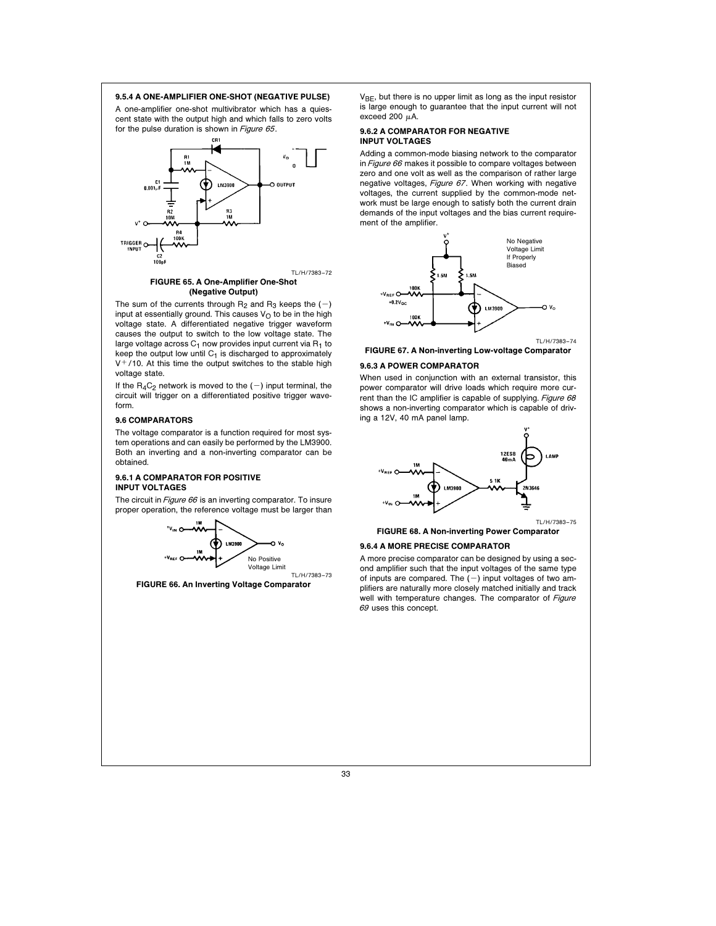#### 9.5.4 A ONE-AMPLIFIER ONE-SHOT (NEGATIVE PULSE)

A one-amplifier one-shot multivibrator which has a quiescent state with the output high and which falls to zero volts for the pulse duration is shown in Figure 65.



#### FIGURE 65. A One-Amplifier One-Shot (Negative Output)

The sum of the currents through  $R_2$  and  $R_3$  keeps the  $(-)$ input at essentially ground. This causes  $V<sub>O</sub>$  to be in the high voltage state. A differentiated negative trigger waveform causes the output to switch to the low voltage state. The large voltage across  $C_1$  now provides input current via  $R_1$  to keep the output low until  $C_1$  is discharged to approximately  $V^+/10$ . At this time the output switches to the stable high voltage state.

If the  $R_4C_2$  network is moved to the  $(-)$  input terminal, the circuit will trigger on a differentiated positive trigger waveform.

#### 9.6 COMPARATORS

The voltage comparator is a function required for most system operations and can easily be performed by the LM3900. Both an inverting and a non-inverting comparator can be obtained.

#### 9.6.1 A COMPARATOR FOR POSITIVE INPUT VOLTAGES

The circuit in Figure 66 is an inverting comparator. To insure proper operation, the reference voltage must be larger than



FIGURE 66. An Inverting Voltage Comparator

 $V_{BE}$ , but there is no upper limit as long as the input resistor is large enough to guarantee that the input current will not exceed 200  $\mu$ A.

# 9.6.2 A COMPARATOR FOR NEGATIVE INPUT VOLTAGES

Adding a common-mode biasing network to the comparator in Figure 66 makes it possible to compare voltages between zero and one volt as well as the comparison of rather large negative voltages, Figure 67. When working with negative voltages, the current supplied by the common-mode network must be large enough to satisfy both the current drain demands of the input voltages and the bias current requirement of the amplifier.



FIGURE 67. A Non-inverting Low-voltage Comparator

## 9.6.3 A POWER COMPARATOR

When used in conjunction with an external transistor, this power comparator will drive loads which require more current than the IC amplifier is capable of supplying. Figure 68 shows a non-inverting comparator which is capable of driving a 12V, 40 mA panel lamp.



FIGURE 68. A Non-inverting Power Comparator

#### 9.6.4 A MORE PRECISE COMPARATOR

A more precise comparator can be designed by using a second amplifier such that the input voltages of the same type of inputs are compared. The  $(-)$  input voltages of two amplifiers are naturally more closely matched initially and track well with temperature changes. The comparator of Figure 69 uses this concept.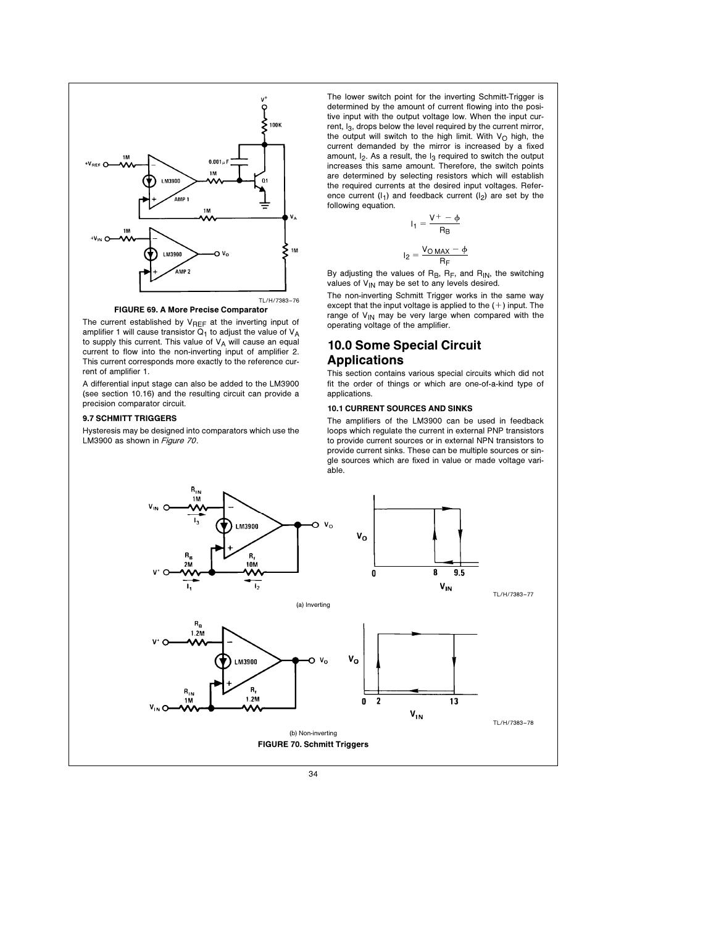



The current established by  $V_{REF}$  at the inverting input of amplifier 1 will cause transistor  $Q_1$  to adjust the value of  $V_A$ to supply this current. This value of  $V_A$  will cause an equal current to flow into the non-inverting input of amplifier 2. This current corresponds more exactly to the reference current of amplifier 1.

A differential input stage can also be added to the LM3900 (see section 10.16) and the resulting circuit can provide a precision comparator circuit.

# 9.7 SCHMITT TRIGGERS

Hysteresis may be designed into comparators which use the LM3900 as shown in Figure 70.

The lower switch point for the inverting Schmitt-Trigger is determined by the amount of current flowing into the positive input with the output voltage low. When the input current, I<sub>3</sub>, drops below the level required by the current mirror, the output will switch to the high limit. With  $V_O$  high, the current demanded by the mirror is increased by a fixed amount,  $I_2$ . As a result, the  $I_3$  required to switch the output increases this same amount. Therefore, the switch points are determined by selecting resistors which will establish the required currents at the desired input voltages. Reference current  $(I_1)$  and feedback current  $(I_2)$  are set by the following equation.

$$
I_1 = \frac{V^+ - \phi}{R_B}
$$

$$
I_2 = \frac{V_{\text{O MAX}} - \phi}{R_E}
$$

By adjusting the values of  $R_B$ ,  $R_F$ , and  $R_{IN}$ , the switching values of  $V_{IN}$  may be set to any levels desired. The non-inverting Schmitt Trigger works in the same way

except that the input voltage is applied to the  $(+)$  input. The range of  $V_{IN}$  may be very large when compared with the operating voltage of the amplifier. 10.0 Some Special Circuit

# Applications

This section contains various special circuits which did not fit the order of things or which are one-of-a-kind type of applications.

# 10.1 CURRENT SOURCES AND SINKS

The amplifiers of the LM3900 can be used in feedback loops which regulate the current in external PNP transistors to provide current sources or in external NPN transistors to provide current sinks. These can be multiple sources or single sources which are fixed in value or made voltage variable.

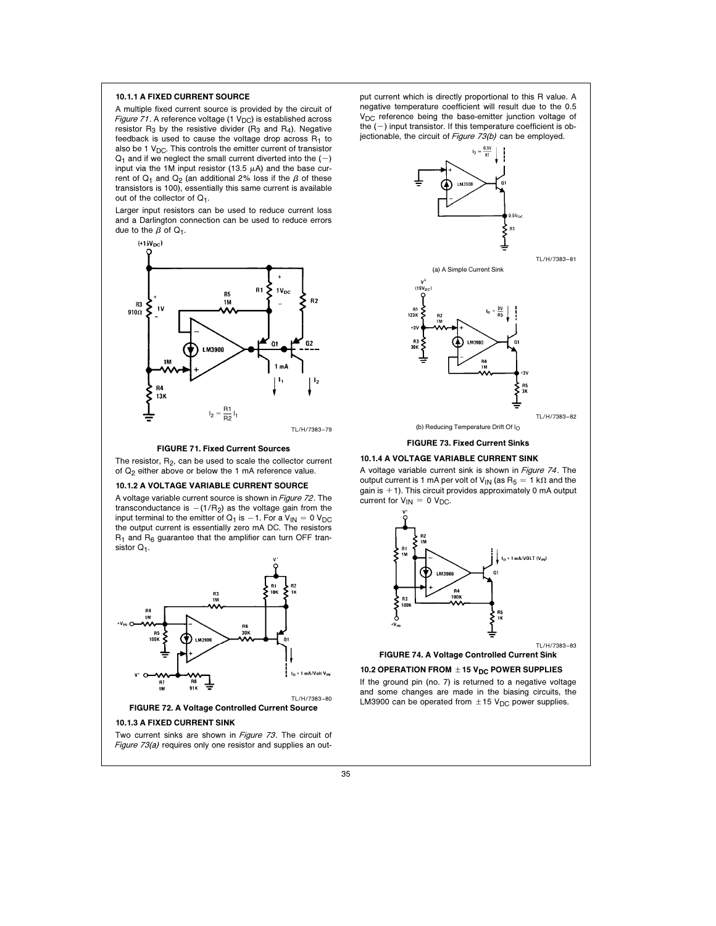# 10.1.1 A FIXED CURRENT SOURCE

A multiple fixed current source is provided by the circuit of Figure 71. A reference voltage (1  $V_{DC}$ ) is established across resistor  $R_3$  by the resistive divider ( $R_3$  and  $R_4$ ). Negative feedback is used to cause the voltage drop across  $R_1$  to also be 1  $V_{DC}$ . This controls the emitter current of transistor  $Q_1$  and if we neglect the small current diverted into the  $(-)$ input via the 1M input resistor (13.5  $\mu$ A) and the base current of  $Q_1$  and  $Q_2$  (an additional 2% loss if the  $\beta$  of these transistors is 100), essentially this same current is available out of the collector of  $Q_1$ .

Larger input resistors can be used to reduce current loss and a Darlington connection can be used to reduce errors due to the  $\beta$  of  $Q_1$ .



#### FIGURE 71. Fixed Current Sources

The resistor,  $R_2$ , can be used to scale the collector current of  $Q_2$  either above or below the 1 mA reference value.

#### 10.1.2 A VOLTAGE VARIABLE CURRENT SOURCE

A voltage variable current source is shown in Figure 72. The transconductance is  $-(1/R_2)$  as the voltage gain from the input terminal to the emitter of  $Q_1$  is  $-1$ . For a  $V_{IN} = 0$  V<sub>DC</sub> the output current is essentially zero mA DC. The resistors  $R_1$  and  $R_6$  guarantee that the amplifier can turn OFF transistor  $Q<sub>1</sub>$ .



Two current sinks are shown in Figure 73. The circuit of Figure 73(a) requires only one resistor and supplies an output current which is directly proportional to this R value. A negative temperature coefficient will result due to the 0.5 V<sub>DC</sub> reference being the base-emitter junction voltage of the  $(-)$  input transistor. If this temperature coefficient is objectionable, the circuit of Figure 73(b) can be employed.



FIGURE 73. Fixed Current Sinks

#### 10.1.4 A VOLTAGE VARIABLE CURRENT SINK

A voltage variable current sink is shown in Figure <sup>74</sup>. The output current is 1 mA per volt of  $V_{IN}$  (as  $R_5 = 1 k\Omega$  and the gain is  $+1$ ). This circuit provides approximately 0 mA output current for  $V_{IN} = 0 V_{DC}$ .



10.2 OPERATION FROM  $\pm$  15 V<sub>DC</sub> POWER SUPPLIES

If the ground pin (no. 7) is returned to a negative voltage and some changes are made in the biasing circuits, the LM3900 can be operated from  $\pm 15$  V<sub>DC</sub> power supplies.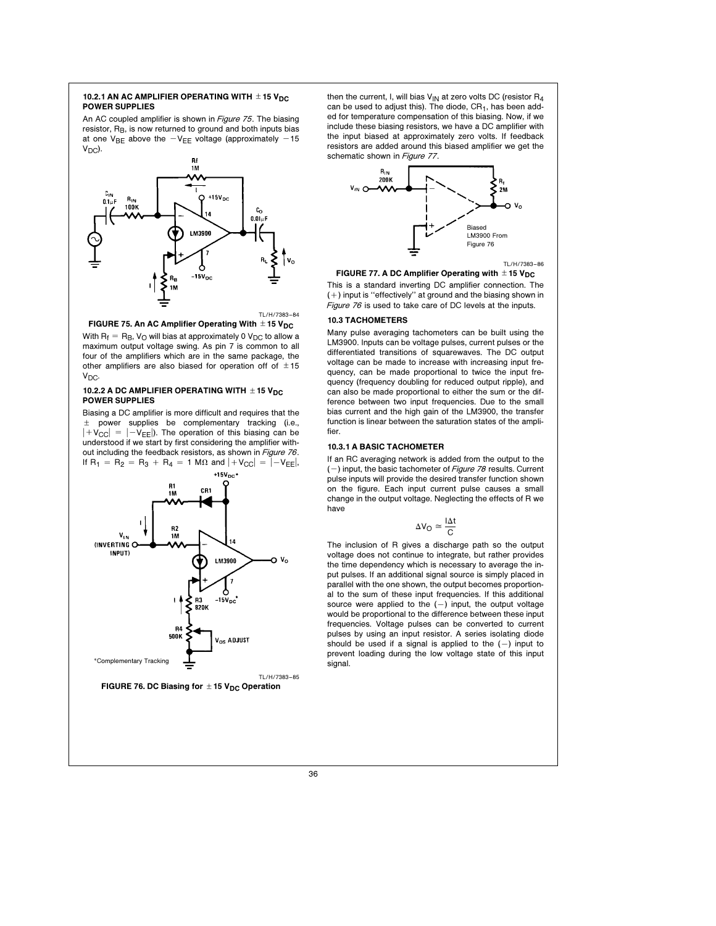## 10.2.1 AN AC AMPLIFIER OPERATING WITH  $\pm$  15 V<sub>DC</sub> POWER SUPPLIES

An AC coupled amplifier is shown in Figure 75. The biasing resistor, R<sub>B</sub>, is now returned to ground and both inputs bias at one V<sub>BE</sub> above the  $-V_{FE}$  voltage (approximately -15  $V_{DC}$ ).





FIGURE 75. An AC Amplifier Operating With  $\pm$  15 V<sub>DC</sub>

With  $R_f = R_B$ ,  $V_O$  will bias at approximately 0  $V_{DC}$  to allow a maximum output voltage swing. As pin 7 is common to all four of the amplifiers which are in the same package, the other amplifiers are also biased for operation off of  $\pm 15$ V<sub>DC</sub>.

# 10.2.2 A DC AMPLIFIER OPERATING WITH  $\pm$  15 V<sub>DC</sub> POWER SUPPLIES

Biasing a DC amplifier is more difficult and requires that the  $±$  power supplies be complementary tracking (i.e.,  $|+V_{\text{CC}}| = |-V_{\text{EE}}|$ ). The operation of this biasing can be understood if we start by first considering the amplifier without including the feedback resistors, as shown in Figure 76. If  $R_1 = R_2 = R_3 + R_4 = 1$  M $\Omega$  and  $|+V_{\text{CC}}| = |-V_{\text{EE}}|$ ,



FIGURE 76. DC Biasing for  $\pm$  15 V<sub>DC</sub> Operation

then the current, I, will bias  $V_{\text{IN}}$  at zero volts DC (resistor  $\mathsf{R}_4$ can be used to adjust this). The diode,  $CR<sub>1</sub>$ , has been added for temperature compensation of this biasing. Now, if we include these biasing resistors, we have a DC amplifier with the input biased at approximately zero volts. If feedback resistors are added around this biased amplifier we get the schematic shown in Figure 77.



TL/H/7383 –86

FIGURE 77. A DC Amplifier Operating with  $\pm$  15 V<sub>DC</sub> This is a standard inverting DC amplifier connection. The  $(+)$  input is "effectively" at ground and the biasing shown in Figure 76 is used to take care of DC levels at the inputs.

# 10.3 TACHOMETERS

Many pulse averaging tachometers can be built using the LM3900. Inputs can be voltage pulses, current pulses or the differentiated transitions of squarewaves. The DC output voltage can be made to increase with increasing input frequency, can be made proportional to twice the input frequency (frequency doubling for reduced output ripple), and can also be made proportional to either the sum or the difference between two input frequencies. Due to the small bias current and the high gain of the LM3900, the transfer function is linear between the saturation states of the amplifier.

# 10.3.1 A BASIC TACHOMETER

If an RC averaging network is added from the output to the  $(-)$  input, the basic tachometer of Figure 78 results. Current pulse inputs will provide the desired transfer function shown on the figure. Each input current pulse causes a small change in the output voltage. Neglecting the effects of R we have

$$
\Delta V_O \cong \frac{I \Delta t}{C}
$$

The inclusion of R gives a discharge path so the output voltage does not continue to integrate, but rather provides the time dependency which is necessary to average the input pulses. If an additional signal source is simply placed in parallel with the one shown, the output becomes proportional to the sum of these input frequencies. If this additional source were applied to the  $(-)$  input, the output voltage would be proportional to the difference between these input frequencies. Voltage pulses can be converted to current pulses by using an input resistor. A series isolating diode should be used if a signal is applied to the  $(-)$  input to prevent loading during the low voltage state of this input signal.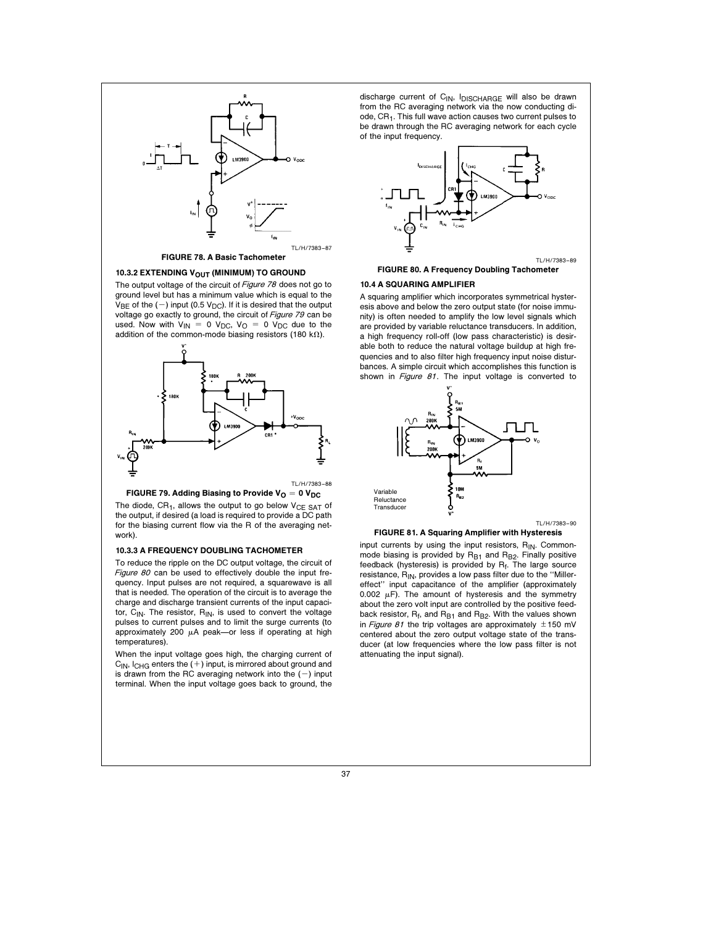

# FIGURE 78. A Basic Tachometer

#### 10.3.2 EXTENDING V<sub>OUT</sub> (MINIMUM) TO GROUND

The output voltage of the circuit of Figure 78 does not go to ground level but has a minimum value which is equal to the  $V_{BE}$  of the (-) input (0.5 V<sub>DC</sub>). If it is desired that the output voltage go exactly to ground, the circuit of Figure 79 can be used. Now with  $V_{IN} = 0$   $V_{DC}$ ,  $V_{O} = 0$   $V_{DC}$  due to the addition of the common-mode biasing resistors (180 k $\Omega$ ).





The diode,  $CR<sub>1</sub>$ , allows the output to go below  $V_{CE}$   $SAT$  of the output, if desired (a load is required to provide a DC path for the biasing current flow via the R of the averaging network).

#### 10.3.3 A FREQUENCY DOUBLING TACHOMETER

To reduce the ripple on the DC output voltage, the circuit of Figure 80 can be used to effectively double the input frequency. Input pulses are not required, a squarewave is all that is needed. The operation of the circuit is to average the charge and discharge transient currents of the input capacitor,  $C_{IN}$ . The resistor,  $R_{IN}$ , is used to convert the voltage pulses to current pulses and to limit the surge currents (to approximately 200  $\mu$ A peak-or less if operating at high temperatures).

When the input voltage goes high, the charging current of  $C_{1N}$ ,  $C_{HG}$  enters the  $(+)$  input, is mirrored about ground and is drawn from the RC averaging network into the  $(-)$  input terminal. When the input voltage goes back to ground, the

discharge current of C<sub>IN</sub>, I<sub>DISCHARGE</sub> will also be drawn from the RC averaging network via the now conducting diode,  $CR<sub>1</sub>$ . This full wave action causes two current pulses to be drawn through the RC averaging network for each cycle of the input frequency.



FIGURE 80. A Frequency Doubling Tachometer

# 10.4 A SQUARING AMPLIFIER

A squaring amplifier which incorporates symmetrical hysteresis above and below the zero output state (for noise immunity) is often needed to amplify the low level signals which are provided by variable reluctance transducers. In addition, a high frequency roll-off (low pass characteristic) is desirable both to reduce the natural voltage buildup at high frequencies and to also filter high frequency input noise disturbances. A simple circuit which accomplishes this function is shown in Figure 81. The input voltage is converted to



#### FIGURE 81. A Squaring Amplifier with Hysteresis

input currents by using the input resistors,  $R_{IN}$ . Commonmode biasing is provided by  $R_{B1}$  and  $R_{B2}$ . Finally positive feedback (hysteresis) is provided by Rf. The large source resistance,  $R_{IN}$ , provides a low pass filter due to the "Millereffect'' input capacitance of the amplifier (approximately 0.002  $\mu$ F). The amount of hysteresis and the symmetry about the zero volt input are controlled by the positive feedback resistor,  $R_f$ , and  $R_{B1}$  and  $R_{B2}$ . With the values shown in Figure 81 the trip voltages are approximately  $\pm 150$  mV centered about the zero output voltage state of the transducer (at low frequencies where the low pass filter is not attenuating the input signal).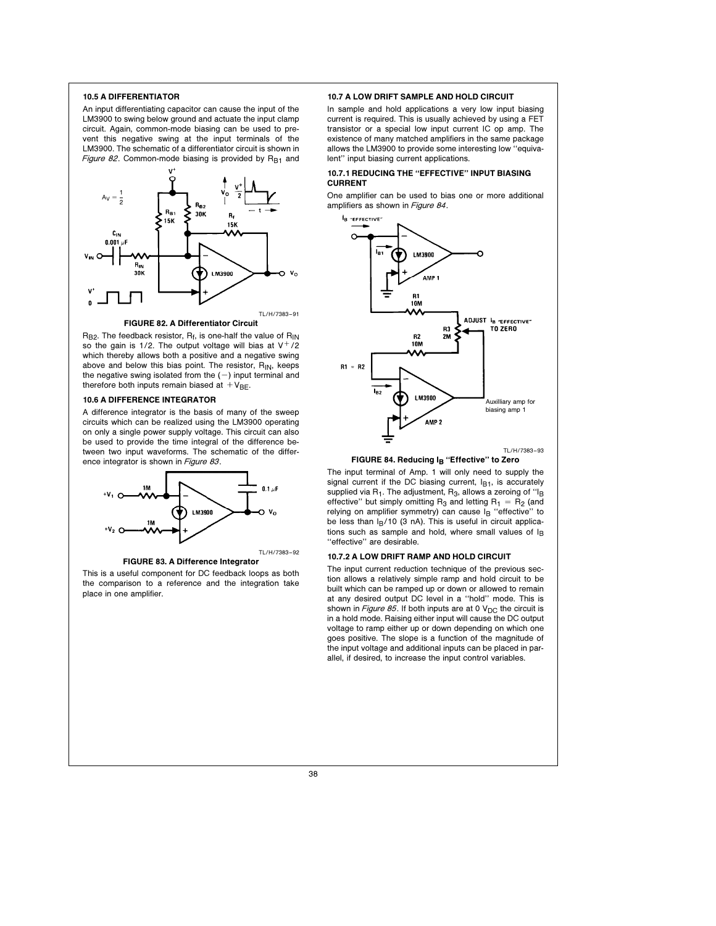#### 10.5 A DIFFERENTIATOR

An input differentiating capacitor can cause the input of the LM3900 to swing below ground and actuate the input clamp circuit. Again, common-mode biasing can be used to prevent this negative swing at the input terminals of the LM3900. The schematic of a differentiator circuit is shown in Figure 82. Common-mode biasing is provided by  $R_{B1}$  and



FIGURE 82. A Differentiator Circuit

 $R_{B2}$ . The feedback resistor,  $R_f$ , is one-half the value of  $R_{IN}$ so the gain is 1/2. The output voltage will bias at  $V^+/2$ which thereby allows both a positive and a negative swing above and below this bias point. The resistor,  $R_{IN}$ , keeps the negative swing isolated from the  $(-)$  input terminal and therefore both inputs remain biased at  $V_{BE}$ .

#### 10.6 A DIFFERENCE INTEGRATOR

A difference integrator is the basis of many of the sweep circuits which can be realized using the LM3900 operating on only a single power supply voltage. This circuit can also be used to provide the time integral of the difference between two input waveforms. The schematic of the difference integrator is shown in Figure 83.



# FIGURE 83. A Difference Integrator

This is a useful component for DC feedback loops as both the comparison to a reference and the integration take place in one amplifier.

#### 10.7 A LOW DRIFT SAMPLE AND HOLD CIRCUIT

In sample and hold applications a very low input biasing current is required. This is usually achieved by using a FET transistor or a special low input current IC op amp. The existence of many matched amplifiers in the same package allows the LM3900 to provide some interesting low ''equivalent'' input biasing current applications.

## 10.7.1 REDUCING THE ''EFFECTIVE'' INPUT BIASING CURRENT

One amplifier can be used to bias one or more additional amplifiers as shown in Figure 84.





The input terminal of Amp. 1 will only need to supply the signal current if the DC biasing current,  $I_{B1}$ , is accurately supplied via  $R_1$ . The adjustment,  $R_3$ , allows a zeroing of "I<sub>B</sub> effective" but simply omitting R<sub>3</sub> and letting  $R_1 = R_2$  (and relying on amplifier symmetry) can cause IB "effective" to be less than  $I_B/10$  (3 nA). This is useful in circuit applications such as sample and hold, where small values of  $I_B$ ''effective'' are desirable.

#### 10.7.2 A LOW DRIFT RAMP AND HOLD CIRCUIT

The input current reduction technique of the previous section allows a relatively simple ramp and hold circuit to be built which can be ramped up or down or allowed to remain at any desired output DC level in a ''hold'' mode. This is shown in *Figure 85*. If both inputs are at 0  $V_{DC}$  the circuit is in a hold mode. Raising either input will cause the DC output voltage to ramp either up or down depending on which one goes positive. The slope is a function of the magnitude of the input voltage and additional inputs can be placed in parallel, if desired, to increase the input control variables.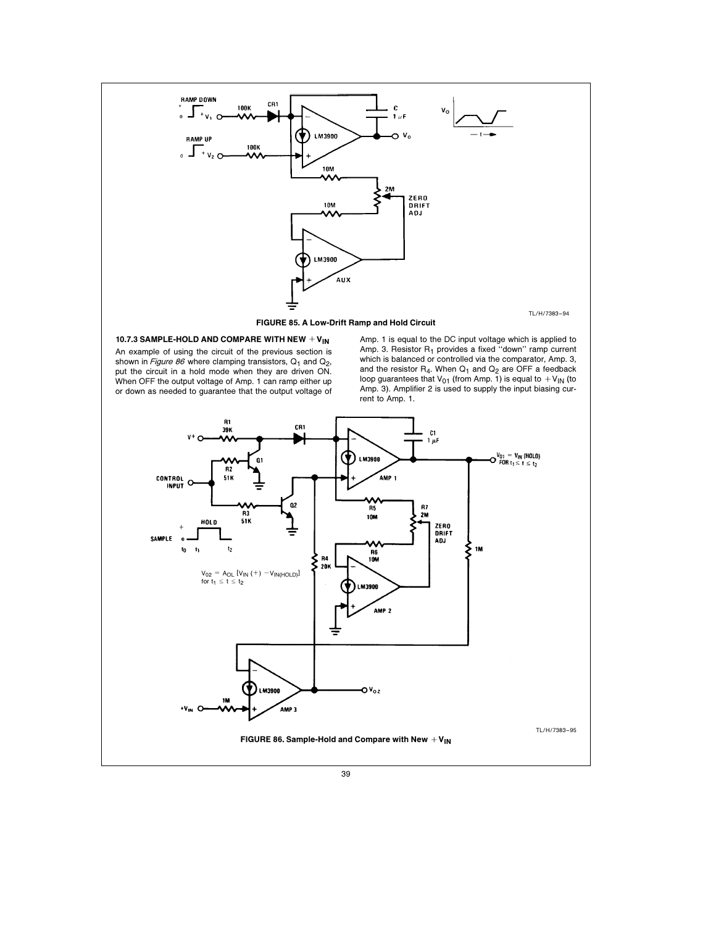

10.7.3 SAMPLE-HOLD AND COMPARE WITH NEW  $+V_{IN}$ 

An example of using the circuit of the previous section is shown in *Figure 86* where clamping transistors, Q<sub>1</sub> and Q<sub>2</sub>,<br>put the circuit in a hold mode when they are driven ON. When OFF the output voltage of Amp. 1 can ramp either up or down as needed to guarantee that the output voltage of Amp. 1 is equal to the DC input voltage which is applied to Amp. 3. Resistor R<sub>1</sub> provides a fixed "down" ramp current which is balanced or controlled via the comparator, Amp. 3, and the resistor  $R_4$ . When  $Q_1$  and  $Q_2$  are OFF a feedback loop guarantees that  $V_{01}$  (from Amp. 1) is equal to  $+V_{IN}$  (to Amp. 3). Amplifier 2 is used to supply the input biasing current to Amp. 1.

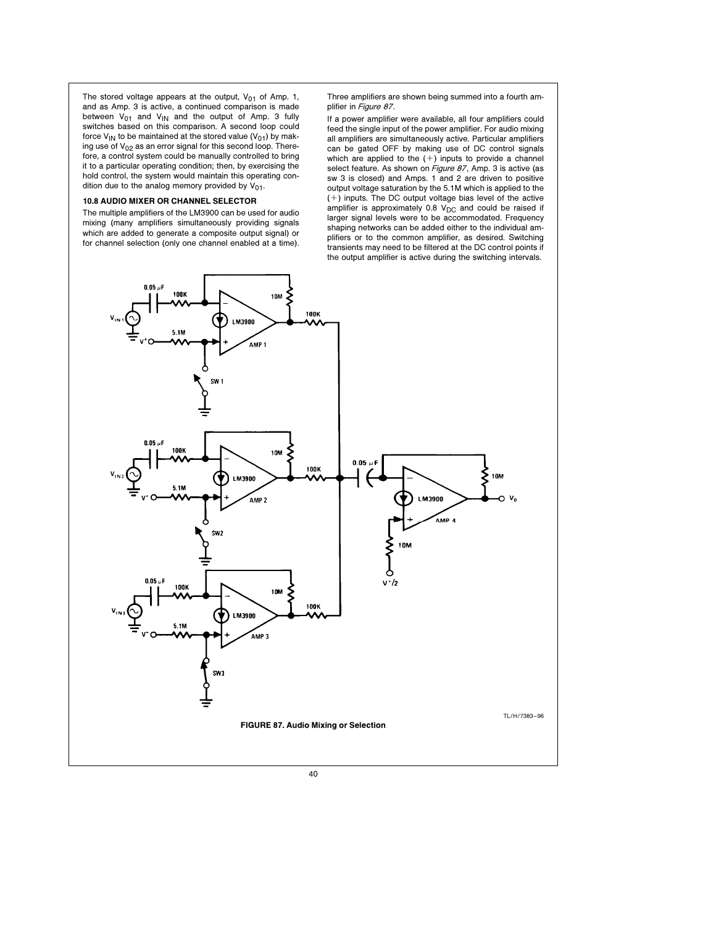The stored voltage appears at the output,  $V_{01}$  of Amp. 1, and as Amp. 3 is active, a continued comparison is made between  $V_{01}$  and  $V_{IN}$  and the output of Amp. 3 fully switches based on this comparison. A second loop could force  $V_{IN}$  to be maintained at the stored value ( $V_{01}$ ) by making use of  $V_{02}$  as an error signal for this second loop. Therefore, a control system could be manually controlled to bring it to a particular operating condition; then, by exercising the hold control, the system would maintain this operating condition due to the analog memory provided by  $V_{01}$ .

# 10.8 AUDIO MIXER OR CHANNEL SELECTOR

The multiple amplifiers of the LM3900 can be used for audio mixing (many amplifiers simultaneously providing signals which are added to generate a composite output signal) or for channel selection (only one channel enabled at a time).

Three amplifiers are shown being summed into a fourth amplifier in Figure 87.

If a power amplifier were available, all four amplifiers could feed the single input of the power amplifier. For audio mixing all amplifiers are simultaneously active. Particular amplifiers can be gated OFF by making use of DC control signals which are applied to the  $(+)$  inputs to provide a channel select feature. As shown on Figure 87, Amp. 3 is active (as sw 3 is closed) and Amps. 1 and 2 are driven to positive output voltage saturation by the 5.1M which is applied to the  $(+)$  inputs. The DC output voltage bias level of the active amplifier is approximately  $0.8$  V<sub>DC</sub> and could be raised if larger signal levels were to be accommodated. Frequency shaping networks can be added either to the individual amplifiers or to the common amplifier, as desired. Switching transients may need to be filtered at the DC control points if the output amplifier is active during the switching intervals.

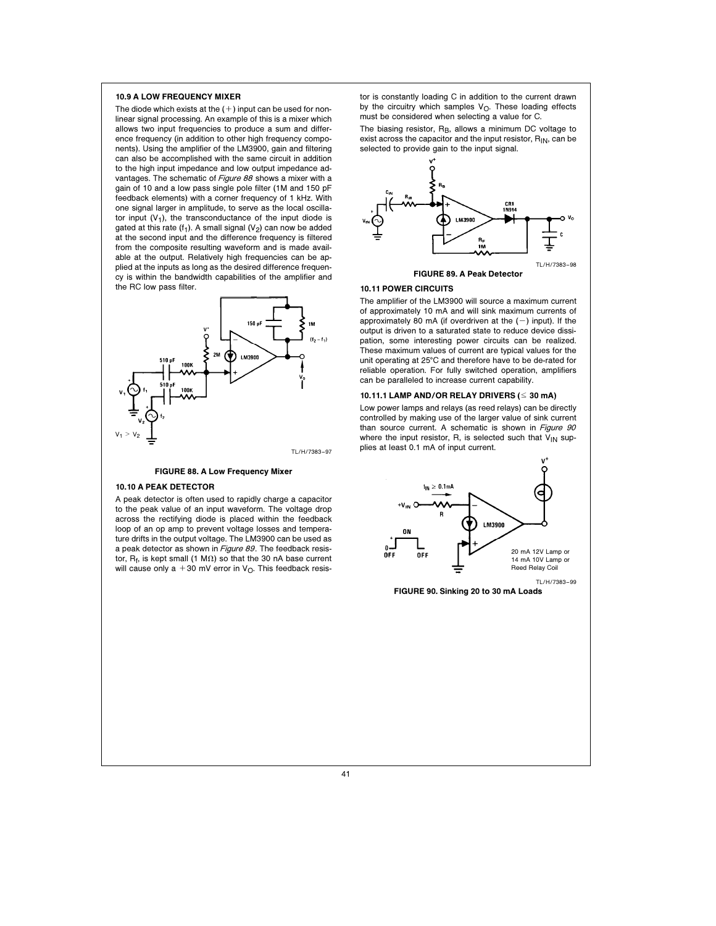## 10.9 A LOW FREQUENCY MIXER

The diode which exists at the  $(+)$  input can be used for nonlinear signal processing. An example of this is a mixer which allows two input frequencies to produce a sum and difference frequency (in addition to other high frequency components). Using the amplifier of the LM3900, gain and filtering can also be accomplished with the same circuit in addition to the high input impedance and low output impedance advantages. The schematic of Figure 88 shows a mixer with a gain of 10 and a low pass single pole filter (1M and 150 pF feedback elements) with a corner frequency of 1 kHz. With one signal larger in amplitude, to serve as the local oscillator input  $(V_1)$ , the transconductance of the input diode is gated at this rate (f<sub>1</sub>). A small signal ( $V_2$ ) can now be added at the second input and the difference frequency is filtered from the composite resulting waveform and is made available at the output. Relatively high frequencies can be applied at the inputs as long as the desired difference frequency is within the bandwidth capabilities of the amplifier and the RC low pass filter.



#### FIGURE 88. A Low Frequency Mixer

#### 10.10 A PEAK DETECTOR

A peak detector is often used to rapidly charge a capacitor to the peak value of an input waveform. The voltage drop across the rectifying diode is placed within the feedback loop of an op amp to prevent voltage losses and temperature drifts in the output voltage. The LM3900 can be used as a peak detector as shown in Figure 89. The feedback resistor,  $R_f$ , is kept small (1 M $\Omega$ ) so that the 30 nA base current will cause only a +30 mV error in  $V<sub>O</sub>$ . This feedback resis-

tor is constantly loading C in addition to the current drawn by the circuitry which samples  $V_O$ . These loading effects must be considered when selecting a value for C.

The biasing resistor,  $R_B$ , allows a minimum DC voltage to exist across the capacitor and the input resistor,  $R_{IN}$ , can be selected to provide gain to the input signal.



#### FIGURE 89. A Peak Detector

## 10.11 POWER CIRCUITS

The amplifier of the LM3900 will source a maximum current of approximately 10 mA and will sink maximum currents of approximately 80 mA (if overdriven at the  $(-)$  input). If the output is driven to a saturated state to reduce device dissipation, some interesting power circuits can be realized. These maximum values of current are typical values for the unit operating at 25°C and therefore have to be de-rated for reliable operation. For fully switched operation, amplifiers can be paralleled to increase current capability.

#### 10.11.1 LAMP AND/OR RELAY DRIVERS ( $\leq 30$  mA)

Low power lamps and relays (as reed relays) can be directly controlled by making use of the larger value of sink current than source current. A schematic is shown in Figure 90 where the input resistor, R, is selected such that  $V_{IN}$  supplies at least 0.1 mA of input current.



FIGURE 90. Sinking 20 to 30 mA Loads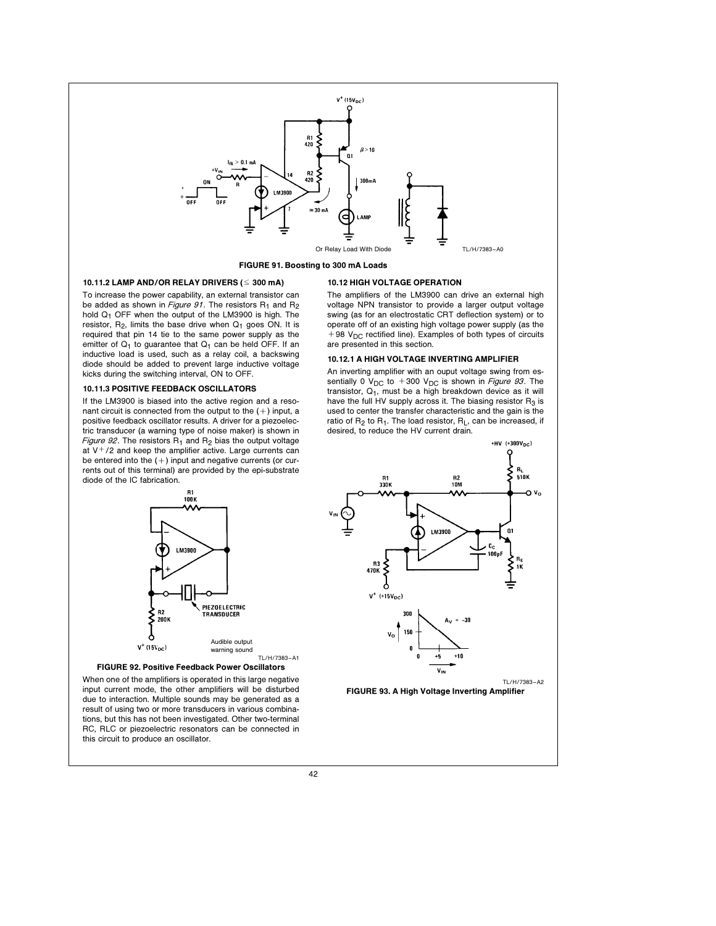

FIGURE 91. Boosting to 300 mA Loads

# 10.11.2 LAMP AND/OR RELAY DRIVERS ( $\leq 300$  mA)

To increase the power capability, an external transistor can be added as shown in Figure 91. The resistors  $R_1$  and  $R_2$ hold  $Q_1$  OFF when the output of the LM3900 is high. The resistor,  $R_2$ , limits the base drive when  $Q_1$  goes ON. It is required that pin 14 tie to the same power supply as the emitter of  $Q_1$  to guarantee that  $Q_1$  can be held OFF. If an inductive load is used, such as a relay coil, a backswing diode should be added to prevent large inductive voltage kicks during the switching interval, ON to OFF.

## 10.11.3 POSITIVE FEEDBACK OSCILLATORS

If the LM3900 is biased into the active region and a resonant circuit is connected from the output to the  $(+)$  input, a positive feedback oscillator results. A driver for a piezoelectric transducer (a warning type of noise maker) is shown in Figure 92. The resistors  $R_1$  and  $R_2$  bias the output voltage at  $V^+/2$  and keep the amplifier active. Large currents can be entered into the  $(+)$  input and negative currents (or currents out of this terminal) are provided by the epi-substrate diode of the IC fabrication.





When one of the amplifiers is operated in this large negative input current mode, the other amplifiers will be disturbed due to interaction. Multiple sounds may be generated as a result of using two or more transducers in various combinations, but this has not been investigated. Other two-terminal RC, RLC or piezoelectric resonators can be connected in this circuit to produce an oscillator.

# 10.12 HIGH VOLTAGE OPERATION

The amplifiers of the LM3900 can drive an external high voltage NPN transistor to provide a larger output voltage swing (as for an electrostatic CRT deflection system) or to operate off of an existing high voltage power supply (as the  $+98$  V<sub>DC</sub> rectified line). Examples of both types of circuits are presented in this section.

# 10.12.1 A HIGH VOLTAGE INVERTING AMPLIFIER

An inverting amplifier with an ouput voltage swing from essentially 0 V<sub>DC</sub> to +300 V<sub>DC</sub> is shown in Figure 93. The transistor,  $Q_1$ , must be a high breakdown device as it will have the full HV supply across it. The biasing resistor  $R_3$  is used to center the transfer characteristic and the gain is the ratio of  $R_2$  to  $R_1$ . The load resistor,  $R_L$ , can be increased, if desired, to reduce the HV current drain.

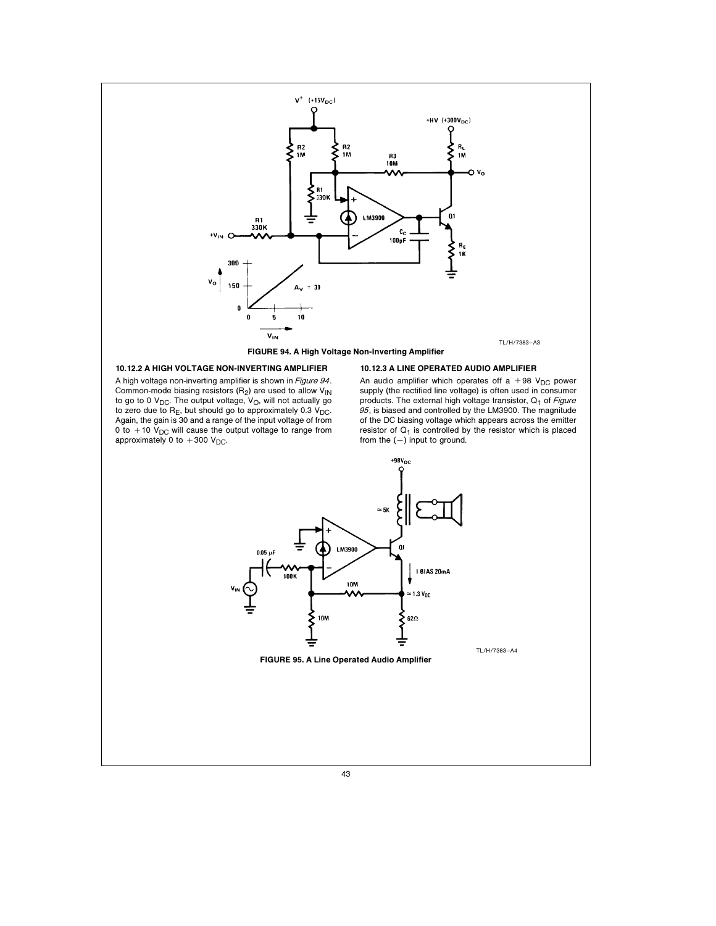

# 10.12.2 A HIGH VOLTAGE NON-INVERTING AMPLIFIER

A high voltage non-inverting amplifier is shown in Figure 94. Common-mode biasing resistors  $(R_2)$  are used to allow  $V_{1N}$ to go to 0  $V_{DC}$ . The output voltage,  $V_{O}$ , will not actually go to zero due to R<sub>E</sub>, but should go to approximately 0.3 V<sub>DC</sub>.<br>Again, the gain is 30 and a range of the input voltage of from<br>0 to + 10 V<sub>DC</sub> will cause the output voltage to range from approximately 0 to  $+300$  V<sub>DC</sub>.

# 10.12.3 A LINE OPERATED AUDIO AMPLIFIER

An audio amplifier which operates off a +98  $V_{DC}$  power supply (the rectified line voltage) is often used in consumer products. The external high voltage transistor,  $Q_1$  of Figure 95, is biased and controlled by the LM3900. The magnitude of the DC biasing voltage which appears across the emitter resistor of  $Q_1$  is controlled by the resistor which is placed from the  $(-)$  input to ground.

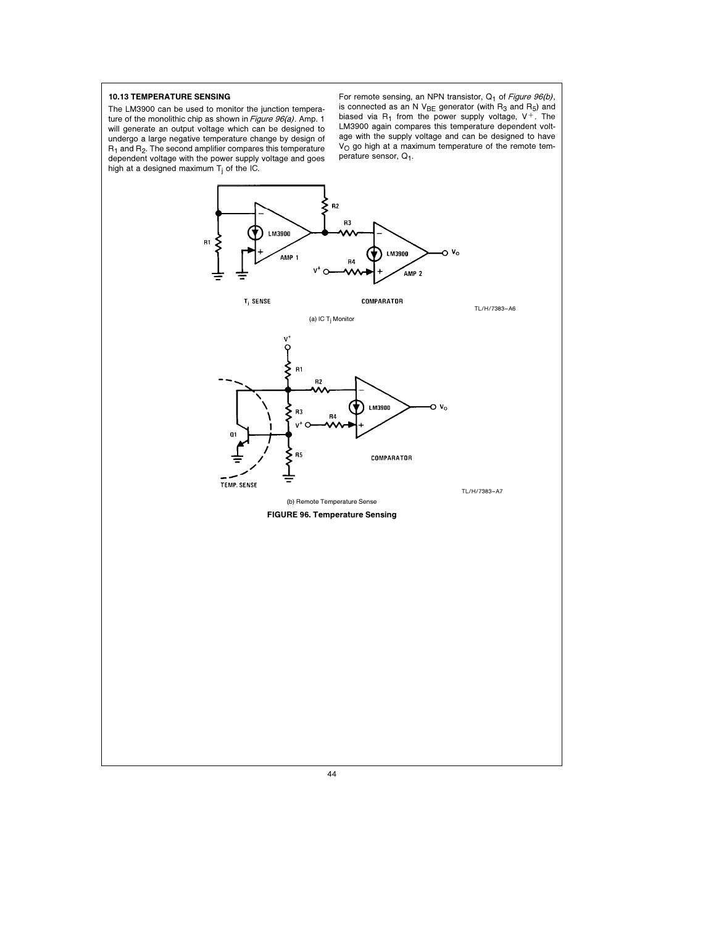# 10.13 TEMPERATURE SENSING

The LM3900 can be used to monitor the junction temperature of the monolithic chip as shown in Figure 96(a). Amp. 1 will generate an output voltage which can be designed to undergo a large negative temperature change by design of  $R_1$  and  $R_2$ . The second amplifier compares this temperature dependent voltage with the power supply voltage and goes high at a designed maximum T<sub>j</sub> of the IC.

For remote sensing, an NPN transistor, Q<sub>1</sub> of Figure 96(b), is connected as an N V<sub>BE</sub> generator (with R<sub>3</sub> and R<sub>5</sub>) and<br>biased via R<sub>1</sub> from the power supply voltage, V<sup>+</sup>. The LM3900 again compares this temperature dependent voltage with the supply voltage and can be designed to have  $\mathtt{V}_\mathsf{O}$  go high at a maximum temperature of the remote temperature sensor, Q<sub>1</sub>.

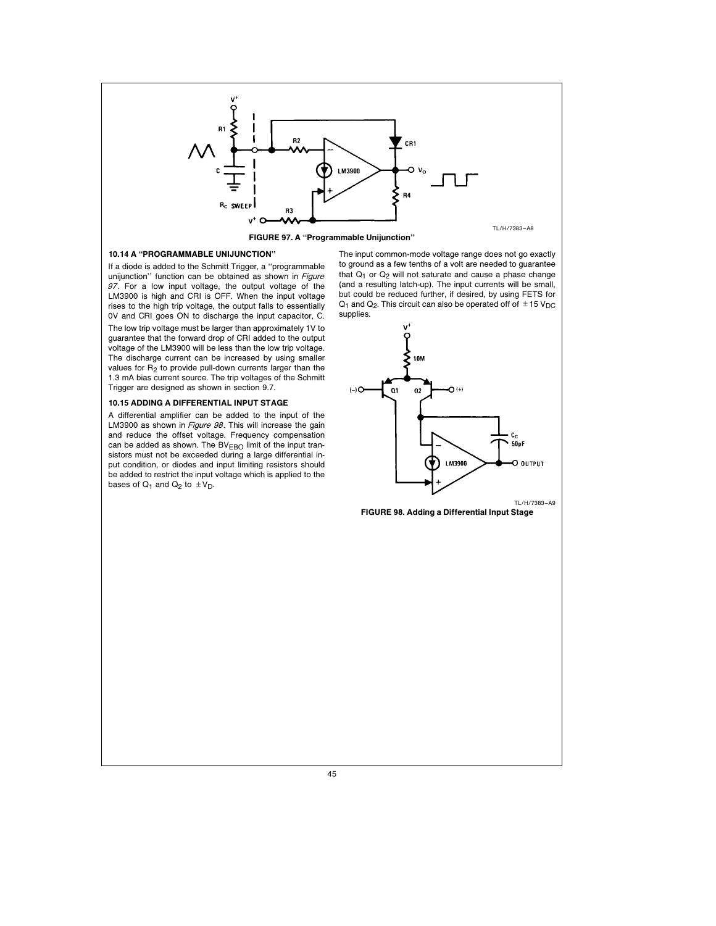

FIGURE 97. A ''Programmable Unijunction''

# 10.14 A ''PROGRAMMABLE UNIJUNCTION''

If a diode is added to the Schmitt Trigger, a ''programmable unijunction" function can be obtained as shown in Figure 97. For a low input voltage, the output voltage of the LM3900 is high and CRI is OFF. When the input voltage rises to the high trip voltage, the output falls to essentially 0V and CRI goes ON to discharge the input capacitor, C. The low trip voltage must be larger than approximately 1V to guarantee that the forward drop of CRI added to the output voltage of the LM3900 will be less than the low trip voltage. The discharge current can be increased by using smaller values for  $R_2$  to provide pull-down currents larger than the 1.3 mA bias current source. The trip voltages of the Schmitt Trigger are designed as shown in section 9.7.

# 10.15 ADDING A DIFFERENTIAL INPUT STAGE

A differential amplifier can be added to the input of the LM3900 as shown in Figure 98. This will increase the gain and reduce the offset voltage. Frequency compensation can be added as shown. The  $BV_{EBO}$  limit of the input transistors must not be exceeded during a large differential input condition, or diodes and input limiting resistors should be added to restrict the input voltage which is applied to the bases of  $Q_1$  and  $Q_2$  to  $\pm V_D$ .

The input common-mode voltage range does not go exactly to ground as a few tenths of a volt are needed to guarantee that  $Q_1$  or  $Q_2$  will not saturate and cause a phase change (and a resulting latch-up). The input currents will be small, but could be reduced further, if desired, by using FETS for  $Q_1$  and  $Q_2$ . This circuit can also be operated off of  $\pm 15$  V<sub>DC</sub> supplies.



FIGURE 98. Adding a Differential Input Stage